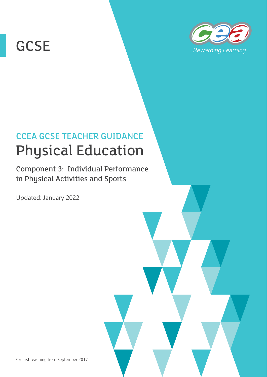# **GCSE**



## CCEA GCSE TEACHER GUIDANCE Physical Education

Component 3: Individual Performance in Physical Activities and Sports

Updated: January 2022

For first teaching from September 2017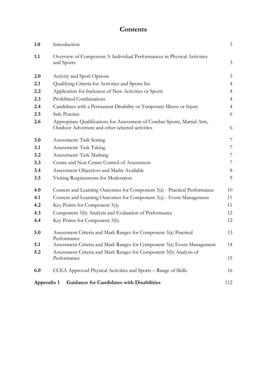### **Contents**

| 1.0 | Introduction                                                                                                                 | $\mathfrak{Z}$ |
|-----|------------------------------------------------------------------------------------------------------------------------------|----------------|
| 1.1 | Overview of Component 3: Individual Performances in Physical Activities<br>and Sports                                        | 3              |
| 2.0 | <b>Activity and Sport Options</b>                                                                                            | 3              |
| 2.1 | Qualifying Criteria for Activities and Sports list                                                                           | $\overline{4}$ |
| 2.2 | Application for Inclusion of New Activities or Sports                                                                        | $\overline{4}$ |
| 2.3 | Prohibited Combinations                                                                                                      | $\overline{4}$ |
| 2.4 | Candidates with a Permanent Disability or Temporary Illness or Injury                                                        | $\overline{4}$ |
| 2.5 | Safe Practice                                                                                                                | 6              |
| 2.6 | Appropriate Qualifications for Assessment of Combat Sports, Martial Arts,<br>Outdoor Adventure and other selected activities | 6              |
| 3.0 | Assessment: Task Setting                                                                                                     | 7              |
| 3.1 | Assessment: Task Taking                                                                                                      | 7              |
| 3.2 | Assessment: Task Marking                                                                                                     | 7              |
| 3.3 | Centre and Non Centre Control of Assessment                                                                                  | 7              |
| 3.4 | Assessment Objectives and Marks Available                                                                                    | $8\,$          |
| 3.5 | Visiting Requirements for Moderation                                                                                         | 9              |
| 4.0 | Content and Learning Outcomes for Component 3(a) - Practical Performance                                                     | 10             |
| 4.1 | Content and Learning Outcomes for Component 3(a) - Event Management                                                          | 11             |
| 4.2 | Key Points for Component 3(a)                                                                                                | 11             |
| 4.3 | Component 3(b) Analysis and Evaluation of Performance                                                                        | 12             |
| 4.4 | Key Points for Component 3(b)                                                                                                | 12             |
| 5.0 | Assessment Criteria and Mark Ranges for Component 3(a) Practical<br>Performance                                              | 13             |
| 5.1 | Assessment Criteria and Mark Ranges for Component 3(a) Event Management                                                      | 14             |
| 5.2 | Assessment Criteria and Mark Ranges for Component 3(b) Analysis of<br>Performance                                            | 15             |
| 6.0 | CCEA Approved Physical Activities and Sports - Range of Skills                                                               | 16             |
|     | Appendix 1<br><b>Guidance for Candidates with Disabilities</b>                                                               | 112            |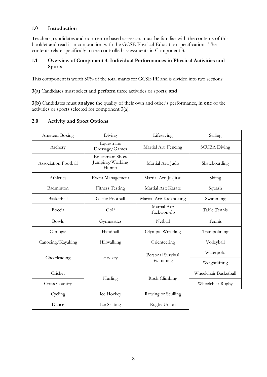#### **1.0 Introduction**

Teachers, candidates and non-centre based assessors must be familiar with the contents of this booklet and read it in conjunction with the GCSE Physical Education specification. The contents relate specifically to the controlled assessments in Component 3.

#### **1.1 Overview of Component 3: Individual Performances in Physical Activities and Sports**

This component is worth 50% of the total marks for GCSE PE and is divided into two sections:

**3(a)** Candidates must select and **perform** three activities or sports; **and**

**3(b)** Candidates must **analyse** the quality of their own and other's performance, in **one** of the activities or sports selected for component 3(a).

#### **2.0 Activity and Sport Options**

| Amateur Boxing       | Diving                                        | Lifesaving                 | Sailing               |
|----------------------|-----------------------------------------------|----------------------------|-----------------------|
| Archery              | Equestrian:<br>Dressage/Games                 | Martial Art: Fencing       | <b>SCUBA Diving</b>   |
| Association Football | Equestrian: Show<br>Jumping/Working<br>Hunter | Martial Art: Judo          | Skateboarding         |
| Athletics            | Event Management                              | Martial Art: Ju-Jitsu      | Skiing                |
| Badminton            | <b>Fitness Testing</b>                        | Martial Art: Karate        | Squash                |
| Basketball           | Gaelic Football                               | Martial Art: Kickboxing    | Swimming              |
| Boccia               | Golf                                          | Martial Art:<br>Taekwon-do | Table Tennis          |
| <b>Bowls</b>         | Gymnastics                                    | Netball                    | Tennis                |
| Camogie              | Handball                                      | Olympic Wrestling          | Trampolining          |
| Canoeing/Kayaking    | Hillwalking                                   | Orienteering               | Volleyball            |
|                      |                                               | Personal Survival          | Waterpolo             |
| Cheerleading         | Hockey                                        | Swimming                   | Weightlifting         |
| Cricket              |                                               |                            | Wheelchair Basketball |
| <b>Cross Country</b> | Hurling                                       | Rock Climbing              | Wheelchair Rugby      |
| Cycling              | Ice Hockey                                    | Rowing or Sculling         |                       |
| Dance                | Ice Skating                                   | Rugby Union                |                       |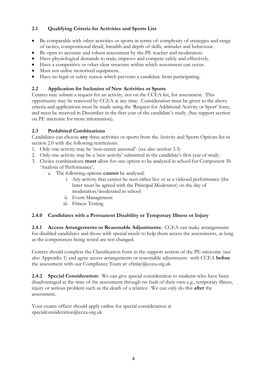#### **2.1 Qualifying Criteria for Activities and Sports List**

- Be comparable with other activities or sports in terms of: complexity of strategies and range of tactics, compositional detail, breadth and depth of skills, attitudes and behaviour.
- Be open to accurate and robust assessment by the PE teacher and moderators.
- Have physiological demands to train, improve and compete safely and effectively.
- Have a competitive or other clear structure within which assessment can occur.
- Must not utilise motorised equipment.
- Have no legal or safety reason which prevents a candidate from participating.

#### **2.2 Application for Inclusion of New Activities or Sports**

Centres may submit a request for an activity, not on the CCEA list, for assessment. This opportunity may be removed by CCEA at any time. Consideration must be given to the above criteria and applications must be made using the 'Request for Additional Activity or Sport' form, and must be received in December in the first year of the candidate's study. (See support section on PE microsite for more information).

#### **2.3 Prohibited Combinations**

Candidates can choose **any** three activities or sports from the Activity and Sports Options list in section 2.0 with the following restrictions:

- 1. Only one activity may be 'non-centre assessed'. (see also section 3.3)
- 2. Only one activity may be a 'new activity' submitted in the candidate's first year of study.
- 3. Choice combinations **must** allow for one option to be analysed in school for Component 3b 'Analysis of Performance'.
	- a. The following options **cannot** be analysed:
		- i. Any activity that cannot be seen either live or as a videoed performance (the latter must be agreed with the Principal Moderator) on the day of moderation/moderated in school
		- ii. Event Management
		- iii. Fitness Testing

#### **2.4.0 Candidates with a Permanent Disability or Temporary Illness or Injury**

**2.4.1 Access Arrangements or Reasonable Adjustments**: CCEA can make arrangements for disabled candidates and those with special needs to help them access the assessments, as long as the competences being tested are not changed.

Centres should complete the Classification form in the support section of the PE microsite (see also Appendix 1) and agree access arrangements or reasonable adjustments with CCEA **before**  the assessment with our Compliance Team at: efinlay@ccea.org.uk

**2.4.2 Special Consideration:** We can give special consideration to students who have been disadvantaged at the time of the assessment through no fault of their own e.g., temporary illness, injury or serious problem such as the death of a relative. We can only do this **after** the assessment.

Your exams officer should apply online for special consideration at specialconsideration@ccea.org.uk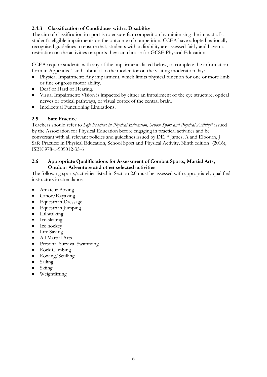#### **2.4.3 Classification of Candidates with a Disability**

The aim of classification in sport is to ensure fair competition by minimising the impact of a student's eligible impairments on the outcome of competition. CCEA have adopted nationally recognised guidelines to ensure that, students with a disability are assessed fairly and have no restriction on the activities or sports they can choose for GCSE Physical Education.

CCEA require students with any of the impairments listed below, to complete the information form in Appendix 1 and submit it to the moderator on the visiting moderation day:

- Physical Impairment: Any impairment, which limits physical function for one or more limb or fine or gross motor ability.
- Deaf or Hard of Hearing.
- Visual Impairment: Vision is impacted by either an impairment of the eye structure, optical nerves or optical pathways, or visual cortex of the central brain.
- Intellectual Functioning Limitations.

#### **2.5 Safe Practice**

Teachers should refer to *Safe Practice: in Physical Education, School Sport and Physical Activity\** issued by the Association for Physical Education before engaging in practical activities and be conversant with all relevant policies and guidelines issued by DE. \* James, A and Elbourn, J Safe Practice: in Physical Education, School Sport and Physical Activity, Ninth edition (2016), ISBN 978-1-909012-35-6

#### **2.6 Appropriate Qualifications for Assessment of Combat Sports, Martial Arts, Outdoor Adventure and other selected activities**

The following sports/activities listed in Section 2.0 must be assessed with appropriately qualified instructors in attendance:

- Amateur Boxing
- Canoe/Kayaking
- Equestrian Dressage
- Equestrian Jumping
- Hillwalking
- Ice-skating
- Ice hockey
- Life Saving
- All Martial Arts
- Personal Survival Swimming
- Rock Climbing
- Rowing/Sculling
- Sailing
- Skiing
- Weightlifting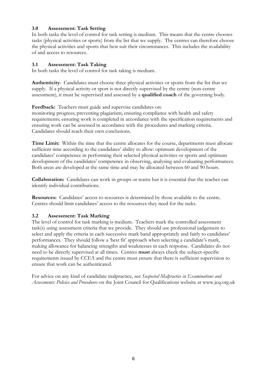#### **3.0 Assessment: Task Setting**

In both tasks the level of control for task setting is medium. This means that the centre chooses tasks (physical activities or sports) from the list that we supply. The centres can therefore choose the physical activities and sports that best suit their circumstances. This includes the availability of and access to resources.

#### **3.1 Assessment: Task Taking**

In both tasks the level of control for task taking is medium.

**Authenticity**: Candidates must choose three physical activities or sports from the list that we supply. If a physical activity or sport is not directly supervised by the centre (non-centre assessment), it must be supervised and assessed by a **qualified coach** of the governing body.

**Feedback:** Teachers must guide and supervise candidates on:

monitoring progress; preventing plagiarism; ensuring compliance with health and safety requirements; ensuring work is completed in accordance with the specification requirements and ensuring work can be assessed in accordance with the procedures and marking criteria. Candidates should reach their own conclusions.

**Time Limit:** Within the time that the centre allocates for the course, departments must allocate sufficient time according to the candidates' ability to allow: optimum development of the candidates' competence in performing their selected physical activities or sports and optimum development of the candidates' competence in observing, analysing and evaluating performances. Both areas are developed at the same time and may be allocated between 60 and 90 hours.

**Collaboration:** Candidates can work in groups or teams but it is essential that the teacher can identify individual contributions.

**Resources:** Candidates' access to resources is determined by those available to the centre. Centres should limit candidates' access to the resources they need for the tasks.

#### **3.2 Assessment: Task Marking**

The level of control for task marking is medium. Teachers mark the controlled assessment task(s) using assessment criteria that we provide. They should use professional judgement to select and apply the criteria in each successive mark band appropriately and fairly to candidates' performances. They should follow a 'best fit' approach when selecting a candidate's mark, making allowance for balancing strengths and weaknesses in each response. Candidates do not need to be directly supervised at all times. Centres **must** always check the subject-specific requirements issued by CCEA and the centre must ensure that there is sufficient supervision to ensure that work can be authenticated.

For advice on any kind of candidate malpractice, see *Suspected Malpractice in Examinations and Assessments: Policies and Procedures* on the Joint Council for Qualifications website at www.jcq.org.uk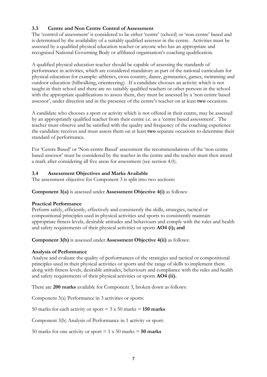#### **3.3 Centre and Non Centre Control of Assessment**

The 'control of assessment' is considered to be either 'centre' (school) or 'non-centre' based and is determined by the availability of a suitably qualified assessor in the centre. Activities must be assessed by a qualified physical education teacher or anyone who has an appropriate and recognised National Governing Body or affiliated organisation's coaching qualification.

A qualified physical education teacher should be capable of assessing the standards of performance in activities, which are considered mandatory as part of the national curriculum for physical education for example: athletics, cross country, dance, gymnastics, games, swimming and outdoor education (hillwalking, orienteering). If a candidate chooses an activity which is not taught in their school and there are no suitably qualified teachers or other persons in the school with the appropriate qualifications to assess them, they must be assessed by a 'non centre based assessor', under direction and in the presence of the centre's teacher on at least **two** occasions.

A candidate who chooses a sport or activity which is not offered in their centre, may be assessed by an appropriately qualified teacher from their centre i.e. as a 'centre based assessment'. The teacher must observe and be satisfied with the quality and frequency of the coaching experience the candidate receives and must assess them on at least **two** separate occasions to determine their standard of performance.

For 'Centre Based' or 'Non-centre Based' assessment the recommendations of the 'non centre based assessor' must be considered by the teacher in the centre and the teacher must then award a mark after considering all five areas for assessment (see section 4.0).

#### **3.4 Assessment Objectives and Marks Available**

The assessment objective for Component 3 is split into two sections:

#### **Component 3(a)** is assessed under **Assessment Objective 4(i)** as follows:

#### **Practical Performance**

Perform safely, efficiently, effectively and consistently the skills, strategies, tactical or compositional principles used in physical activities and sports to consistently maintain appropriate fitness levels, desirable attitudes and behaviours and comply with the rules and health and safety requirements of their physical activities or sports **AO4 (i); and**

**Component 3(b)** is assessed under **Assessment Objective 4(ii)** as follows:

#### **Analysis of Performance**

Analyse and evaluate the quality of performances of the strategies and tactical or compositional principles used in their physical activities or sports and the range of skills to implement them along with fitness levels, desirable attitudes, behaviours and compliance with the rules and health and safety requirements of their physical activities or sports **AO4 (ii).** 

There are **200 marks** available for Component 3, broken down as follows:

Component 3(a) Performance in 3 activities or sports:

50 marks for each activity or sport  $= 3 \times 50$  marks  $= 150$  marks

Component 3(b) Analysis of Performance in 1 activity or sport:

50 marks for one activity or sport  $= 1 \times 50$  marks  $= 50$  marks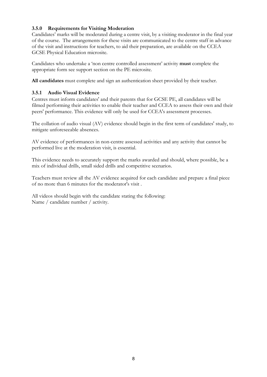#### **3.5.0 Requirements for Visiting Moderation**

Candidates' marks will be moderated during a centre visit, by a visiting moderator in the final year of the course. The arrangements for these visits are communicated to the centre staff in advance of the visit and instructions for teachers, to aid their preparation, are available on the CCEA GCSE Physical Education microsite.

Candidates who undertake a 'non centre controlled assessment' activity **must** complete the appropriate form see support section on the PE microsite.

**All candidates** must complete and sign an authentication sheet provided by their teacher.

#### **3.5.1 Audio Visual Evidence**

Centres must inform candidates' and their parents that for GCSE PE, all candidates will be filmed performing their activities to enable their teacher and CCEA to assess their own and their peers' performance. This evidence will only be used for CCEA's assessment processes.

The collation of audio visual (AV) evidence should begin in the first term of candidates' study, to mitigate unforeseeable absences.

AV evidence of performances in non-centre assessed activities and any activity that cannot be performed live at the moderation visit, is essential.

This evidence needs to accurately support the marks awarded and should, where possible, be a mix of individual drills, small sided drills and competitive scenarios.

Teachers must review all the AV evidence acquired for each candidate and prepare a final piece of no more than 6 minutes for the moderator's visit .

All videos should begin with the candidate stating the following: Name / candidate number / activity.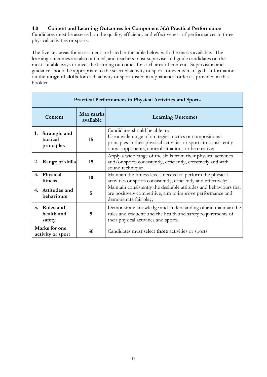#### **4.0 Content and Learning Outcomes for Component 3(a) Practical Performance**

Candidates must be assessed on the quality, efficiency and effectiveness of performances in three physical activities or sports.

The five key areas for assessment are listed in the table below with the marks available. The learning outcomes are also outlined, and teachers must supervise and guide candidates on the most suitable ways to meet the learning outcomes for each area of content. Supervision and guidance should be appropriate to the selected activity or sports or events managed. Information on the **range of skills** for each activity or sport (listed in alphabetical order) is provided in this booklet.

|                                                                  | <b>Practical Performances in Physical Activities and Sports</b> |                                                                                                                                                                            |                                                                                                                                                                                                                        |  |
|------------------------------------------------------------------|-----------------------------------------------------------------|----------------------------------------------------------------------------------------------------------------------------------------------------------------------------|------------------------------------------------------------------------------------------------------------------------------------------------------------------------------------------------------------------------|--|
|                                                                  | Content                                                         | Max marks<br>available                                                                                                                                                     | <b>Learning Outcomes</b>                                                                                                                                                                                               |  |
| 1.                                                               | Strategic and<br>tactical<br>principles                         | 15                                                                                                                                                                         | Candidates should be able to:<br>Use a wide range of strategies, tactics or compositional<br>principles in their physical activities or sports to consistently<br>outwit opponents, control situations or be creative; |  |
| 2.                                                               | 15<br>Range of skills<br>sound technique;                       |                                                                                                                                                                            | Apply a wide range of the skills from their physical activities<br>and/or sports consistently, efficiently, effectively and with                                                                                       |  |
| 3.                                                               | <b>Physical</b><br>fitness                                      | 10                                                                                                                                                                         | Maintain the fitness levels needed to perform the physical<br>activities or sports consistently, efficiently and effectively;                                                                                          |  |
| Attitudes and<br>4.<br>5<br>behaviours<br>demonstrate fair play; |                                                                 | Maintain consistently the desirable attitudes and behaviours that<br>are positively competitive, aim to improve performance and                                            |                                                                                                                                                                                                                        |  |
| 5.                                                               | <b>Rules and</b><br>health and<br>safety                        | Demonstrate knowledge and understanding of and maintain the<br>rules and etiquette and the health and safety requirements of<br>5<br>their physical activities and sports. |                                                                                                                                                                                                                        |  |
| Marks for one<br>activity or sport                               |                                                                 | 50                                                                                                                                                                         | Candidates must select three activities or sports                                                                                                                                                                      |  |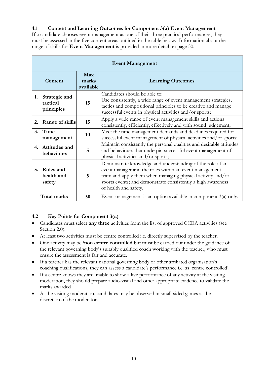#### **4.1 Content and Learning Outcomes for Component 3(a) Event Management**

If a candidate chooses event management as one of their three practical performances, they must be assessed in the five content areas outlined in the table below. Information about the range of skills for **Event Management** is provided in more detail on page 30.

| <b>Event Management</b>                                                      |                                         |                                                                                                                                     |                                                                                                                                                                                                                                                                            |
|------------------------------------------------------------------------------|-----------------------------------------|-------------------------------------------------------------------------------------------------------------------------------------|----------------------------------------------------------------------------------------------------------------------------------------------------------------------------------------------------------------------------------------------------------------------------|
|                                                                              | Content                                 | Max<br>marks<br>available                                                                                                           | <b>Learning Outcomes</b>                                                                                                                                                                                                                                                   |
| 1.                                                                           | Strategic and<br>tactical<br>principles | 15                                                                                                                                  | Candidates should be able to:<br>Use consistently, a wide range of event management strategies,<br>tactics and compositional principles to be creative and manage<br>successful events in physical activities and/or sports;                                               |
| 2.                                                                           | Range of skills                         | 15                                                                                                                                  | Apply a wide range of event management skills and actions<br>consistently, efficiently, effectively and with sound judgement;                                                                                                                                              |
| <sup>3.</sup>                                                                | Time<br>management                      | 10                                                                                                                                  | Meet the time management demands and deadlines required for<br>successful event management of physical activities and/or sports;                                                                                                                                           |
| Attitudes and<br>4.<br>5<br>behaviours<br>physical activities and/or sports; |                                         | Maintain consistently the personal qualities and desirable attitudes<br>and behaviours that underpin successful event management of |                                                                                                                                                                                                                                                                            |
| 5.                                                                           | Rules and<br>health and<br>safety       | 5                                                                                                                                   | Demonstrate knowledge and understanding of the role of an<br>event manager and the roles within an event management<br>team and apply them when managing physical activity and/or<br>sports events; and demonstrate consistently a high awareness<br>of health and safety. |
| <b>Total marks</b>                                                           |                                         | 50                                                                                                                                  | Event management is an option available in component $3(a)$ only.                                                                                                                                                                                                          |

#### **4.2 Key Points for Component 3(a)**

- Candidates must select **any three** activities from the list of approved CCEA activities (see Section 2.0).
- At least two activities must be centre controlled i.e. directly supervised by the teacher.
- One activity may be **'non centre controlled** but must be carried out under the guidance of the relevant governing body's suitably qualified coach working with the teacher, who must ensure the assessment is fair and accurate.
- If a teacher has the relevant national governing body or other affiliated organisation's coaching qualifications, they can assess a candidate's performance i.e. as 'centre controlled'.
- If a centre knows they are unable to show a live performance of any activity at the visiting moderation, they should prepare audio-visual and other appropriate evidence to validate the marks awarded
- At the visiting moderation, candidates may be observed in small-sided games at the discretion of the moderator.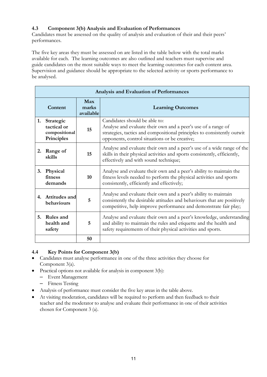#### **4.3 Component 3(b) Analysis and Evaluation of Performances**

Candidates must be assessed on the quality of analysis and evaluation of their and their peers' performances.

The five key areas they must be assessed on are listed in the table below with the total marks available for each. The learning outcomes are also outlined and teachers must supervise and guide candidates on the most suitable ways to meet the learning outcomes for each content area. Supervision and guidance should be appropriate to the selected activity or sports performance to be analysed.

| Analysis and Evaluation of Performances |                                                         |                           |                                                                                                                                                                                                                            |
|-----------------------------------------|---------------------------------------------------------|---------------------------|----------------------------------------------------------------------------------------------------------------------------------------------------------------------------------------------------------------------------|
|                                         | Content                                                 | Max<br>marks<br>available | <b>Learning Outcomes</b>                                                                                                                                                                                                   |
| 1.                                      | Strategic<br>tactical or<br>compositional<br>Principles | 15                        | Candidates should be able to:<br>Analyse and evaluate their own and a peer's use of a range of<br>strategies, tactics and compositional principles to consistently outwit<br>opponents, control situations or be creative; |
| 2.                                      | Range of<br>skills                                      | 15                        | Analyse and evaluate their own and a peer's use of a wide range of the<br>skills in their physical activities and sports consistently, efficiently,<br>effectively and with sound technique;                               |
| 3.                                      | Physical<br>fitness<br>demands                          | 10                        | Analyse and evaluate their own and a peer's ability to maintain the<br>fitness levels needed to perform the physical activities and sports<br>consistently, efficiently and effectively;                                   |
| 4.                                      | Attitudes and<br>behaviours                             | 5                         | Analyse and evaluate their own and a peer's ability to maintain<br>consistently the desirable attitudes and behaviours that are positively<br>competitive, help improve performance and demonstrate fair play;             |
| 5.                                      | Rules and<br>health and<br>safety                       | 5                         | Analyse and evaluate their own and a peer's knowledge, understanding<br>and ability to maintain the rules and etiquette and the health and<br>safety requirements of their physical activities and sports.                 |
|                                         |                                                         | 50                        |                                                                                                                                                                                                                            |

#### **4.4 Key Points for Component 3(b)**

- Candidates must analyse performance in one of the three activities they choose for Component 3(a).
- Practical options not available for analysis in component 3(b):
	- Event Management
	- Fitness Testing
- Analysis of performance must consider the five key areas in the table above.
- At visiting moderation, candidates will be required to perform and then feedback to their teacher and the moderator to analyse and evaluate their performance in one of their activities chosen for Component 3 (a).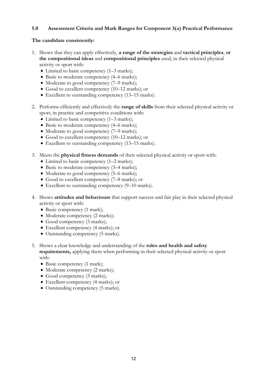#### **5.0 Assessment Criteria and Mark Ranges for Component 3(a) Practical Performance**

#### **The candidate consistently:**

- 1. Shows that they can apply effectively, **a range of the strategies** and **tactical principles**, **or the compositional ideas** and **compositional principles** used, in their selected physical activity or sport with:
	- Limited to basic competency (1–3 marks);
	- Basic to moderate competency (4–6 marks);
	- Moderate to good competency (7–9 marks);
	- Good to excellent competency (10–12 marks); or
	- Excellent to outstanding competency (13–15 marks).
- 2. Performs efficiently and effectively the **range of skills** from their selected physical activity or sport, in practice and competitive conditions with:
	- Limited to basic competency (1–3 marks);
	- Basic to moderate competency (4–6 marks);
	- Moderate to good competency (7–9 marks);
	- Good to excellent competency (10–12 marks); or
	- Excellent to outstanding competency (13–15 marks).
- 3. Meets the **physical fitness demands** of their selected physical activity or sport with:
	- Limited to basic competency (1–2 marks);
	- Basic to moderate competency (3–4 marks);
	- Moderate to good competency (5–6 marks);
	- Good to excellent competency (7–8 marks); or
	- Excellent to outstanding competency (9–10 marks).
- 4. Shows **attitudes and behaviours** that support success and fair play in their selected physical activity or sport with:
	- Basic competency (1 mark);
	- Moderate competency (2 marks);
	- Good competency (3 marks);
	- Excellent competency (4 marks); or
	- Outstanding competency (5 marks).
- 5. Shows a clear knowledge and understanding of the **rules and health and safety requirements,** applying them when performing in their selected physical activity or sport with:
	- Basic competency (1 mark);
	- Moderate competency (2 marks);
	- Good competency (3 marks);
	- Excellent competency (4 marks); or
	- Outstanding competency (5 marks).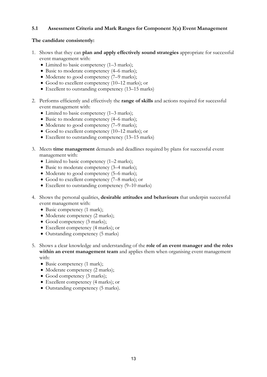#### **5.1 Assessment Criteria and Mark Ranges for Component 3(a) Event Management**

#### **The candidate consistently:**

- 1. Shows that they can **plan and apply effectively sound strategies** appropriate for successful event management with:
	- Limited to basic competency (1–3 marks);
	- Basic to moderate competency (4–6 marks);
	- Moderate to good competency (7–9 marks);
	- Good to excellent competency (10–12 marks); or
	- Excellent to outstanding competency (13–15 marks)
- 2. Performs efficiently and effectively the **range of skills** and actions required for successful event management with:
	- Limited to basic competency (1–3 marks);
	- Basic to moderate competency (4–6 marks);
	- Moderate to good competency (7–9 marks);
	- Good to excellent competency (10–12 marks); or
	- Excellent to outstanding competency (13–15 marks)
- 3. Meets **time management** demands and deadlines required by plans for successful event management with:
	- Limited to basic competency (1–2 marks);
	- Basic to moderate competency (3–4 marks);
	- Moderate to good competency (5–6 marks);
	- Good to excellent competency (7–8 marks); or
	- Excellent to outstanding competency (9–10 marks)
- 4. Shows the personal qualities, **desirable attitudes and behaviours** that underpin successful event management with:
	- Basic competency (1 mark);
	- Moderate competency (2 marks);
	- Good competency (3 marks);
	- Excellent competency (4 marks); or
	- Outstanding competency (5 marks)
- 5. Shows a clear knowledge and understanding of the **role of an event manager and the roles within an event management team** and applies them when organising event management with:
	- Basic competency (1 mark);
	- Moderate competency (2 marks);
	- Good competency (3 marks);
	- Excellent competency (4 marks); or
	- Outstanding competency (5 marks).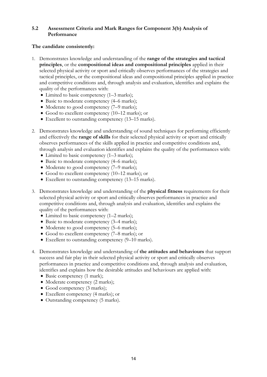#### **5.2 Assessment Criteria and Mark Ranges for Component 3(b) Analysis of Performance**

#### **The candidate consistently:**

- 1. Demonstrates knowledge and understanding of the **range of the strategies and tactical principles**, or the **compositional ideas and compositional principles** applied in their selected physical activity or sport and critically observes performances of the strategies and tactical principles, or the compositional ideas and compositional principles applied in practice and competitive conditions and, through analysis and evaluation, identifies and explains the quality of the performances with:
	- Limited to basic competency (1–3 marks);
	- Basic to moderate competency (4–6 marks);
	- Moderate to good competency (7–9 marks);
	- Good to excellent competency (10–12 marks); or
	- Excellent to outstanding competency (13–15 marks).
- 2. Demonstrates knowledge and understanding of sound techniques for performing efficiently and effectively the **range of skills** for their selected physical activity or sport and critically observes performances of the skills applied in practice and competitive conditions and, through analysis and evaluation identifies and explains the quality of the performances with:
	- Limited to basic competency (1–3 marks);
	- Basic to moderate competency (4–6 marks);
	- Moderate to good competency (7–9 marks);
	- Good to excellent competency (10–12 marks); or
	- Excellent to outstanding competency (13–15 marks).
- 3. Demonstrates knowledge and understanding of the **physical fitness** requirements for their selected physical activity or sport and critically observes performances in practice and competitive conditions and, through analysis and evaluation, identifies and explains the quality of the performances with:
	- Limited to basic competency (1–2 marks);
	- Basic to moderate competency (3–4 marks);
	- Moderate to good competency (5–6 marks);
	- Good to excellent competency (7–8 marks); or
	- Excellent to outstanding competency (9–10 marks).
- 4. Demonstrates knowledge and understanding of **the attitudes and behaviours** that support success and fair play in their selected physical activity or sport and critically observes performances in practice and competitive conditions and, through analysis and evaluation, identifies and explains how the desirable attitudes and behaviours are applied with:
	- Basic competency (1 mark);
	- Moderate competency (2 marks);
	- Good competency (3 marks);
	- Excellent competency (4 marks); or
	- Outstanding competency (5 marks).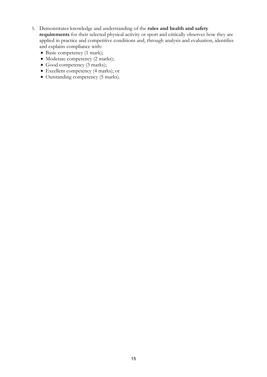- 5. Demonstrates knowledge and understanding of the **rules and health and safety requirements** for their selected physical activity or sport and critically observes how they are applied in practice and competitive conditions and, through analysis and evaluation, identifies and explains compliance with:
	- Basic competency (1 mark);
	- Moderate competency (2 marks);
	- Good competency (3 marks);
	- Excellent competency (4 marks); or
	- Outstanding competency (5 marks).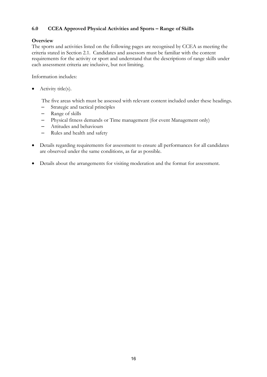#### **6.0 CCEA Approved Physical Activities and Sports – Range of Skills**

#### **Overview**

The sports and activities listed on the following pages are recognised by CCEA as meeting the criteria stated in Section 2.1. Candidates and assessors must be familiar with the content requirements for the activity or sport and understand that the descriptions of range skills under each assessment criteria are inclusive, but not limiting.

Information includes:

• Activity title(s).

The five areas which must be assessed with relevant content included under these headings.

- Strategic and tactical principles
- Range of skills
- Physical fitness demands or Time management (for event Management only)
- Attitudes and behaviours
- Rules and health and safety
- Details regarding requirements for assessment to ensure all performances for all candidates are observed under the same conditions, as far as possible.
- Details about the arrangements for visiting moderation and the format for assessment.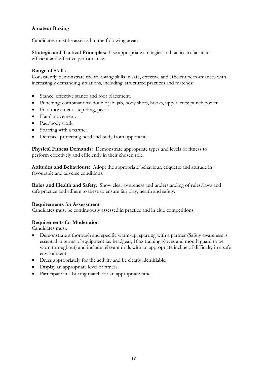#### **Amateur Boxing**

Candidates must be assessed in the following areas:

**Strategic and Tactical Principles:** Use appropriate strategies and tactics to facilitate efficient and effective performance.

#### **Range of Skills**

Consistently demonstrate the following skills in safe, effective and efficient performances with increasingly demanding situations, including: structured practices and matches:

- Stance: effective stance and foot placement.
- Punching: combinations; double jab; jab, body shots, hooks, upper cuts; punch power.
- Foot movement, step-drag, pivot.
- Hand movement.
- Pad/body work.
- Sparring with a partner.
- Defence: protecting head and body from opponent.

**Physical Fitness Demands:** Demonstrate appropriate types and levels of fitness to perform effectively and efficiently in their chosen role.

**Attitudes and Behaviours:** Adopt the appropriate behaviour, etiquette and attitude in favourable and adverse conditions.

**Rules and Health and Safety**: Show clear awareness and understanding of rules/laws and safe practice and adhere to these to ensure fair play, health and safety.

#### **Requirements for Assessment**

Candidates must be continuously assessed in practice and in club competitions.

#### **Requirements for Moderation**

- Demonstrate a thorough and specific warm-up, sparring with a partner (Safety awareness is essential in terms of equipment i.e. headgear, 16oz training gloves and mouth guard to be worn throughout) and include relevant drills with an appropriate incline of difficulty in a safe environment.
- Dress appropriately for the activity and be clearly identifiable.
- Display an appropriate level of fitness.
- Participate in a boxing match for an appropriate time.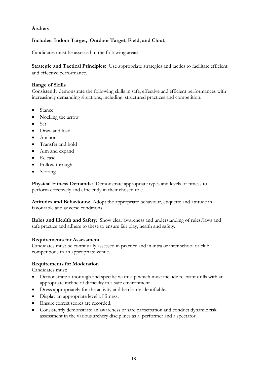#### **Archery**

#### **Includes: Indoor Target, Outdoor Target, Field, and Clout;**

Candidates must be assessed in the following areas:

**Strategic and Tactical Principles:** Use appropriate strategies and tactics to facilitate efficient and effective performance.

#### **Range of Skills**

Consistently demonstrate the following skills in safe, effective and efficient performances with increasingly demanding situations, including: structured practices and competition:

- Stance
- Nocking the arrow
- Set
- Draw and load
- Anchor
- Transfer and hold
- Aim and expand
- Release
- Follow through
- Scoring

**Physical Fitness Demands:** Demonstrate appropriate types and levels of fitness to perform effectively and efficiently in their chosen role.

**Attitudes and Behaviours:** Adopt the appropriate behaviour, etiquette and attitude in favourable and adverse conditions.

**Rules and Health and Safety**: Show clear awareness and understanding of rules/laws and safe practice and adhere to these to ensure fair play, health and safety.

#### **Requirements for Assessment**

Candidates must be continually assessed in practice and in intra or inter school or club competitions in an appropriate venue.

#### **Requirements for Moderation**

- Demonstrate a thorough and specific warm-up which must include relevant drills with an appropriate incline of difficulty in a safe environment.
- Dress appropriately for the activity and be clearly identifiable.
- Display an appropriate level of fitness.
- Ensure correct scores are recorded.
- Consistently demonstrate an awareness of safe participation and conduct dynamic risk assessment in the various archery disciplines as a performer and a spectator.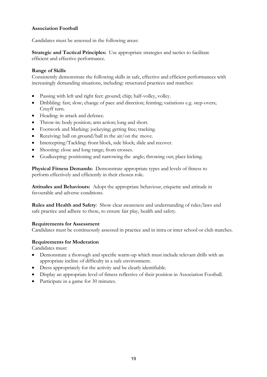#### **Association Football**

Candidates must be assessed in the following areas:

**Strategic and Tactical Principles:** Use appropriate strategies and tactics to facilitate efficient and effective performance.

#### **Range of Skills**

Consistently demonstrate the following skills in safe, effective and efficient performances with increasingly demanding situations, including: structured practices and matches:

- Passing with left and right feet: ground; chip; half-volley, volley.
- Dribbling: fast; slow; change of pace and direction; feinting; variations e.g. step-overs; Cruyff turn.
- Heading: in attack and defence.
- Throw-in: body position; arm action; long and short.
- Footwork and Marking: jockeying; getting free; tracking.
- Receiving: ball on ground/ball in the air/on the move.
- Intercepting/Tackling: front block, side block; slide and recover.
- Shooting: close and long range; from crosses.
- Goalkeeping: positioning and narrowing the angle; throwing out; place kicking.

**Physical Fitness Demands:** Demonstrate appropriate types and levels of fitness to perform effectively and efficiently in their chosen role.

**Attitudes and Behaviours:** Adopt the appropriate behaviour, etiquette and attitude in favourable and adverse conditions.

**Rules and Health and Safety**: Show clear awareness and understanding of rules/laws and safe practice and adhere to these, to ensure fair play, health and safety.

#### **Requirements for Assessment**

Candidates must be continuously assessed in practice and in intra or inter school or club matches.

#### **Requirements for Moderation**

- Demonstrate a thorough and specific warm-up which must include relevant drills with an appropriate incline of difficulty in a safe environment.
- Dress appropriately for the activity and be clearly identifiable.
- Display an appropriate level of fitness reflective of their position in Association Football.
- Participate in a game for 30 minutes.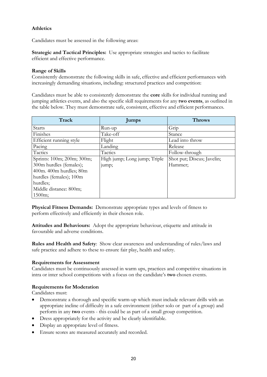#### **Athletics**

Candidates must be assessed in the following areas:

**Strategic and Tactical Principles:** Use appropriate strategies and tactics to facilitate efficient and effective performance.

#### **Range of Skills**

Consistently demonstrate the following skills in safe, effective and efficient performances with increasingly demanding situations, including: structured practices and competition:

Candidates must be able to consistently demonstrate the **core** skills for individual running and jumping athletics events, and also the specific skill requirements for any **two events**, as outlined in the table below. They must demonstrate safe, consistent, effective and efficient performances.

| Track                      | <b>Jumps</b>                 | <b>Throws</b>              |
|----------------------------|------------------------------|----------------------------|
| <b>Starts</b>              | Run-up                       | Grip                       |
| Finishes                   | Take-off                     | Stance                     |
| Efficient running style    | Flight                       | Lead into throw            |
| Pacing                     | Landing                      | Release                    |
| Tactics                    | Tactics                      | Follow-through             |
| Sprints: 100m; 200m; 300m; | High jump; Long jump; Triple | Shot put; Discus; Javelin; |
| 300m hurdles (females);    | jump;                        | Hammer;                    |
| 400m. 400m hurdles; 80m    |                              |                            |
| hurdles (females); 100m    |                              |                            |
| hurdles;                   |                              |                            |
| Middle distance: 800m;     |                              |                            |
| 1500m;                     |                              |                            |

**Physical Fitness Demands:** Demonstrate appropriate types and levels of fitness to perform effectively and efficiently in their chosen role.

**Attitudes and Behaviours:** Adopt the appropriate behaviour, etiquette and attitude in favourable and adverse conditions.

**Rules and Health and Safety**: Show clear awareness and understanding of rules/laws and safe practice and adhere to these to ensure fair play, health and safety.

#### **Requirements for Assessment**

Candidates must be continuously assessed in warm ups, practices and competitive situations in intra or inter school competitions with a focus on the candidate's **two** chosen events.

#### **Requirements for Moderation**

- Demonstrate a thorough and specific warm-up which must include relevant drills with an appropriate incline of difficulty in a safe environment (either solo or part of a group) and perform in any **two** events - this could be as part of a small group competition.
- Dress appropriately for the activity and be clearly identifiable.
- Display an appropriate level of fitness.
- Ensure scores are measured accurately and recorded.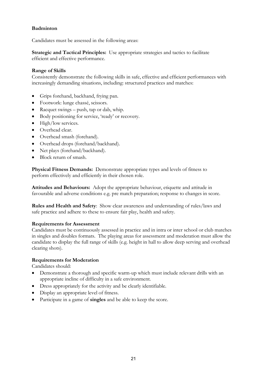#### **Badminton**

Candidates must be assessed in the following areas:

**Strategic and Tactical Principles:** Use appropriate strategies and tactics to facilitate efficient and effective performance.

#### **Range of Skills**

Consistently demonstrate the following skills in safe, effective and efficient performances with increasingly demanding situations, including: structured practices and matches:

- Grips forehand, backhand, frying pan.
- Footwork: lunge chassé, scissors.
- Racquet swings push, tap or dab, whip.
- Body positioning for service, 'ready' or recovery.
- High/low services.
- Overhead clear.
- Overhead smash (forehand).
- Overhead drops (forehand/backhand).
- Net plays (forehand/backhand).
- Block return of smash.

**Physical Fitness Demands:** Demonstrate appropriate types and levels of fitness to perform effectively and efficiently in their chosen role.

**Attitudes and Behaviours:** Adopt the appropriate behaviour, etiquette and attitude in favourable and adverse conditions e.g. pre match preparation; response to changes in score.

**Rules and Health and Safety**: Show clear awareness and understanding of rules/laws and safe practice and adhere to these to ensure fair play, health and safety.

#### **Requirements for Assessment**

Candidates must be continuously assessed in practice and in intra or inter school or club matches in singles and doubles formats. The playing areas for assessment and moderation must allow the candidate to display the full range of skills (e.g. height in hall to allow deep serving and overhead clearing shots).

#### **Requirements for Moderation**

Candidates should:

- Demonstrate a thorough and specific warm-up which must include relevant drills with an appropriate incline of difficulty in a safe environment.
- Dress appropriately for the activity and be clearly identifiable.
- Display an appropriate level of fitness.
- Participate in a game of **singles** and be able to keep the score.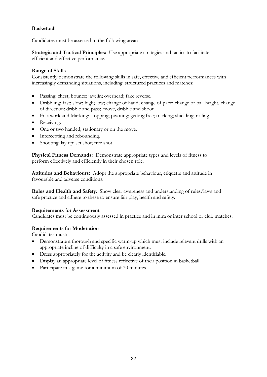#### **Basketball**

Candidates must be assessed in the following areas:

**Strategic and Tactical Principles:** Use appropriate strategies and tactics to facilitate efficient and effective performance.

#### **Range of Skills**

Consistently demonstrate the following skills in safe, effective and efficient performances with increasingly demanding situations, including: structured practices and matches:

- Passing: chest; bounce; javelin; overhead; fake reverse.
- Dribbling: fast; slow; high; low; change of hand; change of pace; change of ball height, change of direction; dribble and pass; move, dribble and shoot.
- Footwork and Marking: stopping; pivoting; getting free; tracking; shielding; rolling.
- Receiving.
- One or two handed; stationary or on the move.
- Intercepting and rebounding.
- Shooting: lay up; set shot; free shot.

**Physical Fitness Demands:** Demonstrate appropriate types and levels of fitness to perform effectively and efficiently in their chosen role.

**Attitudes and Behaviours:** Adopt the appropriate behaviour, etiquette and attitude in favourable and adverse conditions.

**Rules and Health and Safety**: Show clear awareness and understanding of rules/laws and safe practice and adhere to these to ensure fair play, health and safety.

#### **Requirements for Assessment**

Candidates must be continuously assessed in practice and in intra or inter school or club matches.

#### **Requirements for Moderation**

- Demonstrate a thorough and specific warm-up which must include relevant drills with an appropriate incline of difficulty in a safe environment.
- Dress appropriately for the activity and be clearly identifiable.
- Display an appropriate level of fitness reflective of their position in basketball.
- Participate in a game for a minimum of 30 minutes.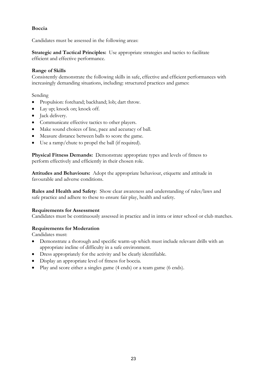#### **Boccia**

Candidates must be assessed in the following areas:

**Strategic and Tactical Principles:** Use appropriate strategies and tactics to facilitate efficient and effective performance.

#### **Range of Skills**

Consistently demonstrate the following skills in safe, effective and efficient performances with increasingly demanding situations, including: structured practices and games:

#### Sending

- Propulsion: forehand; backhand; lob; dart throw.
- Lay up; knock on; knock off.
- **Jack delivery.**
- Communicate effective tactics to other players.
- Make sound choices of line, pace and accuracy of ball.
- Measure distance between balls to score the game.
- Use a ramp/chute to propel the ball (if required).

**Physical Fitness Demands:** Demonstrate appropriate types and levels of fitness to perform effectively and efficiently in their chosen role.

**Attitudes and Behaviours:** Adopt the appropriate behaviour, etiquette and attitude in favourable and adverse conditions.

**Rules and Health and Safety**: Show clear awareness and understanding of rules/laws and safe practice and adhere to these to ensure fair play, health and safety.

#### **Requirements for Assessment**

Candidates must be continuously assessed in practice and in intra or inter school or club matches.

#### **Requirements for Moderation**

- Demonstrate a thorough and specific warm-up which must include relevant drills with an appropriate incline of difficulty in a safe environment.
- Dress appropriately for the activity and be clearly identifiable.
- Display an appropriate level of fitness for boccia.
- Play and score either a singles game (4 ends) or a team game (6 ends).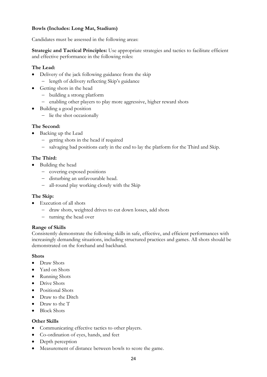#### **Bowls (Includes: Long Mat, Stadium)**

Candidates must be assessed in the following areas:

**Strategic and Tactical Principles:** Use appropriate strategies and tactics to facilitate efficient and effective performance in the following roles:

#### **The Lead:**

- Delivery of the jack following guidance from the skip
	- − length of delivery reflecting Skip's guidance
- Getting shots in the head
	- − building a strong platform
	- − enabling other players to play more aggressive, higher reward shots
- Building a good position
	- − lie the shot occasionally

#### **The Second:**

- Backing up the Lead
	- − getting shots in the head if required
	- − salvaging bad positions early in the end to lay the platform for the Third and Skip.

#### **The Third:**

- Building the head
	- − covering exposed positions
	- − disturbing an unfavourable head.
	- − all-round play working closely with the Skip

#### **The Skip:**

- Execution of all shots
	- − draw shots, weighted drives to cut down losses, add shots
	- − turning the head over

#### **Range of Skills**

Consistently demonstrate the following skills in safe, effective, and efficient performances with increasingly demanding situations, including structured practices and games. All shots should be demonstrated on the forehand and backhand.

#### **Shots**

- Draw Shots
- Yard on Shots
- Running Shots
- Drive Shots
- Positional Shots
- Draw to the Ditch
- Draw to the T
- Block Shots

#### **Other Skills**

- Communicating effective tactics to other players.
- Co-ordination of eyes, hands, and feet
- Depth perception
- Measurement of distance between bowls to score the game.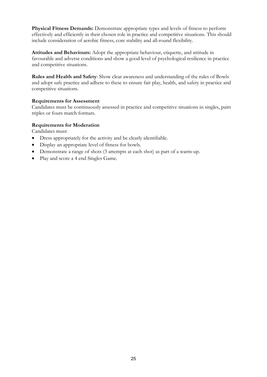**Physical Fitness Demands:** Demonstrate appropriate types and levels of fitness to perform effectively and efficiently in their chosen role in practice and competitive situations. This should include consideration of aerobic fitness, core stability and all-round flexibility.

**Attitudes and Behaviours:** Adopt the appropriate behaviour, etiquette, and attitude in favourable and adverse conditions and show a good level of psychological resilience in practice and competitive situations.

**Rules and Health and Safety**: Show clear awareness and understanding of the rules of Bowls and adopt safe practice and adhere to these to ensure fair play, health, and safety in practice and competitive situations.

#### **Requirements for Assessment**

Candidates must be continuously assessed in practice and competitive situations in singles, pairs triples or fours match formats.

#### **Requirements for Moderation**

- Dress appropriately for the activity and be clearly identifiable.
- Display an appropriate level of fitness for bowls.
- Demonstrate a range of shots (3 attempts at each shot) as part of a warm-up.
- Play and score a 4 end Singles Game.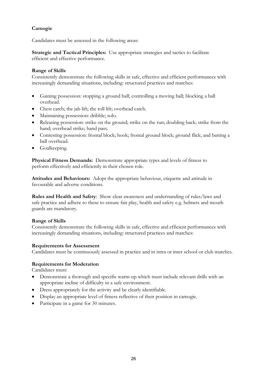#### **Camogie**

Candidates must be assessed in the following areas:

**Strategic and Tactical Principles:** Use appropriate strategies and tactics to facilitate efficient and effective performance.

#### **Range of Skills**

Consistently demonstrate the following skills in safe, effective and efficient performances with increasingly demanding situations, including: structured practices and matches:

- Gaining possession: stopping a ground ball; controlling a moving ball; blocking a ball overhead.
- Chest catch; the jab lift; the roll lift; overhead catch.
- Maintaining possession: dribble; solo.
- Releasing possession: strike on the ground; strike on the run; doubling back; strike from the hand; overhead strike; hand pass.
- Contesting possession: frontal block; hook; frontal ground block; ground flick; and batting a ball overhead.
- Goalkeeping.

**Physical Fitness Demands:** Demonstrate appropriate types and levels of fitness to perform effectively and efficiently in their chosen role.

**Attitudes and Behaviours:** Adopt the appropriate behaviour, etiquette and attitude in favourable and adverse conditions.

**Rules and Health and Safety**: Show clear awareness and understanding of rules/laws and safe practice and adhere to these to ensure fair play, health and safety e.g. helmets and mouth guards are mandatory.

#### **Range of Skills**

Consistently demonstrate the following skills in safe, effective and efficient performances with increasingly demanding situations, including: structured practices and matches:

#### **Requirements for Assessment**

Candidates must be continuously assessed in practice and in intra or inter school or club matches.

#### **Requirements for Moderation**

- Demonstrate a thorough and specific warm-up which must include relevant drills with an appropriate incline of difficulty in a safe environment.
- Dress appropriately for the activity and be clearly identifiable.
- Display an appropriate level of fitness reflective of their position in camogie.
- Participate in a game for 30 minutes.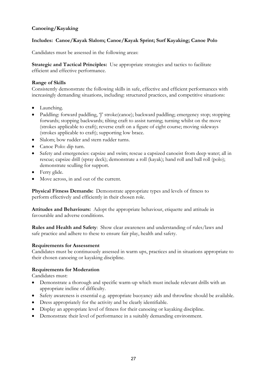#### **Canoeing/Kayaking**

#### **Includes: Canoe/Kayak Slalom; Canoe/Kayak Sprint; Surf Kayaking; Canoe Polo**

Candidates must be assessed in the following areas:

**Strategic and Tactical Principles:** Use appropriate strategies and tactics to facilitate efficient and effective performance.

#### **Range of Skills**

Consistently demonstrate the following skills in safe, effective and efficient performances with increasingly demanding situations, including: structured practices, and competitive situations:

- Launching.
- Paddling: forward paddling, 'T stroke(canoe); backward paddling; emergency stop; stopping forwards; stopping backwards; tilting craft to assist turning; turning whilst on the move (strokes applicable to craft); reverse craft on a figure of eight course; moving sideways (strokes applicable to craft); supporting low brace.
- Slalom; bow rudder and stern rudder turns.
- Canoe Polo: dip turn.
- Safety and emergencies: capsize and swim; rescue a capsized canoeist from deep water; all in rescue; capsize drill (spray deck); demonstrate a roll (kayak); hand roll and ball roll (polo); demonstrate sculling for support.
- Ferry glide.
- Move across, in and out of the current.

**Physical Fitness Demands:** Demonstrate appropriate types and levels of fitness to perform effectively and efficiently in their chosen role.

**Attitudes and Behaviours:** Adopt the appropriate behaviour, etiquette and attitude in favourable and adverse conditions.

**Rules and Health and Safety**: Show clear awareness and understanding of rules/laws and safe practice and adhere to these to ensure fair play, health and safety.

#### **Requirements for Assessment**

Candidates must be continuously assessed in warm ups, practices and in situations appropriate to their chosen canoeing or kayaking discipline.

#### **Requirements for Moderation**

- Demonstrate a thorough and specific warm-up which must include relevant drills with an appropriate incline of difficulty.
- Safety awareness is essential e.g. appropriate buoyancy aids and throwline should be available.
- Dress appropriately for the activity and be clearly identifiable.
- Display an appropriate level of fitness for their canoeing or kayaking discipline.
- Demonstrate their level of performance in a suitably demanding environment.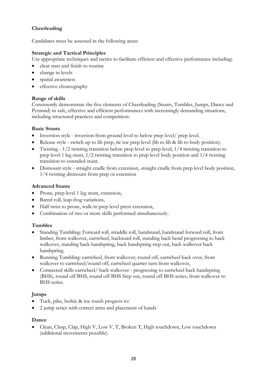#### **Cheerleading**

Candidates must be assessed in the following areas:

#### **Strategic and Tactical Principles**

Use appropriate techniques and tactics to facilitate efficient and effective performance including:

- clear start and finish to routine
- change in levels
- spatial awareness
- effective choreography

#### **Range of skills**

Consistently demonstrate the five elements of Cheerleading (Stunts, Tumbles, Jumps, Dance and Pyramid) in safe, effective and efficient performances with increasingly demanding situations, including structured practices and competition:

#### **Basic Stunts**

- Inversion style inversion from ground level to below prep level/ prep level.
- Release style switch up to lib prep, tic toc prep level (lib to lib & lib to body position).
- Twisting 1/2 twisting transition below prep level to prep level, 1/4 twisting transition to prep level 1 leg stunt, 1/2 twisting transition to prep level body position and 1/4 twisting transition to extended stunt.
- Dismount style straight cradle from extension, straight cradle from prep level body position, 1/4 twisting dismount from prep or extension

#### **Advanced Stunts**

- Prone, prep level 1 leg stunt, extension,
- Barrel roll, leap-frog variations,
- Half twist to prone, walk-in prep level press extension,
- Combination of two or more skills performed simultaneously.

#### **Tumbles**

- Standing Tumbling: Forward roll, straddle roll, handstand, handstand forward roll, front limber, front walkover, cartwheel, backward roll, standing back bend progressing to back walkover, standing back handspring, back handspring step out, back walkover back handspring.
- Running Tumbling: cartwheel, front walkover, round off, cartwheel back over, front walkover to cartwheel/round off, cartwheel quarter turn front walkover,
- Connected skills cartwheel/ back walkover progressing to cartwheel back handspring (BHS), round off BHS, round off BHS Step out, round off BHS series, front walkover to BHS series.

#### **Jumps**

- Tuck, pike, herkie & toe touch progress to:
- 2 jump series with correct arms and placement of hands

#### **Dance**

• Clean, Clasp, Clap, High V, Low V, T, Broken T, High touchdown, Low touchdown (additional movements possible).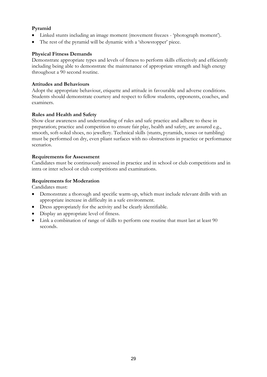#### **Pyramid**

- Linked stunts including an image moment (movement freezes 'photograph moment').
- The rest of the pyramid will be dynamic with a 'showstopper' piece.

#### **Physical Fitness Demands**

Demonstrate appropriate types and levels of fitness to perform skills effectively and efficiently including being able to demonstrate the maintenance of appropriate strength and high energy throughout a 90 second routine.

#### **Attitudes and Behaviours**

Adopt the appropriate behaviour, etiquette and attitude in favourable and adverse conditions. Students should demonstrate courtesy and respect to fellow students, opponents, coaches, and examiners.

#### **Rules and Health and Safety**

Show clear awareness and understanding of rules and safe practice and adhere to these in preparation; practice and competition to ensure fair play, health and safety, are assured e.g., smooth, soft-soled shoes, no jewellery. Technical skills (stunts, pyramids, tosses or tumbling) must be performed on dry, even pliant surfaces with no obstructions in practice or performance scenarios.

#### **Requirements for Assessment**

Candidates must be continuously assessed in practice and in school or club competitions and in intra or inter school or club competitions and examinations.

#### **Requirements for Moderation**

- Demonstrate a thorough and specific warm-up, which must include relevant drills with an appropriate increase in difficulty in a safe environment.
- Dress appropriately for the activity and be clearly identifiable.
- Display an appropriate level of fitness.
- Link a combination of range of skills to perform one routine that must last at least 90 seconds.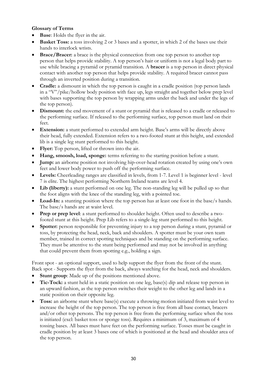#### **Glossary of Terms**

- **Base:** Holds the flyer in the air.
- **Basket Toss:** a toss involving 2 or 3 bases and a spotter, in which 2 of the bases use their hands to interlock wrists.
- **Brace/Bracer:** a brace is the physical connection from one top person to another top person that helps provide stability. A top person's hair or uniform is not a legal body part to use while bracing a pyramid or pyramid transition. A **bracer** is a top person in direct physical contact with another top person that helps provide stability. A required bracer cannot pass through an inverted position during a transition.
- **Cradle:** a dismount in which the top person is caught in a cradle position (top person lands in a "V"/pike/hollow body position with face up, legs straight and together below prep level with bases supporting the top person by wrapping arms under the back and under the legs of the top person).
- **Dismount:** the end movement of a stunt or pyramid that is released to a cradle or released to the performing surface. If released to the performing surface, top person must land on their feet.
- **Extension:** a stunt performed to extended arm height. Base's arms will be directly above their head, fully extended. Extension refers to a two-footed stunt at this height, and extended lib is a single leg stunt performed to this height.
- **Flyer:** Top person, lifted or thrown into the air.
- **Hang, smoosh, load, sponge:** terms referring to the starting position before a stunt.
- **Jump:** an airborne position not involving hip-over-head rotation created by using one's own feet and lower body power to push off the performing surface.
- **Levels:** Cheerleading ranges are classified in levels, from 1-7. Level 1 is beginner level level 7 is elite. The highest performing Northern Ireland teams are level 4.
- Lib (liberty): a stunt performed on one leg. The non-standing leg will be pulled up so that the foot aligns with the knee of the standing leg, with a pointed toe.
- Load-In: a stunting position where the top person has at least one foot in the base/s hands. The base/s hands are at waist level.
- **Prep or prep level**: a stunt performed to shoulder height. Often used to describe a twofooted stunt at this height. Prep Lib refers to a single-leg stunt performed to this height.
- **Spotter:** person responsible for preventing injury to a top person during a stunt, pyramid or toss, by protecting the head, neck, back and shoulders. A spotter must be your own team member, trained in correct spotting techniques and be standing on the performing surface. They must be attentive to the stunt being performed and may not be involved in anything that could prevent them from spotting e.g., holding a sign.

Front spot - an optional support, used to help support the flyer from the front of the stunt. Back spot - Supports the flyer from the back, always watching for the head, neck and shoulders.

- **Stunt group**: Made up of the positions mentioned above.
- **Tic-Tock:** a stunt held in a static position on one leg, base(s) dip and release top person in an upward fashion, as the top person switches their weight to the other leg and lands in a static position on their opposite leg.
- **Toss:** an airborne stunt where base(s) execute a throwing motion initiated from waist level to increase the height of the top person. The top person is free from all base contact, bracers and/or other top persons. The top person is free from the performing surface when the toss is initiated (excl: basket toss or sponge toss). Requires a minimum of 3, maximum of 4 tossing bases. All bases must have feet on the performing surface. Tosses must be caught in cradle position by at least 3 bases one of which is positioned at the head and shoulder area of the top person.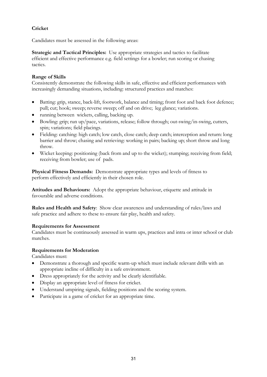#### **Cricket**

Candidates must be assessed in the following areas:

**Strategic and Tactical Principles:** Use appropriate strategies and tactics to facilitate efficient and effective performance e.g. field settings for a bowler; run scoring or chasing tactics.

#### **Range of Skills**

Consistently demonstrate the following skills in safe, effective and efficient performances with increasingly demanding situations, including: structured practices and matches:

- Batting: grip, stance, back-lift, footwork, balance and timing; front foot and back foot defence; pull; cut; hook; sweep; reverse sweep; off and on drive; leg glance; variations.
- running between wickets, calling, backing up.
- Bowling: grip; run up/pace, variations, release; follow through; out-swing/in-swing, cutters, spin; variations; field placings.
- Fielding: catching: high catch; low catch, close catch; deep catch; interception and return: long barrier and throw; chasing and retrieving: working in pairs; backing up; short throw and long throw.
- Wicket keeping: positioning (back from and up to the wicket); stumping; receiving from field; receiving from bowler; use of pads.

**Physical Fitness Demands:** Demonstrate appropriate types and levels of fitness to perform effectively and efficiently in their chosen role.

**Attitudes and Behaviours:** Adopt the appropriate behaviour, etiquette and attitude in favourable and adverse conditions.

**Rules and Health and Safety**: Show clear awareness and understanding of rules/laws and safe practice and adhere to these to ensure fair play, health and safety.

#### **Requirements for Assessment**

Candidates must be continuously assessed in warm ups, practices and intra or inter school or club matches.

#### **Requirements for Moderation**

- Demonstrate a thorough and specific warm-up which must include relevant drills with an appropriate incline of difficulty in a safe environment.
- Dress appropriately for the activity and be clearly identifiable.
- Display an appropriate level of fitness for cricket.
- Understand umpiring signals, fielding positions and the scoring system.
- Participate in a game of cricket for an appropriate time.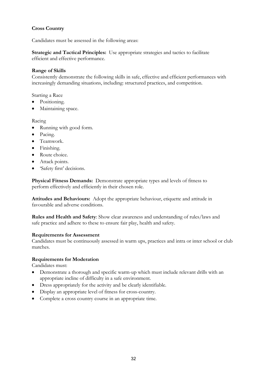#### **Cross Country**

Candidates must be assessed in the following areas:

**Strategic and Tactical Principles:** Use appropriate strategies and tactics to facilitate efficient and effective performance.

#### **Range of Skills**

Consistently demonstrate the following skills in safe, effective and efficient performances with increasingly demanding situations, including: structured practices, and competition.

Starting a Race

- Positioning.
- Maintaining space.

#### Racing

- Running with good form.
- Pacing.
- Teamwork.
- Finishing.
- Route choice.
- Attack points.
- 'Safety first' decisions.

**Physical Fitness Demands:** Demonstrate appropriate types and levels of fitness to perform effectively and efficiently in their chosen role.

**Attitudes and Behaviours:** Adopt the appropriate behaviour, etiquette and attitude in favourable and adverse conditions.

**Rules and Health and Safety**: Show clear awareness and understanding of rules/laws and safe practice and adhere to these to ensure fair play, health and safety.

#### **Requirements for Assessment**

Candidates must be continuously assessed in warm ups, practices and intra or inter school or club matches.

#### **Requirements for Moderation**

- Demonstrate a thorough and specific warm-up which must include relevant drills with an appropriate incline of difficulty in a safe environment.
- Dress appropriately for the activity and be clearly identifiable.
- Display an appropriate level of fitness for cross-country.
- Complete a cross country course in an appropriate time.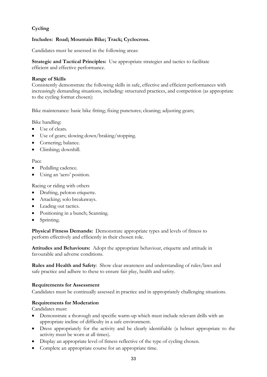#### **Cycling**

#### **Includes: Road; Mountain Bike; Track; Cyclocross.**

Candidates must be assessed in the following areas:

**Strategic and Tactical Principles:** Use appropriate strategies and tactics to facilitate efficient and effective performance.

#### **Range of Skills**

Consistently demonstrate the following skills in safe, effective and efficient performances with increasingly demanding situations, including: structured practices, and competition (as appropriate to the cycling format chosen):

Bike maintenance: basic bike fitting; fixing punctures; cleaning; adjusting gears;

Bike handling:

- Use of cleats.
- Use of gears; slowing down/braking/stopping.
- Cornering; balance.
- Climbing; downhill.

#### Pace

- Pedalling cadence.
- Using an 'aero' position.

Racing or riding with others

- Drafting, peloton etiquette.
- Attacking; solo breakaways.
- Leading out tactics.
- Positioning in a bunch; Scanning.
- Sprinting.

**Physical Fitness Demands:** Demonstrate appropriate types and levels of fitness to perform effectively and efficiently in their chosen role.

**Attitudes and Behaviours:** Adopt the appropriate behaviour, etiquette and attitude in favourable and adverse conditions.

**Rules and Health and Safety**: Show clear awareness and understanding of rules/laws and safe practice and adhere to these to ensure fair play, health and safety.

#### **Requirements for Assessment**

Candidates must be continually assessed in practice and in appropriately challenging situations.

#### **Requirements for Moderation**

- Demonstrate a thorough and specific warm-up which must include relevant drills with an appropriate incline of difficulty in a safe environment.
- Dress appropriately for the activity and be clearly identifiable (a helmet appropriate to the activity must be worn at all times).
- Display an appropriate level of fitness reflective of the type of cycling chosen.
- Complete an appropriate course for an appropriate time.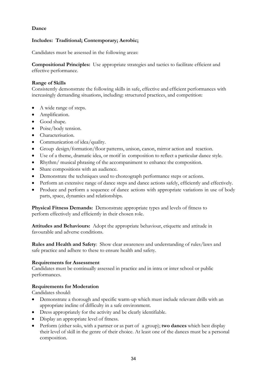#### **Dance**

#### **Includes: Traditional; Contemporary; Aerobic;**

Candidates must be assessed in the following areas:

**Compositional Principles:** Use appropriate strategies and tactics to facilitate efficient and effective performance.

#### **Range of Skills**

Consistently demonstrate the following skills in safe, effective and efficient performances with increasingly demanding situations, including: structured practices, and competition:

- A wide range of steps.
- Amplification.
- Good shape.
- Poise/body tension.
- Characterisation.
- Communication of idea/quality.
- Group design/formation/floor patterns, unison, canon, mirror action and reaction.
- Use of a theme, dramatic idea, or motif in composition to reflect a particular dance style.
- Rhythm/ musical phrasing of the accompaniment to enhance the composition.
- Share compositions with an audience.
- Demonstrate the techniques used to choreograph performance steps or actions.
- Perform an extensive range of dance steps and dance actions safely, efficiently and effectively.
- Produce and perform a sequence of dance actions with appropriate variations in use of body parts, space, dynamics and relationships.

**Physical Fitness Demands:** Demonstrate appropriate types and levels of fitness to perform effectively and efficiently in their chosen role.

**Attitudes and Behaviours:** Adopt the appropriate behaviour, etiquette and attitude in favourable and adverse conditions.

**Rules and Health and Safety**: Show clear awareness and understanding of rules/laws and safe practice and adhere to these to ensure health and safety.

#### **Requirements for Assessment**

Candidates must be continually assessed in practice and in intra or inter school or public performances.

#### **Requirements for Moderation**

Candidates should:

- Demonstrate a thorough and specific warm-up which must include relevant drills with an appropriate incline of difficulty in a safe environment.
- Dress appropriately for the activity and be clearly identifiable.
- Display an appropriate level of fitness.
- Perform (either solo, with a partner or as part of a group); **two dances** which best display their level of skill in the genre of their choice. At least one of the dances must be a personal composition.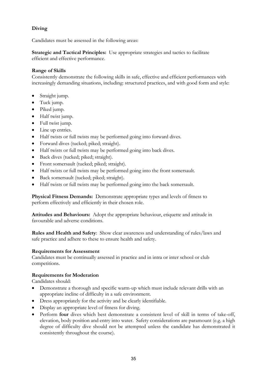# **Diving**

Candidates must be assessed in the following areas:

**Strategic and Tactical Principles:** Use appropriate strategies and tactics to facilitate efficient and effective performance.

## **Range of Skills**

Consistently demonstrate the following skills in safe, effective and efficient performances with increasingly demanding situations, including: structured practices, and with good form and style:

- Straight jump.
- Tuck jump.
- Piked jump.
- Half twist jump.
- Full twist jump.
- Line up entries.
- Half twists or full twists may be performed going into forward dives.
- Forward dives (tucked; piked; straight).
- Half twists or full twists may be performed going into back dives.
- Back dives (tucked; piked; straight).
- Front somersault (tucked; piked; straight).
- Half twists or full twists may be performed going into the front somersault.
- Back somersault (tucked; piked; straight).
- Half twists or full twists may be performed going into the back somersault.

**Physical Fitness Demands:** Demonstrate appropriate types and levels of fitness to perform effectively and efficiently in their chosen role.

**Attitudes and Behaviours:** Adopt the appropriate behaviour, etiquette and attitude in favourable and adverse conditions.

**Rules and Health and Safety**: Show clear awareness and understanding of rules/laws and safe practice and adhere to these to ensure health and safety.

### **Requirements for Assessment**

Candidates must be continually assessed in practice and in intra or inter school or club competitions.

### **Requirements for Moderation**

- Demonstrate a thorough and specific warm-up which must include relevant drills with an appropriate incline of difficulty in a safe environment.
- Dress appropriately for the activity and be clearly identifiable.
- Display an appropriate level of fitness for diving.
- Perform **four** dives which best demonstrate a consistent level of skill in terms of take-off, elevation, body position and entry into water. Safety considerations are paramount (e.g. a high degree of difficulty dive should not be attempted unless the candidate has demonstrated it consistently throughout the course).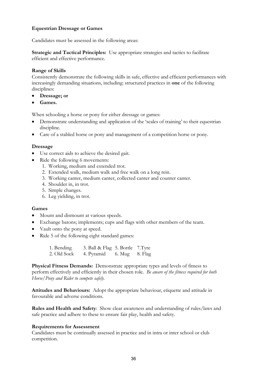## **Equestrian Dressage or Games**

Candidates must be assessed in the following areas:

**Strategic and Tactical Principles:** Use appropriate strategies and tactics to facilitate efficient and effective performance.

### **Range of Skills**

Consistently demonstrate the following skills in safe, effective and efficient performances with increasingly demanding situations, including: structured practices in **one** of the following disciplines:

- **Dressage; or**
- **Games.**

When schooling a horse or pony for either dressage or games:

- Demonstrate understanding and application of the 'scales of training' to their equestrian discipline.
- Care of a stabled horse or pony and management of a competition horse or pony.

### **Dressage**

- Use correct aids to achieve the desired gait.
- Ride the following 6 movements:
	- 1. Working, medium and extended trot.
	- 2. Extended walk, medium walk and free walk on a long rein.
	- 3. Working canter, medium canter, collected canter and counter canter.
	- 4. Shoulder in, in trot.
	- 5. Simple changes.
	- 6. Leg yielding, in trot.

### **Games**

- Mount and dismount at various speeds.
- Exchange batons; implements; cups and flags with other members of the team.
- Vault onto the pony at speed.
- Ride 5 of the following eight standard games:

1. Bending 3. Ball & Flag 5. Bottle 7. Tyre 2. Old Sock 4. Pyramid 6. Mug 8. Flag

**Physical Fitness Demands:** Demonstrate appropriate types and levels of fitness to perform effectively and efficiently in their chosen role. *Be aware of the fitness required for both Horse/Pony and Rider to compete safely.*

**Attitudes and Behaviours:** Adopt the appropriate behaviour, etiquette and attitude in favourable and adverse conditions.

**Rules and Health and Safety**: Show clear awareness and understanding of rules/laws and safe practice and adhere to these to ensure fair play, health and safety.

### **Requirements for Assessment**

Candidates must be continually assessed in practice and in intra or inter school or club competition.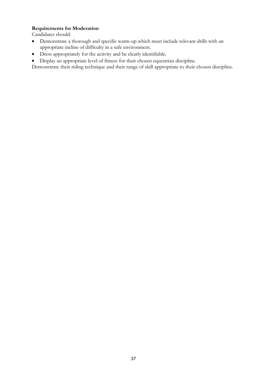## **Requirements for Moderation**

- Demonstrate a thorough and specific warm-up which must include relevant drills with an appropriate incline of difficulty in a safe environment.
- Dress appropriately for the activity and be clearly identifiable.
- Display an appropriate level of fitness for their chosen equestrian discipline.
- Demonstrate their riding technique and their range of skill appropriate to their chosen discipline.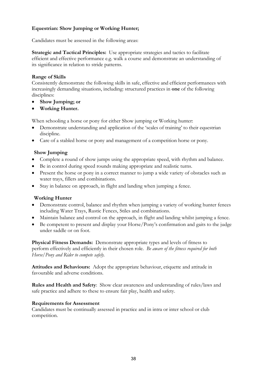# **Equestrian: Show Jumping or Working Hunter;**

Candidates must be assessed in the following areas:

**Strategic and Tactical Principles:** Use appropriate strategies and tactics to facilitate efficient and effective performance e.g. walk a course and demonstrate an understanding of its significance in relation to stride patterns.

## **Range of Skills**

Consistently demonstrate the following skills in safe, effective and efficient performances with increasingly demanding situations, including: structured practices in **one** of the following disciplines:

- **Show Jumping; or**
- **Working Hunter.**

When schooling a horse or pony for either Show jumping or Working hunter:

- Demonstrate understanding and application of the 'scales of training' to their equestrian discipline.
- Care of a stabled horse or pony and management of a competition horse or pony.

## **Show Jumping**

- Complete a round of show jumps using the appropriate speed, with rhythm and balance.
- Be in control during speed rounds making appropriate and realistic turns.
- Present the horse or pony in a correct manner to jump a wide variety of obstacles such as water trays, fillers and combinations.
- Stay in balance on approach, in flight and landing when jumping a fence.

### **Working Hunter**

- Demonstrate control, balance and rhythm when jumping a variety of working hunter fences including Water Trays, Rustic Fences, Stiles and combinations.
- Maintain balance and control on the approach, in flight and landing whilst jumping a fence.
- Be competent to present and display your Horse/Pony's confirmation and gaits to the judge under saddle or on foot.

**Physical Fitness Demands:** Demonstrate appropriate types and levels of fitness to perform effectively and efficiently in their chosen role. *Be aware of the fitness required for both Horse/Pony and Rider to compete safely.*

**Attitudes and Behaviours:** Adopt the appropriate behaviour, etiquette and attitude in favourable and adverse conditions.

**Rules and Health and Safety**: Show clear awareness and understanding of rules/laws and safe practice and adhere to these to ensure fair play, health and safety.

### **Requirements for Assessment**

Candidates must be continually assessed in practice and in intra or inter school or club competition.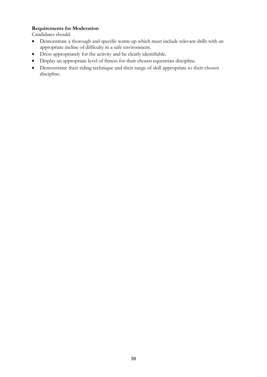## **Requirements for Moderation**

- Demonstrate a thorough and specific warm-up which must include relevant drills with an appropriate incline of difficulty in a safe environment.
- Dress appropriately for the activity and be clearly identifiable.
- Display an appropriate level of fitness for their chosen equestrian discipline.
- Demonstrate their riding technique and their range of skill appropriate to their chosen discipline.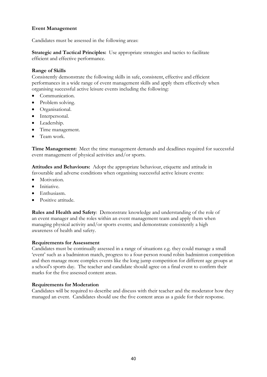## **Event Management**

Candidates must be assessed in the following areas:

**Strategic and Tactical Principles:** Use appropriate strategies and tactics to facilitate efficient and effective performance.

### **Range of Skills**

Consistently demonstrate the following skills in safe, consistent, effective and efficient performances in a wide range of event management skills and apply them effectively when organising successful active leisure events including the following:

- Communication.
- Problem solving.
- Organisational.
- Interpersonal.
- Leadership.
- Time management.
- Team work.

**Time Management:** Meet the time management demands and deadlines required for successful event management of physical activities and/or sports.

**Attitudes and Behaviours:** Adopt the appropriate behaviour, etiquette and attitude in favourable and adverse conditions when organising successful active leisure events:

- Motivation.
- Initiative.
- Enthusiasm.
- Positive attitude.

**Rules and Health and Safety**: Demonstrate knowledge and understanding of the role of an event manager and the roles within an event management team and apply them when managing physical activity and/or sports events; and demonstrate consistently a high awareness of health and safety.

### **Requirements for Assessment**

Candidates must be continually assessed in a range of situations e.g. they could manage a small 'event' such as a badminton match, progress to a four-person round robin badminton competition and then manage more complex events like the long jump competition for different age groups at a school's sports day. The teacher and candidate should agree on a final event to confirm their marks for the five assessed content areas.

### **Requirements for Moderation**

Candidates will be required to describe and discuss with their teacher and the moderator how they managed an event. Candidates should use the five content areas as a guide for their response.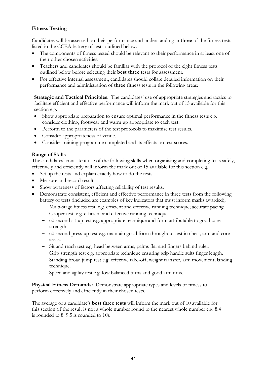# **Fitness Testing**

Candidates will be assessed on their performance and understanding in **three** of the fitness tests listed in the CCEA battery of tests outlined below.

- The components of fitness tested should be relevant to their performance in at least one of their other chosen activities.
- Teachers and candidates should be familiar with the protocol of the eight fitness tests outlined below before selecting their **best three** tests for assessment.
- For effective internal assessment, candidates should collate detailed information on their performance and administration of **three** fitness tests in the following areas:

**Strategic and Tactical Principles**: The candidates' use of appropriate strategies and tactics to facilitate efficient and effective performance will inform the mark out of 15 available for this section e.g.

- Show appropriate preparation to ensure optimal performance in the fitness tests e.g. consider clothing, footwear and warm up appropriate to each test.
- Perform to the parameters of the test protocols to maximise test results.
- Consider appropriateness of venue.
- Consider training programme completed and its effects on test scores.

## **Range of Skills**

The candidates' consistent use of the following skills when organising and completing tests safely, effectively and efficiently will inform the mark out of 15 available for this section e.g.

- Set up the tests and explain exactly how to do the tests.
- Measure and record results.
- Show awareness of factors affecting reliability of test results.
- Demonstrate consistent, efficient and effective performance in three tests from the following battery of tests (included are examples of key indicators that must inform marks awarded);
	- − Multi-stage fitness test: e.g. efficient and effective running technique; accurate pacing.
	- − Cooper test: e.g. efficient and effective running technique.
	- − 60 second sit-up test e.g. appropriate technique and form attributable to good core strength.
	- − 60 second press-up test e.g. maintain good form throughout test in chest, arm and core areas.
	- − Sit and reach test e.g. head between arms, palms flat and fingers behind ruler.
	- − Grip strength test e.g. appropriate technique ensuring grip handle suits finger length.
	- − Standing broad jump test e.g. effective take-off, weight transfer, arm movement, landing technique.
	- − Speed and agility test e.g. low balanced turns and good arm drive.

**Physical Fitness Demands:** Demonstrate appropriate types and levels of fitness to perform effectively and efficiently in their chosen tests.

The average of a candidate's **best three tests** will inform the mark out of 10 available for this section (if the result is not a whole number round to the nearest whole number e.g. 8.4 is rounded to 8. 9.5 is rounded to 10).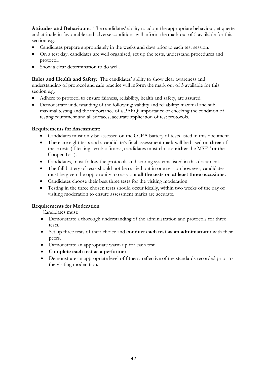**Attitudes and Behaviours:** The candidates' ability to adopt the appropriate behaviour, etiquette and attitude in favourable and adverse conditions will inform the mark out of 5 available for this section e.g.

- Candidates prepare appropriately in the weeks and days prior to each test session.
- On a test day, candidates are well organised, set up the tests, understand procedures and protocol.
- Show a clear determination to do well.

**Rules and Health and Safety**: The candidates' ability to show clear awareness and understanding of protocol and safe practice will inform the mark out of 5 available for this section e.g.

- Adhere to protocol to ensure fairness, reliability, health and safety, are assured.
- Demonstrate understanding of the following: validity and reliability; maximal and sub maximal testing and the importance of a PARQ; importance of checking the condition of testing equipment and all surfaces; accurate application of test protocols.

### **Requirements for Assessment:**

- Candidates must only be assessed on the CCEA battery of tests listed in this document.
- There are eight tests and a candidate's final assessment mark will be based on **three** of these tests (if testing aerobic fitness, candidates must choose **either** the MSFT **or** the Cooper Test).
- Candidates, must follow the protocols and scoring systems listed in this document.
- The full battery of tests should not be carried out in one session however; candidates must be given the opportunity to carry out **all the tests on at least three occasions.**
- Candidates choose their best three tests for the visiting moderation.
- Testing in the three chosen tests should occur ideally, within two weeks of the day of visiting moderation to ensure assessment marks are accurate.

### **Requirements for Moderation**

Candidates must:

- Demonstrate a thorough understanding of the administration and protocols for three tests.
- Set up three tests of their choice and **conduct each test as an administrator** with their peers.
- Demonstrate an appropriate warm up for each test.
- **Complete each test as a performer**.
- Demonstrate an appropriate level of fitness, reflective of the standards recorded prior to the visiting moderation.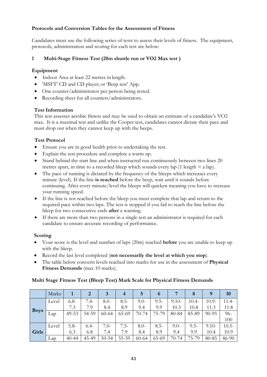## **Protocols and Conversion Tables for the Assessment of Fitness**

Candidates must use the following series of tests to assess their levels of fitness. The equipment, protocols, administration and scoring for each test are below:

# **1 Multi-Stage Fitness Test (20m shuttle run or VO2 Max test )**

## **Equipment**

- Indoor Area at least 22 metres in length.
- 'MSFT' CD and CD player; or 'Beep test' App.
- One counter/administrator per person being tested.
- Recording sheet for all counters/administrators.

## **Test Information**

This test assesses aerobic fitness and may be used to obtain an estimate of a candidate's VO2 max. It is a maximal test and unlike the Cooper test, candidates cannot dictate their pace and must drop out when they cannot keep up with the beeps.

# **Test Protocol**

- Ensure you are in good health prior to undertaking the test.
- Explain the test procedure and complete a warm up.
- Stand behind the start line and when instructed run continuously between two lines 20 metres apart, in time to a recorded bleep which sounds every lap  $(1 \text{ length} = a \text{ lap}).$
- The pace of running is dictated by the frequency of the bleeps which increases every minute (level). If the line **is reached** before the beep, wait until it sounds before continuing. After every minute/level the bleeps will quicken meaning you have to increase your running speed.
- If the line is not reached before the bleep you must complete that lap and return to the required pace within two laps. The test is stopped if you fail to reach the line before the bleep for two consecutive ends **after** a warning.
- If there are more than two persons in a single test an administrator is required for each candidate to ensure accurate recording of performance.

## **Scoring**

- Your score is the level and number of laps (20m) reached **before** you are unable to keep up with the bleep.
- Record the last level completed (**not necessarily the level at which you stop**).
- The table below converts levels reached into marks for use in the assessment of **Physical Fitness Demands** (max 10 marks).

## **Multi Stage Fitness Test (Bleep Test) Mark Scale for Physical Fitness Demands**

|             | Marks |           | 2      | 3         | $\overline{4}$ | 5         | $\mathbf 6$ |         |         | 9         | <b>10</b> |
|-------------|-------|-----------|--------|-----------|----------------|-----------|-------------|---------|---------|-----------|-----------|
|             | Level | $6.8-$    | $7.4-$ | $8.0-$    | $8.5-$         | $9.0-$    | $9.5 -$     | $9.10-$ | $10.4-$ | $10.9-$   | 11.4-     |
| <b>Boys</b> |       | 7.3       | 7.9    | 8.4       | 8.9            | 9.4       | 9.9         | 10.3    | 10.8    | 11.3      | 11.8      |
|             | Lap   | 49-53     | 54-59  | $60 - 64$ | 65-69          | $70 - 74$ | 75-79       | 80-84   | 85-89   | $90 - 95$ | 96-       |
|             |       |           |        |           |                |           |             |         |         |           | 100       |
|             | Level | $5.8-$    | $6.4-$ | $7.0-$    | $7.5 -$        | $8.0 -$   | $8.5 -$     | $9.0-$  | $9.5 -$ | $9.10-$   | $10.5 -$  |
| Girls       |       | 6.3       | 6.8    | 7.4       | 7.9            | 8.4       | 8.9         | 9.4     | 9.9     | 10.4      | 10.9      |
|             | Lap   | $40 - 44$ | 45-49  | $50 - 54$ | 55-59          | $60 - 64$ | 65-69       | 70-74   | 75-79   | 80-85     | 86-90     |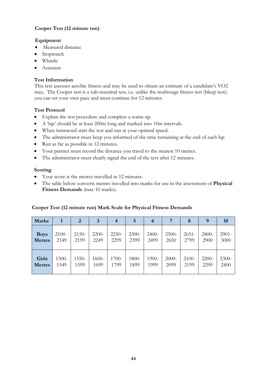## **Cooper Test (12 minute run)**

## **Equipment**

- Measured distance
- Stopwatch
- Whistle
- Assistant

## **Test Information**

This test assesses aerobic fitness and may be used to obtain an estimate of a candidate's VO2 max. The Cooper test is a sub-maximal test, i.e. unlike the multistage fitness test (bleep test); you can set your own pace and must continue for 12 minutes.

## **Test Protocol**

- Explain the test procedure and complete a warm up.
- A 'lap' should be at least 200m long and marked into 10m intervals.
- When instructed start the test and run at your optimal speed.
- The administrator must keep you informed of the time remaining at the end of each lap
- Run as far as possible in 12 minutes.
- Your partner must record the distance you travel to the nearest 10 metres.
- The administrator must clearly signal the end of the test after 12 minutes.

## **Scoring**

- Your score is the metres travelled in 12 minutes.
- The table below converts metres travelled into marks for use in the assessment of **Physical Fitness Demands** (max 10 marks).

### **Cooper Test (12 minute run) Mark Scale for Physical Fitness Demands**

| <b>Marks</b>  |          | 2       | 3     | 4       | 5     | 6       |          | 8        | 9     | 10       |
|---------------|----------|---------|-------|---------|-------|---------|----------|----------|-------|----------|
| <b>Boys</b>   | $2100 -$ | $2150-$ | 2200- | $2250-$ | 2300- | $2400-$ | $2500-$  | $2651 -$ | 2800- | $2901 -$ |
| <b>Metres</b> | 2149     | 2199    | 2249  | 2299    | 2399  | 2499    | 2650     | 2799     | 2900  | 3000     |
| <b>Girls</b>  | 1500-    | 1550-   | 1600- | 1700-   | 1800- | 1900-   | $2000 -$ | 2100-    | 2200- | 2300-    |
| <b>Metres</b> | 1549     | 1599    | 1699  | 1799    | 1899  | 1999    | 2099     | 2199     | 2299  | 2400     |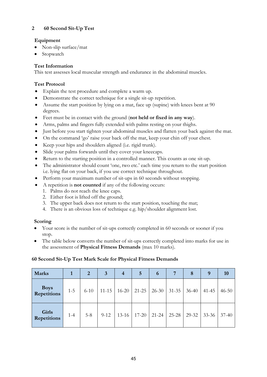# **2 60 Second Sit-Up Test**

## **Equipment**

- Non-slip surface/mat
- Stopwatch

## **Test Information**

This test assesses local muscular strength and endurance in the abdominal muscles.

## **Test Protocol**

- Explain the test procedure and complete a warm up.
- Demonstrate the correct technique for a single sit-up repetition.
- Assume the start position by lying on a mat, face up (supine) with knees bent at 90 degrees.
- Feet must be in contact with the ground (**not held or fixed in any way**).
- Arms, palms and fingers fully extended with palms resting on your thighs.
- Just before you start tighten your abdominal muscles and flatten your back against the mat.
- On the command 'go' raise your back off the mat, keep your chin off your chest.
- Keep your hips and shoulders aligned (i.e. rigid trunk).
- Slide your palms forwards until they cover your kneecaps.
- Return to the starting position in a controlled manner. This counts as one sit-up.
- The administrator should count 'one, two etc.' each time you return to the start position i.e. lying flat on your back, if you use correct technique throughout.
- Perform your maximum number of sit-ups in 60 seconds without stopping.
- A repetition is **not counted** if any of the following occurs:
	- 1. Palms do not reach the knee caps.
	- 2. Either foot is lifted off the ground;
	- 3. The upper back does not return to the start position, touching the mat;
	- 4. There is an obvious loss of technique e.g. hip/shoulder alignment lost.

### **Scoring**

- Your score is the number of sit-ups correctly completed in 60 seconds or sooner if you stop.
- The table below converts the number of sit-ups correctly completed into marks for use in the assessment of **Physical Fitness Demands** (max 10 marks).

### **60 Second Sit-Up Test Mark Scale for Physical Fitness Demands**

| <b>Marks</b>                |         | 2        | 3         | $\overline{4}$ | 5         | 6         | 7         | 8         | 9         | <b>10</b> |
|-----------------------------|---------|----------|-----------|----------------|-----------|-----------|-----------|-----------|-----------|-----------|
| Boys<br>Repetitions         | $1 - 5$ | $6 - 10$ | $11 - 15$ | $16 - 20$      | $21 - 25$ | $26-30$   | $31 - 35$ | $36 - 40$ | $41 - 45$ | $46 - 50$ |
| Girls<br><b>Repetitions</b> | $1 - 4$ | $5 - 8$  | $9 - 12$  | $13 - 16$      | $17 - 20$ | $21 - 24$ | 25-28     | 29-32     | $33 - 36$ | $37 - 40$ |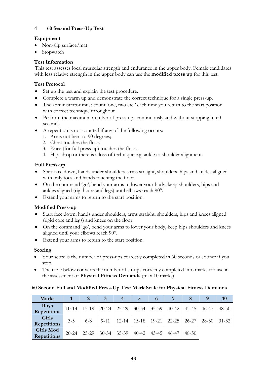# **4 60 Second Press-Up Test**

# **Equipment**

- Non-slip surface/mat
- Stopwatch

# **Test Information**

This test assesses local muscular strength and endurance in the upper body. Female candidates with less relative strength in the upper body can use the **modified press up** for this test.

# **Test Protocol**

- Set up the test and explain the test procedure.
- Complete a warm up and demonstrate the correct technique for a single press-up.
- The administrator must count 'one, two etc.' each time you return to the start position with correct technique throughout.
- Perform the maximum number of press-ups continuously and without stopping in 60 seconds.
- A repetition is not counted if any of the following occurs:
	- 1. Arms not bent to 90 degrees;
	- 2. Chest touches the floor.
	- 3. Knee (for full press up) touches the floor.
	- 4. Hips drop or there is a loss of technique e.g. ankle to shoulder alignment.

# **Full Press-up**

- Start face down, hands under shoulders, arms straight, shoulders, hips and ankles aligned with only toes and hands touching the floor.
- On the command 'go', bend your arms to lower your body, keep shoulders, hips and ankles aligned (rigid core and legs) until elbows reach 90°.
- Extend your arms to return to the start position.

# **Modified Press-up**

- Start face down, hands under shoulders, arms straight, shoulders, hips and knees aligned (rigid core and legs) and knees on the floor.
- On the command 'go', bend your arms to lower your body, keep hips shoulders and knees aligned until your elbows reach 90°.
- Extend your arms to return to the start position.

# **Scoring**

- Your score is the number of press-ups correctly completed in 60 seconds or sooner if you stop.
- The table below converts the number of sit-ups correctly completed into marks for use in the assessment of **Physical Fitness Demands** (max 10 marks).

# **60 Second Full and Modified Press-Up Test Mark Scale for Physical Fitness Demands**

| <b>Marks</b>                    |           |         | 3         | 4         | 5         | o         |           |           | <sup>Q</sup> | 10        |
|---------------------------------|-----------|---------|-----------|-----------|-----------|-----------|-----------|-----------|--------------|-----------|
| <b>Boys</b><br>Repetitions      | $10-14$   | $15-19$ | $20 - 24$ | 25-29     | $30 - 34$ | 35-39     | $40 - 42$ | 43-45     | 46-47        | $48 - 50$ |
| <b>Girls</b><br>Repetitions     | $3 - 5$   | $6 - 8$ | $9 - 11$  | $12 - 14$ | $15-18$   | $19 - 21$ | 22-25     | $26 - 27$ | $28 - 30$    | $31 - 32$ |
| <b>Girls Mod</b><br>Repetitions | $20 - 24$ | 25-29   | $30 - 34$ | 35-39     | $40 - 42$ | $43 - 45$ | 46-47     | $48 - 50$ |              |           |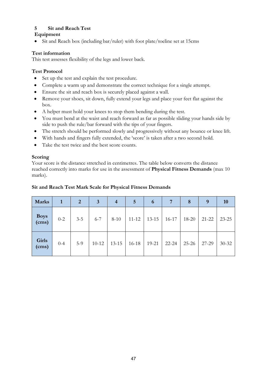# **5 Sit and Reach Test**

# **Equipment**

• Sit and Reach box (including bar/ruler) with foot plate/toeline set at 15cms

# **Test information**

This test assesses flexibility of the legs and lower back.

# **Test Protocol**

- Set up the test and explain the test procedure.
- Complete a warm up and demonstrate the correct technique for a single attempt.
- Ensure the sit and reach box is securely placed against a wall.
- Remove your shoes, sit down, fully extend your legs and place your feet flat against the box.
- A helper must hold your knees to stop them bending during the test.
- You must bend at the waist and reach forward as far as possible sliding your hands side by side to push the rule/bar forward with the tips of your fingers.
- The stretch should be performed slowly and progressively without any bounce or knee lift.
- With hands and fingers fully extended, the 'score' is taken after a two second hold.
- Take the test twice and the best score counts.

## **Scoring**

Your score is the distance stretched in centimetres. The table below converts the distance reached correctly into marks for use in the assessment of **Physical Fitness Demands** (max 10 marks).

## **Sit and Reach Test Mark Scale for Physical Fitness Demands**

| <b>Marks</b>   | 1       | $\overline{2}$ | 3         | $\overline{4}$ | 5         | 6         | 7       | 8         | 9         | 10        |
|----------------|---------|----------------|-----------|----------------|-----------|-----------|---------|-----------|-----------|-----------|
| Boys<br>(cms)  | $0 - 2$ | $3 - 5$        | $6 - 7$   | $8 - 10$       | $11 - 12$ | $13 - 15$ | $16-17$ | 18-20     | $21 - 22$ | $23 - 25$ |
| Girls<br>(cms) | $0 - 4$ | $5-9$          | $10 - 12$ | $13 - 15$      | $16 - 18$ | $19 - 21$ | 22-24   | $25 - 26$ | 27-29     | $30 - 32$ |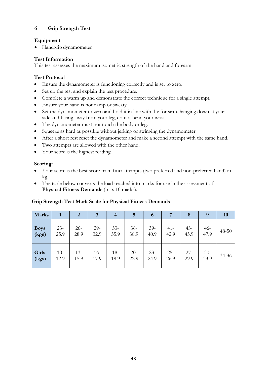# **6 Grip Strength Test**

## **Equipment**

• Handgrip dynamometer

# **Test Information**

This test assesses the maximum isometric strength of the hand and forearm.

# **Test Protocol**

- Ensure the dynamometer is functioning correctly and is set to zero.
- Set up the test and explain the test procedure.
- Complete a warm up and demonstrate the correct technique for a single attempt.
- Ensure your hand is not damp or sweaty.
- Set the dynamometer to zero and hold it in line with the forearm, hanging down at your side and facing away from your leg, do not bend your wrist.
- The dynamometer must not touch the body or leg.
- Squeeze as hard as possible without jerking or swinging the dynamometer.
- After a short rest reset the dynamometer and make a second attempt with the same hand.
- Two attempts are allowed with the other hand.
- Your score is the highest reading.

# **Scoring:**

- Your score is the best score from **four** attempts (two preferred and non-preferred hand) in kg.
- The table below converts the load reached into marks for use in the assessment of **Physical Fitness Demands** (max 10 marks).

| <b>Marks</b> |        | $\overline{2}$ | $\mathbf{3}$ | $\overline{4}$ | 5     | 6      | 7      | 8      | 9     | <b>10</b> |
|--------------|--------|----------------|--------------|----------------|-------|--------|--------|--------|-------|-----------|
| <b>Boys</b>  | $23 -$ | $26 -$         | $29-$        | $33 -$         | $36-$ | $39-$  | $41 -$ | $43 -$ | $46-$ | $48 - 50$ |
| (kgs)        | 25.9   | 28.9           | 32.9         | 35.9           | 38.9  | 40.9   | 42.9   | 45.9   | 47.9  |           |
| <b>Girls</b> | $10-$  | $13 -$         | $16-$        | $18 -$         | $20-$ | $23 -$ | $25 -$ | $27 -$ | $30-$ | 34-36     |
| (kgs)        | 12.9   | 15.9           | 17.9         | 19.9           | 22.9  | 24.9   | 26.9   | 29.9   | 33.9  |           |

## **Grip Strength Test Mark Scale for Physical Fitness Demands**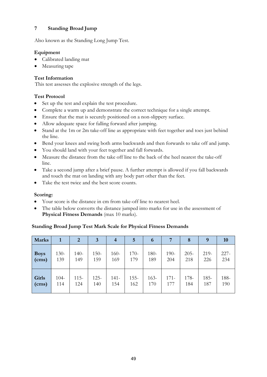# **7 Standing Broad Jump**

Also known as the Standing Long Jump Test.

## **Equipment**

- Calibrated landing mat
- Measuring tape

## **Test Information**

This test assesses the explosive strength of the legs.

## **Test Protocol**

- Set up the test and explain the test procedure.
- Complete a warm up and demonstrate the correct technique for a single attempt.
- Ensure that the mat is securely positioned on a non-slippery surface.
- Allow adequate space for falling forward after jumping.
- Stand at the 1m or 2m take-off line as appropriate with feet together and toes just behind the line.
- Bend your knees and swing both arms backwards and then forwards to take off and jump.
- You should land with your feet together and fall forwards.
- Measure the distance from the take off line to the back of the heel nearest the take-off line.
- Take a second jump after a brief pause. A further attempt is allowed if you fall backwards and touch the mat on landing with any body part other than the feet.
- Take the test twice and the best score counts.

## **Scoring:**

- Your score is the distance in cm from take-off line to nearest heel.
- The table below converts the distance jumped into marks for use in the assessment of **Physical Fitness Demands** (max 10 marks).

## **Standing Broad Jump Test Mark Scale for Physical Fitness Demands**

| <b>Marks</b> |         | $\overline{2}$ | $\mathbf{3}$ | $\overline{4}$ | 5       | 6       |         | 8       | 9       | <b>10</b> |
|--------------|---------|----------------|--------------|----------------|---------|---------|---------|---------|---------|-----------|
| <b>Boys</b>  | $130-$  | $140-$         | $150-$       | $160 -$        | $170-$  | $180 -$ | $190-$  | $205 -$ | $219-$  | $227 -$   |
| (cms)        | 139     | 149            | 159          | 169            | 179     | 189     | 204     | 218     | 226     | 234       |
| <b>Girls</b> | $104 -$ | $115 -$        | $125 -$      | $141-$         | $155 -$ | $163 -$ | $171 -$ | 178-    | $185 -$ | 188-      |
| (cms)        | 114     | 124            | 140          | 154            | 162     | 170     | 177     | 184     | 187     | 190       |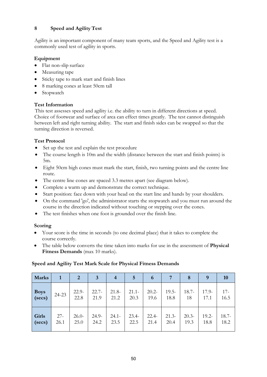# **8 Speed and Agility Test**

Agility is an important component of many team sports, and the Speed and Agility test is a commonly used test of agility in sports.

# **Equipment**

- Flat non-slip surface
- [Measuring](http://www.topendsports.com/resources/stores.htm?node=30&cat=Tape%20Measures) tape
- Sticky tape to mark start and finish lines
- 8 marking [cones at least 50cm tall](http://www.topendsports.com/resources/stores.htm?node=29&cat=Cones)
- [Stopwatch](http://www.topendsports.com/resources/stores.htm?node=28&cat=Stopwatches)

# **Test Information**

This test assesses speed and agility i.e. the ability to turn in different directions at speed. Choice of footwear and surface of area can effect times greatly. The test cannot distinguish between left and right turning ability. The start and finish sides can be swapped so that the turning direction is reversed.

# **Test Protocol**

- Set up the test and explain the test procedure
- The course length is 10m and the width (distance between the start and finish points) is 5m.
- Eight 50cm high cones must mark the start, finish, two turning points and the centre line route.
- The centre line cones are spaced 3.3 metres apart (see diagram below).
- Complete a warm up and demonstrate the correct technique.
- Start position: face down with your head on the start line and hands by your shoulders.
- On the command 'go', the administrator starts the stopwatch and you must run around the course in the direction indicated without touching or stepping over the cones.
- The test finishes when one foot is grounded over the finish line.

## **Scoring**

- Your score is the time in seconds (to one decimal place) that it takes to complete the course correctly.
- The table below converts the time taken into marks for use in the assessment of **Physical Fitness Demands** (max 10 marks).

## **Speed and Agility Test Mark Scale for Physical Fitness Demands**

| <b>Marks</b>            | 1              | 2               | 3               | 4                | $\overline{5}$   | 6                | $7\phantom{.0}$  | 8               | 9                | <b>10</b>        |
|-------------------------|----------------|-----------------|-----------------|------------------|------------------|------------------|------------------|-----------------|------------------|------------------|
| Boys<br>(secs)          | 24-23          | $22.9-$<br>22.8 | $22.7-$<br>21.9 | $21.8 -$<br>21.2 | $21.1 -$<br>20.3 | $20.2 -$<br>19.6 | $19.5 -$<br>18.8 | $18.7 -$<br>18  | $17.9-$<br>17.1  | $17-$<br>16.5    |
| Girls<br>$\vert$ (secs) | $27 -$<br>26.1 | $26.0-$<br>25.0 | $24.9-$<br>24.2 | $24.1 -$<br>23.5 | $23.4 -$<br>22.5 | $22.4-$<br>21.4  | $21.3-$<br>20.4  | $20.3-$<br>19.3 | $19.2 -$<br>18.8 | $18.7 -$<br>18.2 |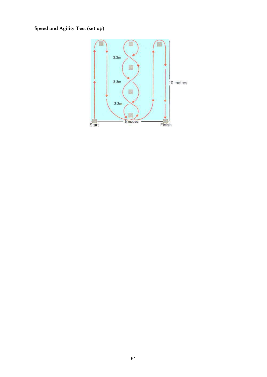# **Speed and Agility Test(set up)**

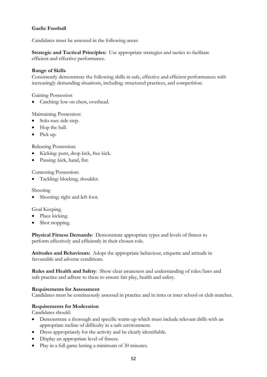## **Gaelic Football**

Candidates must be assessed in the following areas:

**Strategic and Tactical Principles:** Use appropriate strategies and tactics to facilitate efficient and effective performance.

## **Range of Skills**

Consistently demonstrate the following skills in safe, effective and efficient performances with increasingly demanding situations, including: structured practices, and competition:

Gaining Possession

Catching: low on chest, overhead.

## Maintaining Possession:

- Solo-run: side step.
- Hop the ball.
- Pick up.

Releasing Possession:

- Kicking: punt, drop kick, free kick.
- Passing: kick, hand, fist.

Contesting Possession:

Tackling: blocking, shoulder.

Shooting

Shooting: right and left foot.

Goal Keeping.

- Place kicking.
- Shot stopping.

**Physical Fitness Demands:** Demonstrate appropriate types and levels of fitness to perform effectively and efficiently in their chosen role.

**Attitudes and Behaviours:** Adopt the appropriate behaviour, etiquette and attitude in favourable and adverse conditions.

**Rules and Health and Safety**: Show clear awareness and understanding of rules/laws and safe practice and adhere to these to ensure fair play, health and safety.

### **Requirements for Assessment**

Candidates must be continuously assessed in practice and in intra or inter school or club matches.

### **Requirements for Moderation**

- Demonstrate a thorough and specific warm-up which must include relevant drills with an appropriate incline of difficulty in a safe environment.
- Dress appropriately for the activity and be clearly identifiable.
- Display an appropriate level of fitness.
- Play in a full game lasting a minimum of 30 minutes.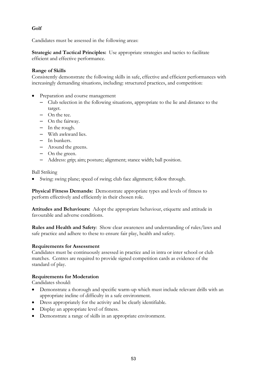**Golf**

Candidates must be assessed in the following areas:

**Strategic and Tactical Principles:** Use appropriate strategies and tactics to facilitate efficient and effective performance.

## **Range of Skills**

Consistently demonstrate the following skills in safe, effective and efficient performances with increasingly demanding situations, including: structured practices, and competition:

- Preparation and course management
	- Club selection in the following situations, appropriate to the lie and distance to the target.
	- On the tee.
	- On the fairway.
	- In the rough.
	- With awkward lies.
	- In bunkers.
	- Around the greens.
	- On the green.
	- Address: grip; aim; posture; alignment; stance width; ball position.

Ball Striking

Swing: swing plane; speed of swing; club face alignment; follow through.

**Physical Fitness Demands:** Demonstrate appropriate types and levels of fitness to perform effectively and efficiently in their chosen role.

**Attitudes and Behaviours:** Adopt the appropriate behaviour, etiquette and attitude in favourable and adverse conditions.

**Rules and Health and Safety**: Show clear awareness and understanding of rules/laws and safe practice and adhere to these to ensure fair play, health and safety.

### **Requirements for Assessment**

Candidates must be continuously assessed in practice and in intra or inter school or club matches. Centres are required to provide signed competition cards as evidence of the standard of play.

### **Requirements for Moderation**

- Demonstrate a thorough and specific warm-up which must include relevant drills with an appropriate incline of difficulty in a safe environment.
- Dress appropriately for the activity and be clearly identifiable.
- Display an appropriate level of fitness.
- Demonstrate a range of skills in an appropriate environment.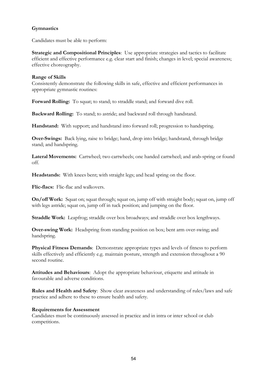## **Gymnastics**

Candidates must be able to perform:

**Strategic and Compositional Principles**: Use appropriate strategies and tactics to facilitate efficient and effective performance e.g. clear start and finish; changes in level; special awareness; effective choreography.

### **Range of Skills**

Consistently demonstrate the following skills in safe, effective and efficient performances in appropriate gymnastic routines:

**Forward Rolling:** To squat; to stand; to straddle stand; and forward dive roll.

**Backward Rolling:** To stand; to astride; and backward roll through handstand.

**Handstand:** With support; and handstand into forward roll; progression to handspring.

**Over-Swings:** Back lying, raise to bridge; hand, drop into bridge; handstand, through bridge stand; and handspring.

**Lateral Movements:** Cartwheel; two cartwheels; one handed cartwheel; and arab-spring or found off.

Headstands: With knees bent; with straight legs; and head spring on the floor.

**Flic-flacs:** Flic-flac and walkovers.

**On/off Work:** Squat on; squat through; squat on, jump off with straight body; squat on, jump off with legs astride; squat on, jump off in tuck position; and jumping on the floor.

**Straddle Work:** Leapfrog; straddle over box broadways; and straddle over box lengthways.

**Over-swing Work:** Headspring from standing position on box; bent arm over-swing; and handspring.

**Physical Fitness Demands**: Demonstrate appropriate types and levels of fitness to perform skills effectively and efficiently e.g. maintain posture, strength and extension throughout a 90 second routine.

**Attitudes and Behaviours**: Adopt the appropriate behaviour, etiquette and attitude in favourable and adverse conditions.

**Rules and Health and Safety**: Show clear awareness and understanding of rules/laws and safe practice and adhere to these to ensure health and safety.

### **Requirements for Assessment**

Candidates must be continuously assessed in practice and in intra or inter school or club competitions.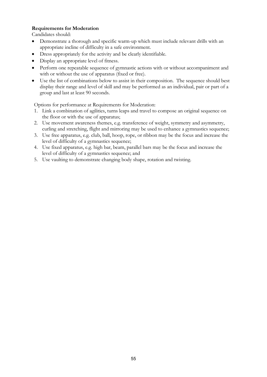## **Requirements for Moderation**

Candidates should:

- Demonstrate a thorough and specific warm-up which must include relevant drills with an appropriate incline of difficulty in a safe environment.
- Dress appropriately for the activity and be clearly identifiable.
- Display an appropriate level of fitness.
- Perform one repeatable sequence of gymnastic actions with or without accompaniment and with or without the use of apparatus (fixed or free).
- Use the list of combinations below to assist in their composition. The sequence should best display their range and level of skill and may be performed as an individual, pair or part of a group and last at least 90 seconds.

Options for performance at Requirements for Moderation:

- 1. Link a combination of agilities, turns leaps and travel to compose an original sequence on the floor or with the use of apparatus;
- 2. Use movement awareness themes, e.g. transference of weight, symmetry and asymmetry, curling and stretching, flight and mirroring may be used to enhance a gymnastics sequence;
- 3. Use free apparatus, e.g. club, ball, hoop, rope, or ribbon may be the focus and increase the level of difficulty of a gymnastics sequence;
- 4. Use fixed apparatus, e.g. high bar, beam, parallel bars may be the focus and increase the level of difficulty of a gymnastics sequence; and
- 5. Use vaulting to demonstrate changing body shape, rotation and twisting.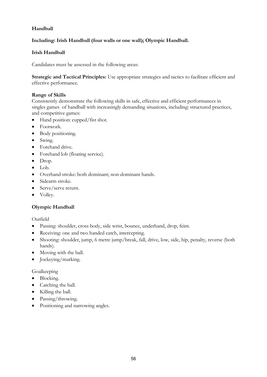# **Handball**

# **Including: Irish Handball (four walls or one wall); Olympic Handball.**

## **Irish Handball**

Candidates must be assessed in the following areas:

**Strategic and Tactical Principles:** Use appropriate strategies and tactics to facilitate efficient and effective performance.

## **Range of Skills**

Consistently demonstrate the following skills in safe, effective and efficient performances in singles games of handball with increasingly demanding situations, including: structured practices, and competitive games:

- Hand position: cupped/fist shot.
- Footwork.
- Body positioning.
- Swing.
- Forehand drive.
- Forehand lob (floating service).
- Drop.
- Lob.
- Overhand stroke: both dominant; non-dominant hands.
- Sidearm stroke.
- Serve/serve return.
- Volley.

## **Olympic Handball**

Outfield

- Passing: shoulder, cross body, side wrist, bounce, underhand, drop, feint.
- Receiving: one and two handed catch, intercepting.
- Shooting: shoulder, jump, 6 metre jump/break, fall, drive, low, side, hip, penalty, reverse (both hands).
- Moving with the ball.
- Jockeying/marking.

### Goalkeeping

- Blocking.
- Catching the ball.
- Killing the ball.
- Passing/throwing.
- Positioning and narrowing angles.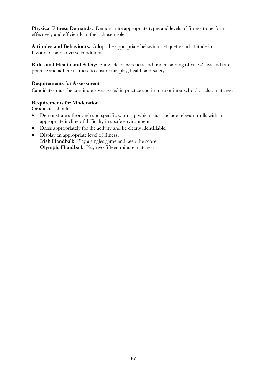**Physical Fitness Demands:** Demonstrate appropriate types and levels of fitness to perform effectively and efficiently in their chosen role.

**Attitudes and Behaviours:** Adopt the appropriate behaviour, etiquette and attitude in favourable and adverse conditions.

**Rules and Health and Safety**: Show clear awareness and understanding of rules/laws and safe practice and adhere to these to ensure fair play, health and safety.

### **Requirements for Assessment**

Candidates must be continuously assessed in practice and in intra or inter school or club matches.

### **Requirements for Moderation**

- Demonstrate a thorough and specific warm-up which must include relevant drills with an appropriate incline of difficulty in a safe environment.
- Dress appropriately for the activity and be clearly identifiable.
- Display an appropriate level of fitness. **Irish Handball:** Play a singles game and keep the score. **Olympic Handball:** Play two fifteen minute matches.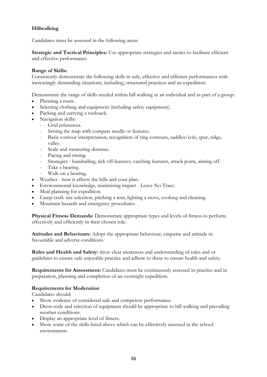# **Hillwalking**

Candidates must be assessed in the following areas:

**Strategic and Tactical Principles:** Use appropriate strategies and tactics to facilitate efficient and effective performance.

## **Range of Skills:**

Consistently demonstrate the following skills in safe, effective and efficient performances with increasingly demanding situations, including; structured practices and an expedition:

Demonstrate the range of skills needed within hill walking as an individual and as part of a group:

- Planning a route.
- Selecting clothing and equipment (including safety equipment).
- Packing and carrying a rucksack.
- Navigation skills:
	- Grid references.
	- Setting the map with compass needle or features.
	- Basic contour interpretation; recognition of ring contours, saddles/cols, spur, ridge, valley.
	- Scale and measuring distance.
	- Pacing and timing.
	- Strategies handrailing, tick off features, catching features, attack point, aiming off.
	- Take a bearing.
	- Walk on a bearing.
- Weather how it affects the hills and your plan.
- Environmental knowledge, minimising impact Leave No Trace.
- Meal planning for expedition.
- Camp craft: site selection, pitching a tent, lighting a stove, cooking and cleaning.
- Mountain hazards and emergency procedures.

**Physical Fitness Demands:** Demonstrate appropriate types and levels of fitness to perform effectively and efficiently in their chosen role.

**Attitudes and Behaviours:** Adopt the appropriate behaviour, etiquette and attitude in favourable and adverse conditions.

**Rules and Health and Safety:** show clear awareness and understanding of rules and or guidelines to ensure safe enjoyable practice and adhere to these to ensure health and safety.

**Requirements for Assessment:** Candidates must be continuously assessed in practice and in preparation, planning and completion of an overnight expedition.

## **Requirements for Moderation**

- Show evidence of considered safe and competent performance.
- Dress code and selection of equipment should be appropriate to hill walking and prevailing weather conditions.
- Display an appropriate level of fitness.
- Show some of the skills listed above which can be effectively assessed in the school environment.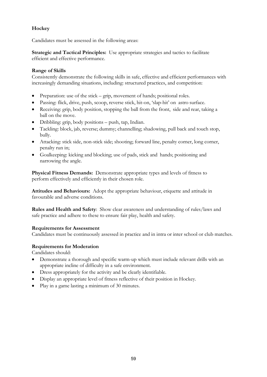# **Hockey**

Candidates must be assessed in the following areas:

**Strategic and Tactical Principles:** Use appropriate strategies and tactics to facilitate efficient and effective performance.

## **Range of Skills**

Consistently demonstrate the following skills in safe, effective and efficient performances with increasingly demanding situations, including: structured practices, and competition:

- Preparation: use of the stick grip, movement of hands; positional roles.
- Passing: flick, drive, push, scoop, reverse stick, hit-on, 'slap-hit' on astro surface.
- Receiving: grip, body position, stopping the ball from the front, side and rear, taking a ball on the move.
- Dribbling: grip, body positions push, tap, Indian.
- Tackling: block, jab, reverse; dummy; channelling; shadowing, pull back and touch stop, bully.
- Attacking: stick side, non-stick side; shooting; forward line, penalty corner, long corner, penalty run in;
- Goalkeeping: kicking and blocking; use of pads, stick and hands; positioning and narrowing the angle.

**Physical Fitness Demands:** Demonstrate appropriate types and levels of fitness to perform effectively and efficiently in their chosen role.

**Attitudes and Behaviours:** Adopt the appropriate behaviour, etiquette and attitude in favourable and adverse conditions.

**Rules and Health and Safety**: Show clear awareness and understanding of rules/laws and safe practice and adhere to these to ensure fair play, health and safety.

### **Requirements for Assessment**

Candidates must be continuously assessed in practice and in intra or inter school or club matches.

## **Requirements for Moderation**

- Demonstrate a thorough and specific warm-up which must include relevant drills with an appropriate incline of difficulty in a safe environment.
- Dress appropriately for the activity and be clearly identifiable.
- Display an appropriate level of fitness reflective of their position in Hockey.
- Play in a game lasting a minimum of 30 minutes.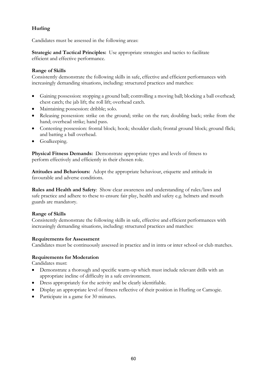# **Hurling**

Candidates must be assessed in the following areas:

**Strategic and Tactical Principles:** Use appropriate strategies and tactics to facilitate efficient and effective performance.

## **Range of Skills**

Consistently demonstrate the following skills in safe, effective and efficient performances with increasingly demanding situations, including: structured practices and matches:

- Gaining possession: stopping a ground ball; controlling a moving ball; blocking a ball overhead; chest catch; the jab lift; the roll lift; overhead catch.
- Maintaining possession: dribble; solo.
- Releasing possession: strike on the ground; strike on the run; doubling back; strike from the hand; overhead strike; hand pass.
- Contesting possession: frontal block; hook; shoulder clash; frontal ground block; ground flick; and batting a ball overhead.
- Goalkeeping.

**Physical Fitness Demands:** Demonstrate appropriate types and levels of fitness to perform effectively and efficiently in their chosen role.

**Attitudes and Behaviours:** Adopt the appropriate behaviour, etiquette and attitude in favourable and adverse conditions.

**Rules and Health and Safety**: Show clear awareness and understanding of rules/laws and safe practice and adhere to these to ensure fair play, health and safety e.g. helmets and mouth guards are mandatory.

### **Range of Skills**

Consistently demonstrate the following skills in safe, effective and efficient performances with increasingly demanding situations, including: structured practices and matches:

### **Requirements for Assessment**

Candidates must be continuously assessed in practice and in intra or inter school or club matches.

### **Requirements for Moderation**

Candidates must:

- Demonstrate a thorough and specific warm-up which must include relevant drills with an appropriate incline of difficulty in a safe environment.
- Dress appropriately for the activity and be clearly identifiable.
- Display an appropriate level of fitness reflective of their position in Hurling or Camogie.
- Participate in a game for 30 minutes.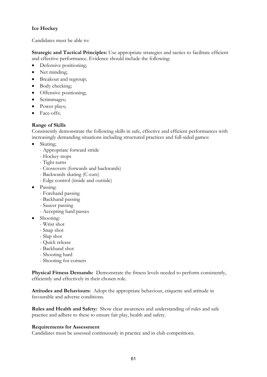# **Ice Hockey**

Candidates must be able to:

**Strategic and Tactical Principles:** Use appropriate strategies and tactics to facilitate efficient and effective performance. Evidence should include the following:

- Defensive positioning;
- Net minding;
- Breakout and regroup;
- Body checking;
- Offensive positioning;
- Scrimmages;
- Power plays;
- Face-offs;

## **Range of Skills**

Consistently demonstrate the following skills in safe, effective and efficient performances with increasingly demanding situations including structured practices and full-sided games:

- Skating;
	- Appropriate forward stride
	- Hockey stops
	- Tight turns
	- Crossovers (forwards and backwards)
	- Backwards skating (C-cuts)
	- Edge control (inside and outside)
- Passing:
	- Forehand passing
	- Backhand passing
	- Saucer passing
	- Accepting hard passes
- Shooting:
	- Wrist shot
	- Snap shot
	- Slap shot
	- Quick release
	- Backhand shot
	- Shooting hard
	- Shooting for corners

**Physical Fitness Demands:** Demonstrate the fitness levels needed to perform consistently, efficiently and effectively in their chosen role.

**Attitudes and Behaviours:** Adopt the appropriate behaviour, etiquette and attitude in favourable and adverse conditions.

**Rules and Health and Safety:** Show clear awareness and understanding of rules and safe practice and adhere to these to ensure fair play, health and safety.

### **Requirements for Assessment**

Candidates must be assessed continuously in practice and in club competitions.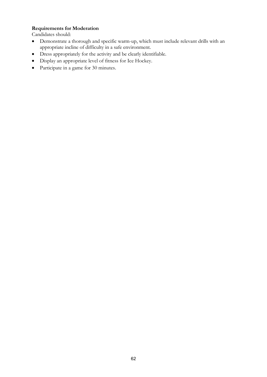## **Requirements for Moderation**

- Demonstrate a thorough and specific warm-up, which must include relevant drills with an appropriate incline of difficulty in a safe environment.
- Dress appropriately for the activity and be clearly identifiable.
- Display an appropriate level of fitness for Ice Hockey.
- Participate in a game for 30 minutes.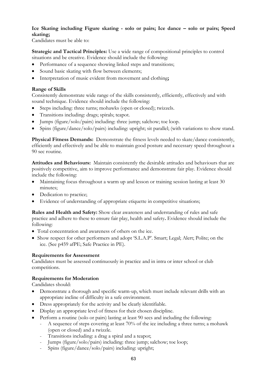# **Ice Skating including Figure skating - solo or pairs; Ice dance – solo or pairs; Speed skating;**

Candidates must be able to:

**Strategic and Tactical Principles:** Use a wide range of compositional principles to control situations and be creative. Evidence should include the following:

- Performance of a sequence showing linked steps and transitions;
- Sound basic skating with flow between elements;
- Interpretation of music evident from movement and clothing**;**

## **Range of Skills**

Consistently demonstrate wide range of the skills consistently, efficiently, effectively and with sound technique. Evidence should include the following:

- Steps including: three turns; mohawks (open or closed); twizzels.
- Transitions including: drags; spirals; teapot.
- Jumps (figure/solo/pairs) including: three jump; salchow; toe loop.
- Spins (figure/dance/solo/pairs) including: upright; sit parallel; (with variations to show stand.

**Physical Fitness Demands:** Demonstrate the fitness levels needed to skate/dance consistently, efficiently and effectively and be able to maintain good posture and necessary speed throughout a 90 sec routine.

**Attitudes and Behaviours:** Maintain consistently the desirable attitudes and behaviours that are positively competitive, aim to improve performance and demonstrate fair play. Evidence should include the following:

- Maintaining focus throughout a warm up and lesson or training session lasting at least 30 minutes;
- Dedication to practice;
- Evidence of understanding of appropriate etiquette in competitive situations;

**Rules and Health and Safety:** Show clear awareness and understanding of rules and safe practice and adhere to these to ensure fair play, health and safety**.** Evidence should include the following:

- Total concentration and awareness of others on the ice.
- Show respect for other performers and adopt 'S.L.A.P'. Smart; Legal; Alert; Polite; on the ice. (See p459 afPE; Safe Practice in PE).

### **Requirements for Assessment**

Candidates must be assessed continuously in practice and in intra or inter school or club competitions.

## **Requirements for Moderation**

- Demonstrate a thorough and specific warm-up, which must include relevant drills with an appropriate incline of difficulty in a safe environment.
- Dress appropriately for the activity and be clearly identifiable.
- Display an appropriate level of fitness for their chosen discipline.
- Perform a routine (solo or pairs) lasting at least 90 secs and including the following:
	- A sequence of steps covering at least 70% of the ice including a three turns; a mohawk (open or closed) and a twizzle.
	- Transitions including: a drag a spiral and a teapot;
	- Jumps (figure/solo/pairs) including: three jump; salchow; toe loop;
	- Spins (figure/dance/solo/pairs) including: upright;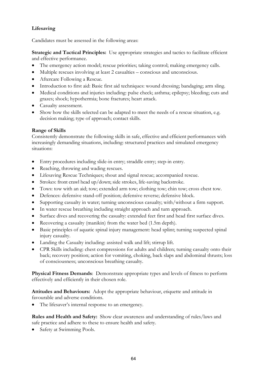# **Lifesaving**

Candidates must be assessed in the following areas:

**Strategic and Tactical Principles:** Use appropriate strategies and tactics to facilitate efficient and effective performance.

- The emergency action model; rescue priorities; taking control; making emergency calls.
- Multiple rescues involving at least 2 casualties conscious and unconscious.
- Aftercare Following a Rescue.
- Introduction to first aid: Basic first aid techniques: wound dressing; bandaging; arm sling.
- Medical conditions and injuries including: pulse check; asthma; epilepsy; bleeding; cuts and grazes; shock; hypothermia; bone fractures; heart attack.
- Casualty assessment.
- Show how the skills selected can be adapted to meet the needs of a rescue situation, e.g. decision making; type of approach; contact skills.

## **Range of Skills**

Consistently demonstrate the following skills in safe, effective and efficient performances with increasingly demanding situations, including: structured practices and simulated emergency situations:

- Entry procedures including slide-in entry; straddle entry; step-in entry.
- Reaching, throwing and wading rescues.
- Lifesaving Rescue Techniques; shout and signal rescue; accompanied rescue.
- Strokes: front crawl head up/down; side strokes, life-saving backstroke.
- Tows: tow with an aid; tow; extended arm tow; clothing tow; chin tow; cross chest tow.
- Defences: defensive stand-off position; defensive reverse; defensive block.
- Supporting casualty in water; turning unconscious casualty; with/without a firm support.
- In water rescue breathing including straight approach and turn approach.
- Surface dives and recovering the casualty: extended feet first and head first surface dives.
- Recovering a casualty (manikin) from the water bed (1.5m depth).
- Basic principles of aquatic spinal injury management: head splint; turning suspected spinal injury casualty.
- Landing the Casualty including: assisted walk and lift; stirrup lift.
- CPR Skills including: chest compressions for adults and children; turning casualty onto their back; recovery position; action for vomiting, choking, back slaps and abdominal thrusts; loss of consciousness; unconscious breathing casualty.

**Physical Fitness Demands**: Demonstrate appropriate types and levels of fitness to perform effectively and efficiently in their chosen role.

**Attitudes and Behaviours:** Adopt the appropriate behaviour, etiquette and attitude in favourable and adverse conditions.

The lifesaver's internal response to an emergency.

**Rules and Health and Safety:** Show clear awareness and understanding of rules/laws and safe practice and adhere to these to ensure health and safety.

• Safety at Swimming Pools.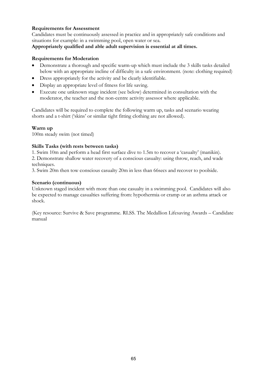## **Requirements for Assessment**

Candidates must be continuously assessed in practice and in appropriately safe conditions and situations for example: in a swimming pool, open water or sea.

### **Appropriately qualified and able adult supervision is essential at all times.**

## **Requirements for Moderation**

- Demonstrate a thorough and specific warm-up which must include the 3 skills tasks detailed below with an appropriate incline of difficulty in a safe environment. (note: clothing required)
- Dress appropriately for the activity and be clearly identifiable.
- Display an appropriate level of fitness for life saving.
- Execute one unknown stage incident (see below) determined in consultation with the moderator, the teacher and the non-centre activity assessor where applicable.

Candidates will be required to complete the following warm up, tasks and scenario wearing shorts and a t-shirt ('skins' or similar tight fitting clothing are not allowed).

### **Warm up**

100m steady swim (not timed)

### **Skills Tasks (with rests between tasks)**

1. Swim 10m and perform a head first surface dive to 1.5m to recover a 'casualty' (manikin). 2. Demonstrate shallow water recovery of a conscious casualty: using throw, reach, and wade techniques.

3. Swim 20m then tow conscious casualty 20m in less than 66secs and recover to poolside.

### **Scenario (continuous)**

Unknown staged incident with more than one casualty in a swimming pool. Candidates will also be expected to manage casualties suffering from: hypothermia or cramp or an asthma attack or shock.

(Key resource: Survive & Save programme. RLSS. The Medallion Lifesaving Awards – Candidate manual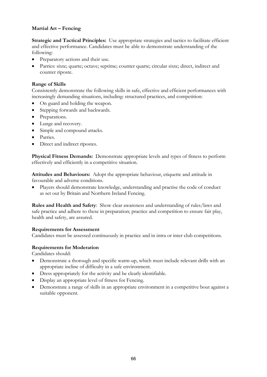## **Martial Art – Fencing**

**Strategic and Tactical Principles:** Use appropriate strategies and tactics to facilitate efficient and effective performance. Candidates must be able to demonstrate understanding of the following:

- Preparatory actions and their use.
- Parries: sixte; quarte; octave; septime; counter quarte; circular sixte; direct, indirect and counter riposte.

## **Range of Skills**

Consistently demonstrate the following skills in safe, effective and efficient performances with increasingly demanding situations, including: structured practices, and competition:

- On guard and holding the weapon.
- Stepping forwards and backwards.
- Preparations.
- Lunge and recovery.
- Simple and compound attacks.
- Parries.
- Direct and indirect ripostes.

**Physical Fitness Demands:** Demonstrate appropriate levels and types of fitness to perform effectively and efficiently in a competitive situation.

**Attitudes and Behaviours:** Adopt the appropriate behaviour, etiquette and attitude in favourable and adverse conditions.

• Players should demonstrate knowledge, understanding and practise the code of conduct as set out by Britain and Northern Ireland Fencing.

**Rules and Health and Safety**: Show clear awareness and understanding of rules/laws and safe practice and adhere to these in preparation; practice and competition to ensure fair play, health and safety, are assured.

### **Requirements for Assessment**

Candidates must be assessed continuously in practice and in intra or inter club competitions.

### **Requirements for Moderation**

- Demonstrate a thorough and specific warm-up, which must include relevant drills with an appropriate incline of difficulty in a safe environment.
- Dress appropriately for the activity and be clearly identifiable.
- Display an appropriate level of fitness for Fencing.
- Demonstrate a range of skills in an appropriate environment in a competitive bout against a suitable opponent.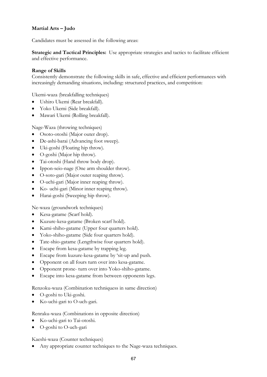# **Martial Arts – Judo**

Candidates must be assessed in the following areas:

**Strategic and Tactical Principles:** Use appropriate strategies and tactics to facilitate efficient and effective performance.

### **Range of Skills**

Consistently demonstrate the following skills in safe, effective and efficient performances with increasingly demanding situations, including: structured practices, and competition:

Ukemi-waza (breakfalling techniques)

- Ushiro Ukemi (Rear breakfall).
- Yoko Ukemi (Side breakfall).
- Mawari Ukemi (Rolling breakfall).

Nage-Waza (throwing techniques)

- Osoto-otoshi (Major outer drop).
- De-ashi-barai (Advancing foot sweep).
- Uki-goshi (Floating hip throw).
- O-goshi (Major hip throw).
- Tai-otoshi (Hand throw body drop).
- Ippon-seio-nage (One arm shoulder throw).
- O-soto-gari (Major outer reaping throw).
- O-uchi-gari (Major inner reaping throw).
- Ko- uchi-gari (Minor inner reaping throw).
- Harai-goshi (Sweeping hip throw).

Ne-waza (groundwork techniques)

- Kesa-gatame (Scarf hold).
- Kuzure-kesa-gatame (Broken scarf hold).
- Kami-shiho-gatame (Upper four quarters hold).
- Yoko-shiho-gatame (Side four quarters hold).
- Tate-shio-gatame (Lengthwise four quarters hold).
- Escape from kesa-gatame by trapping leg.
- Escape from kuzure-kesa-gatame by 'sit-up and push.
- Opponent on all fours turn over into kesa-gatame.
- Opponent prone- turn over into Yoko-shiho-gatame.
- Escape into kesa-gatame from between opponents legs.

Renzoku-waza (Combination techniquess in same direction)

- O-goshi to Uki-goshi.
- Ko-uchi-gari to O-uch-gari.

Renraku-waza (Combinations in opposite direction)

- Ko-uchi-gari to Tai-otoshi.
- O-goshi to O-uch-gari

Kaeshi-waza (Counter techniques)

Any appropriate counter techniques to the Nage-waza techniques.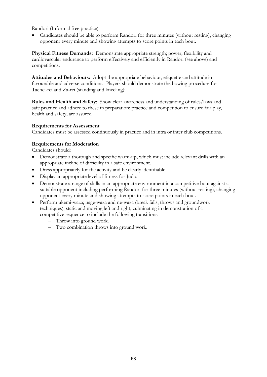Randori (Informal free practice)

• Candidates should be able to perform Randori for three minutes (without resting), changing opponent every minute and showing attempts to score points in each bout.

**Physical Fitness Demands:** Demonstrate appropriate strength; power; flexibility and cardiovascular endurance to perform effectively and efficiently in Randori (see above) and competitions.

**Attitudes and Behaviours:** Adopt the appropriate behaviour, etiquette and attitude in favourable and adverse conditions. Players should demonstrate the bowing procedure for Tachei-rei and Za-rei (standing and kneeling);

**Rules and Health and Safety**: Show clear awareness and understanding of rules/laws and safe practice and adhere to these in preparation; practice and competition to ensure fair play, health and safety, are assured.

## **Requirements for Assessment**

Candidates must be assessed continuously in practice and in intra or inter club competitions.

## **Requirements for Moderation**

- Demonstrate a thorough and specific warm-up, which must include relevant drills with an appropriate incline of difficulty in a safe environment.
- Dress appropriately for the activity and be clearly identifiable.
- Display an appropriate level of fitness for Judo.
- Demonstrate a range of skills in an appropriate environment in a competitive bout against a suitable opponent including performing Randori for three minutes (without resting), changing opponent every minute and showing attempts to score points in each bout.
- Perform ukemi-waza; nage-waza and ne-waza (break falls, throws and groundwork techniques), static and moving left and right, culminating in demonstration of a competitive sequence to include the following transitions:
	- Throw into ground work.
	- Two combination throws into ground work.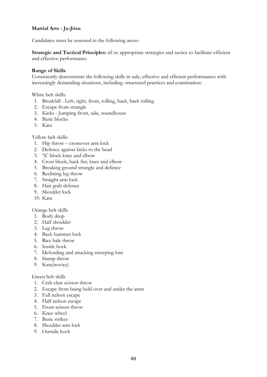# **Martial Arts - Ju-Jitsu**

Candidates must be assessed in the following areas:-

**Strategic and Tactical Principles:** nUse appropriate strategies and tactics to facilitate efficient and effective performance.

### **Range of Skills**

Consistently demonstrate the following skills in safe, effective and efficient performances with increasingly demanding situations, including: structured practices and examination:

White belt skills:

- 1. Breakfall Left, right, front, rolling, back, back rolling
- 2. Escape from strangle
- 3. Kicks Jumping front, side, roundhouse
- 4. Basic blocks
- 5. Kata

Yellow belt skills:

- 1. Hip throw crossover arm lock
- 2. Defence against kicks to the head
- 3. 'X' block knee and elbow
- 4. Cross block, back fist, knee and elbow
- 5. Breaking ground strangle and defence
- 6. Reclining leg throw
- 7. Straight arm lock
- 8. Hair grab defence
- 9. Shoulder lock
- 10. Kata

Orange belt skills

- 1. Body drop
- 2. Half shoulder
- 3. Leg throw
- 4. Back hammer lock
- 5. Rice bale throw
- 6. Inside hock
- 7. Defending and attacking sweeping loin
- 8. Stamp throw
- 9. Kata(novice)

## Green belt skills

- 1. Crab claw scissor throw
- 2. Escape from being held over and under the arms
- 3. Full nelson escape
- 4. Half nelson escape
- 5. Front scissor throw
- 6. Knee wheel
- 7. Basic strikes
- 8. Shoulder arm lock
- 9. Outside hock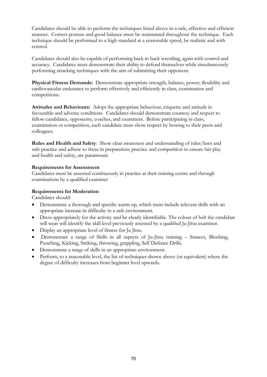Candidates should be able to perform the techniques listed above in a safe, effective and efficient manner. Correct posture and good balance must be maintained throughout the technique. Each technique should be performed to a high standard at a reasonable speed, be realistic and with control.

Candidates should also be capable of performing back to back wrestling, again with control and accuracy. Candidates must demonstrate their ability to defend themselves while simultaneously performing attacking techniques with the aim of submitting their opponent.

**Physical Fitness Demands:** Demonstrate appropriate strength, balance, power; flexibility and cardiovascular endurance to perform effectively and efficiently in class, examination and competitions.

**Attitudes and Behaviours:** Adopt the appropriate behaviour, etiquette and attitude in favourable and adverse conditions. Candidates should demonstrate courtesy and respect to fellow candidates, opponents, coaches, and examiners. Before participating in class, examination or competition, each candidate must show respect by bowing to their peers and colleagues.

**Rules and Health and Safety**: Show clear awareness and understanding of rules/laws and safe practice and adhere to these in preparation; practice and competition to ensure fair play and health and safety, are paramount.

## **Requirements for Assessment**

Candidates must be assessed continuously in practice at their training centre and through examinations by a qualified examiner

## **Requirements for Moderation**

- Demonstrate a thorough and specific warm-up, which must include relevant drills with an appropriate increase in difficulty in a safe environment.
- Dress appropriately for the activity and be clearly identifiable. The colour of belt the candidate will wear will identify the skill level previously assessed by a qualified Ju Jitsu examiner.
- Display an appropriate level of fitness for Ju Jitsu.
- .Demonstrate a range of Skills in all aspects of Ju-Jitsu training Stances, Blocking, Punching, Kicking, Striking, throwing, grappling, Self Defence Drills.
- Demonstrate a range of skills in an appropriate environment.
- Perform, to a reasonable level, the list of techniques shown above (or equivalent) where the degree of difficulty increases from beginner level upwards.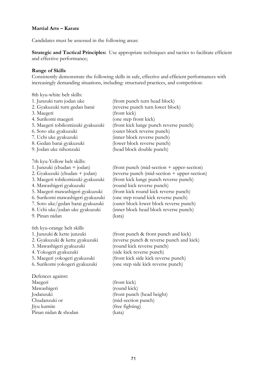### **Martial Arts – Karate**

Candidates must be assessed in the following areas:

**Strategic and Tactical Principles:** Use appropriate techniques and tactics to facilitate efficient and effective performance;

#### **Range of Skills**

Consistently demonstrate the following skills in safe, effective and efficient performances with increasingly demanding situations, including: structured practices, and competition:

8th kyu-white belt skills:

| 1. Junzuki turn jodan uke         | (front punch turn head block)                |
|-----------------------------------|----------------------------------------------|
| 2. Gyakuzuki turn gedan barai     | (reverse punch turn lower block)             |
| 3. Maegeri                        | (front kick)                                 |
| 4. Surikomi maegeri               | (one step front kick)                        |
| 5. Maegeri tobikomizuki gyakuzuki | (front kick lunge punch reverse punch)       |
| 6. Soto uke gyakuzuki             | (outer block reverse punch)                  |
| 7. Uchi uke gyakuzuki             | (inner block reverse punch)                  |
| 8. Gedan barai gyakuzuki          | (lower block reverse punch)                  |
| 9. Jodan uke nihonzuki            | (head block double punch)                    |
| 7th kyu-Yellow belt skills:       |                                              |
| 1. Junzuki (chudan + jodan)       | (front punch (mid-section + upper-section)   |
| 2. Gyakuzuki (chudan + jodan)     | (reverse punch (mid-section + upper-section) |
| 3. Maegeri tobikomizuki gyakuzuki | (front kick lunge punch reverse punch)       |
| 4. Mawashigeri gyakuzuki          | (round kick reverse punch)                   |
| 5. Maegeri mawashigeri gyakuzuki  | (front kick round kick reverse punch)        |
| 6. Surikomi mawashigeri gyakuzuki | (one step round kick reverse punch)          |
| 7. Soto uke/gedan barai gyakuzuki | (outer block lower block reverse punch)      |
| 8. Uchi uke/jodan uke gyakuzuki   | (inner block head block reverse punch)       |
| 9. Pinan nidan                    | (kata)                                       |
| 6th kyu-orange belt skills        |                                              |
| 1. Junzuki & kette junzuki        | (front punch & front punch and kick)         |
| 2. Gyakuzuki & kette gyakuzuki    | (reverse punch & reverse punch and kick)     |
| 3. Mawashigeri gyakuzuki          | (round kick reverse punch)                   |
| 4. Yokogeri gyakuzuki             | (side kick reverse punch)                    |
| 5. Maegeri yokogeri gyakuzuki     | (front kick side kick reverse punch)         |
| 6. Surikomi yokogeri gyakuzuki    | (one step side kick reverse punch)           |
| Defences against:                 |                                              |
| Maegeri                           | (front kick)                                 |
| Mawashigeri                       | (round kick)                                 |
| Jodanzuki                         | (front punch (head height)                   |
| Chudanzuki or                     | (mid-section punch)                          |

Jiyu kumite (free fighting)

Pinan nidan & shodan (kata)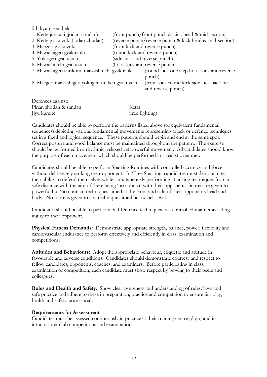5th kyu-green belt 1. Kette junzuki (jodan-chudan) (front punch/front punch & kick head & mid-section) 2. Kette gyakuzuki (jodan-chudan) (reverse punch/reverse punch & kick head & mid-section) 3. Maegeri gyakuzuki (front kick and reverse punch) 4. Mawashigeri gyakuzuki (round kick and reverse punch) 5. Yokogeri gyakuzuki (side kick and reverse punch) 6. Mawashiuchi gyakuzuki (hook kick and reverse punch) 7. Mawashigeri surikomi mawashiuchi gyakuzuki (round kick one step hook kick and reverse punch) 8. Maegeri mawashigeri yokogeri uraken gyakuzuki (front kick round kick side kick back fist and reverse punch) Defences against:

Pinan shodan & sandan (kata) Jiyu kumite (free fighting)

Candidates should be able to perform the patterns listed above (or equivalent fundamental sequences) depicting various fundamental movements representing attack or defence techniques set in a fixed and logical sequence. These patterns should begin and end at the same spot. Correct posture and good balance must be maintained throughout the pattern. The exercise should be performed in a rhythmic, relaxed yet powerful movement. All candidates should know the purpose of each movement which should be performed in a realistic manner.

Candidates should be able to perform Sparring Routines with controlled accuracy and force without deliberately striking their opponent. In 'Free Sparring' candidates must demonstrate their ability to defend themselves while simultaneously performing attacking techniques from a safe distance with the aim of there being 'no contact' with their opponent. Scores are given to powerful but 'no contact' techniques aimed at the front and side of their opponents head and body. No score is given to any technique aimed below belt level.

Candidates should be able to perform Self Defence techniques in a controlled manner avoiding injury to their opponent.

**Physical Fitness Demands:** Demonstrate appropriate strength, balance, power; flexibility and cardiovascular endurance to perform effectively and efficiently in class, examination and competitions.

**Attitudes and Behaviours:** Adopt the appropriate behaviour, etiquette and attitude in favourable and adverse conditions. Candidates should demonstrate courtesy and respect to fellow candidates, opponents, coaches, and examiners. Before participating in class, examination or competition, each candidate must show respect by bowing to their peers and colleagues.

**Rules and Health and Safety**: Show clear awareness and understanding of rules/laws and safe practice and adhere to these in preparation; practice and competition to ensure fair play, health and safety, are assured.

#### **Requirements for Assessment**

Candidates must be assessed continuously in practice at their training centre (dojo) and in intra or inter club competitions and examinations.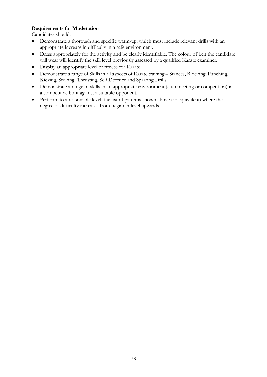# **Requirements for Moderation**

- Demonstrate a thorough and specific warm-up, which must include relevant drills with an appropriate increase in difficulty in a safe environment.
- Dress appropriately for the activity and be clearly identifiable. The colour of belt the candidate will wear will identify the skill level previously assessed by a qualified Karate examiner.
- Display an appropriate level of fitness for Karate.
- Demonstrate a range of Skills in all aspects of Karate training Stances, Blocking, Punching, Kicking, Striking, Thrusting, Self Defence and Sparring Drills.
- Demonstrate a range of skills in an appropriate environment (club meeting or competition) in a competitive bout against a suitable opponent.
- Perform, to a reasonable level, the list of patterns shown above (or equivalent) where the degree of difficulty increases from beginner level upwards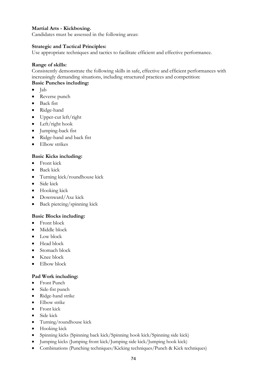## **Martial Arts - Kickboxing.**

Candidates must be assessed in the following areas:

#### **Strategic and Tactical Principles:**

Use appropriate techniques and tactics to facilitate efficient and effective performance.

#### **Range of skills:**

Consistently demonstrate the following skills in safe, effective and efficient performances with increasingly demanding situations, including structured practices and competition:

# **Basic Punches including:**

- Jab
- Reverse punch
- Back fist
- Ridge-hand
- Upper-cut left/right
- Left/right hook
- Jumping-back fist
- Ridge-hand and back fist
- Elbow strikes

#### **Basic Kicks including:**

- Front kick
- Back kick
- Turning kick/roundhouse kick
- Side kick
- Hooking kick
- Downward/Axe kick
- Back piercing/spinning kick

#### **Basic Blocks including:**

- Front block
- Middle block
- Low block
- Head block
- Stomach block
- Knee block
- Elbow block

#### **Pad Work including:**

- Front Punch
- Side-fist punch
- Ridge-hand strike
- Elbow strike
- Front kick
- Side kick
- Turning/roundhouse kick
- Hooking kick
- Spinning kicks (Spinning back kick/Spinning hook kick/Spinning side kick)
- Jumping kicks (Jumping front kick/Jumping side kick/Jumping hook kick)
- Combinations (Punching techniques/Kicking techniques/Punch & Kick techniques)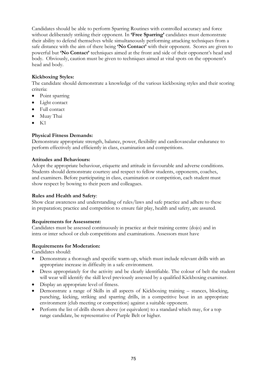Candidates should be able to perform Sparring Routines with controlled accuracy and force without deliberately striking their opponent. In **'Free Sparring'** candidates must demonstrate their ability to defend themselves while simultaneously performing attacking techniques from a safe distance with the aim of there being **'No Contact'** with their opponent. Scores are given to powerful but **'No Contact'** techniques aimed at the front and side of their opponent's head and body. Obviously, caution must be given to techniques aimed at vital spots on the opponent's head and body.

## **Kickboxing Styles:**

The candidate should demonstrate a knowledge of the various kickboxing styles and their scoring criteria:

- Point sparring
- Light contact
- Full contact
- Muay Thai
- $\bullet$  K1

### **Physical Fitness Demands:**

Demonstrate appropriate strength, balance, power, flexibility and cardiovascular endurance to perform effectively and efficiently in class, examination and competitions.

#### **Attitudes and Behaviours:**

Adopt the appropriate behaviour, etiquette and attitude in favourable and adverse conditions. Students should demonstrate courtesy and respect to fellow students, opponents, coaches, and examiners. Before participating in class, examination or competition, each student must show respect by bowing to their peers and colleagues.

#### **Rules and Health and Safety**:

Show clear awareness and understanding of rules/laws and safe practice and adhere to these in preparation; practice and competition to ensure fair play, health and safety, are assured.

#### **Requirements for Assessment:**

Candidates must be assessed continuously in practice at their training centre (dojo) and in intra or inter school or club competitions and examinations. Assessors must have

#### **Requirements for Moderation:**

- Demonstrate a thorough and specific warm-up, which must include relevant drills with an appropriate increase in difficulty in a safe environment.
- Dress appropriately for the activity and be clearly identifiable. The colour of belt the student will wear will identify the skill level previously assessed by a qualified Kickboxing examiner.
- Display an appropriate level of fitness.
- Demonstrate a range of Skills in all aspects of Kickboxing training stances, blocking, punching, kicking, striking and sparring drills, in a competitive bout in an appropriate environment (club meeting or competition) against a suitable opponent.
- Perform the list of drills shown above (or equivalent) to a standard which may, for a top range candidate, be representative of Purple Belt or higher.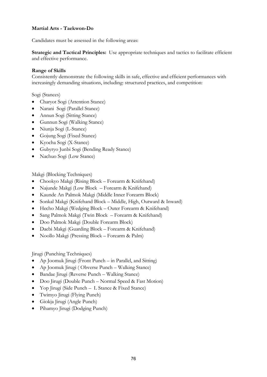## **Martial Arts - Taekwon-Do**

Candidates must be assessed in the following areas:

**Strategic and Tactical Principles:** Use appropriate techniques and tactics to facilitate efficient and effective performance.

#### **Range of Skills**

Consistently demonstrate the following skills in safe, effective and efficient performances with increasingly demanding situations, including: structured practices, and competition:

Sogi (Stances)

- Charyot Sogi (Attention Stance)
- Narani Sogi (Parallel Stance)
- Annun Sogi (Sitting Stance)
- Gunnun Sogi (Walking Stance)
- Niunja Sogi (L-Stance)
- Gojung Sogi (Fixed Stance)
- Kyocha Sogi (X-Stance)
- Gubyryo Junbi Sogi (Bending Ready Stance)
- Nachuo Sogi (Low Stance)

Makgi (Blocking Techniques)

- Chookyo Makgi (Rising Block Forearm & Knifehand)
- Najunde Makgi (Low Block Forearm & Knifehand)
- Kaunde An Palmok Makgi (Middle Inner Forearm Block)
- Sonkal Makgi (Knifehand Block Middle, High, Outward & Inward)
- Hecho Makgi (Wedging Block Outer Forearm & Knifehand)
- Sang Palmok Makgi (Twin Block Forearm & Knifehand)
- Doo Palmok Makgi (Double Forearm Block)
- Daebi Makgi (Guarding Block Forearm & Knifehand)
- Noollo Makgi (Pressing Block Forearm & Palm)

Jirugi (Punching Techniques)

- Ap Joomuk Jirugi (Front Punch in Parallel, and Sitting)
- Ap Joomuk Jirugi (Obverse Punch Walking Stance)
- Bandae Jirugi (Reverse Punch Walking Stance)
- Doo Jirugi (Double Punch Normal Speed & Fast Motion)
- Yop Jirugi (Side Punch L Stance & Fixed Stance)
- Twimyo Jirugi (Flying Punch)
- Giokja Jirugi (Angle Punch)
- Pihamyo Jirugi (Dodging Punch)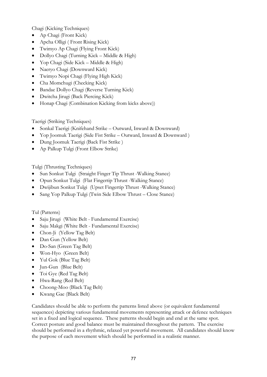Chagi (Kicking Techniques)

- Ap Chagi (Front Kick)
- Apcha Olligi ( Front Rising Kick)
- Twimyo Ap Chagi (Flying Front Kick)
- Dollyo Chagi (Turning Kick Middle & High)
- Yop Chagi (Side Kick Middle & High)
- Naeryo Chagi (Downward Kick)
- Twimyo Nopi Chagi (Flying High Kick)
- Cha Momchugi (Checking Kick)
- Bandae Dollyo Chagi (Reverse Turning Kick)
- Dwitcha Jirugi (Back Piercing Kick)
- Honap Chagi (Combination Kicking from kicks above))

Taerigi (Striking Techniques)

- Sonkal Taerigi (Knifehand Strike Outward, Inward & Downward)
- Yop Joomuk Taerigi (Side Fist Strike Outward, Inward & Downward )
- Dung Joomuk Taerigi (Back Fist Strike )
- Ap Palkup Tulgi (Front Elbow Strike)

Tulgi (Thrusting Techniques)

- Sun Sonkut Tulgi (Straight Finger Tip Thrust -Walking Stance)
- Opun Sonkut Tulgi (Flat Fingertip Thrust -Walking Stance)
- Dwijibun Sonkut Tulgi (Upset Fingertip Thrust -Walking Stance)
- Sang Yop Palkup Tulgi (Twin Side Elbow Thrust Close Stance)

Tul (Patterns)

- Saju Jirugi (White Belt Fundamental Exercise)
- Saju Makgi (White Belt Fundamental Exercise)
- Chon-Ji (Yellow Tag Belt)
- Dan Gun (Yellow Belt)
- Do-San (Green Tag Belt)
- Won-Hyo (Green Belt)
- Yul Gok (Blue Tag Belt)
- Jun-Gun (Blue Belt)
- Toi Gye (Red Tag Belt)
- Hwa-Rang (Red Belt)
- Choong-Moo (Black Tag Belt)
- Kwang Gae (Black Belt)

Candidates should be able to perform the patterns listed above (or equivalent fundamental sequences) depicting various fundamental movements representing attack or defence techniques set in a fixed and logical sequence. These patterns should begin and end at the same spot. Correct posture and good balance must be maintained throughout the pattern. The exercise should be performed in a rhythmic, relaxed yet powerful movement. All candidates should know the purpose of each movement which should be performed in a realistic manner.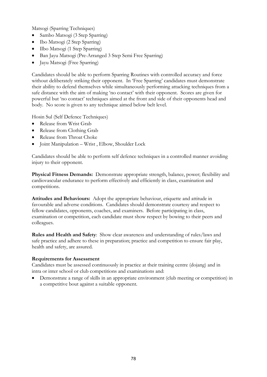Matsogi (Sparring Techniques)

- Sambo Matsogi (3 Step Sparring)
- Ibo Matsogi (2 Step Sparring)
- Ilbo Matsogi (1 Step Sparring)
- Ban Jayu Matsogi (Pre-Arranged 3 Step Semi Free Sparring)
- Jayu Matsogi (Free Sparring)

Candidates should be able to perform Sparring Routines with controlled accuracy and force without deliberately striking their opponent. In 'Free Sparring' candidates must demonstrate their ability to defend themselves while simultaneously performing attacking techniques from a safe distance with the aim of making 'no contact' with their opponent. Scores are given for powerful but 'no contact' techniques aimed at the front and side of their opponents head and body. No score is given to any technique aimed below belt level.

Hosin Sul (Self Defence Techniques)

- Release from Wrist Grab
- Release from Clothing Grab
- Release from Throat Choke
- Joint Manipulation Wrist , Elbow, Shoulder Lock

Candidates should be able to perform self defence techniques in a controlled manner avoiding injury to their opponent.

**Physical Fitness Demands:** Demonstrate appropriate strength, balance, power; flexibility and cardiovascular endurance to perform effectively and efficiently in class, examination and competitions.

**Attitudes and Behaviours:** Adopt the appropriate behaviour, etiquette and attitude in favourable and adverse conditions. Candidates should demonstrate courtesy and respect to fellow candidates, opponents, coaches, and examiners. Before participating in class, examination or competition, each candidate must show respect by bowing to their peers and colleagues.

**Rules and Health and Safety**: Show clear awareness and understanding of rules/laws and safe practice and adhere to these in preparation; practice and competition to ensure fair play, health and safety, are assured.

## **Requirements for Assessment**

Candidates must be assessed continuously in practice at their training centre (dojang) and in intra or inter school or club competitions and examinations and:

• Demonstrate a range of skills in an appropriate environment (club meeting or competition) in a competitive bout against a suitable opponent.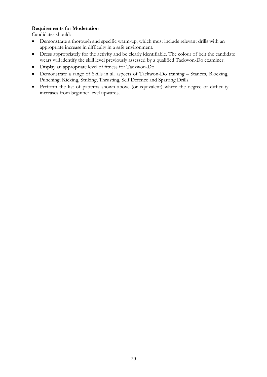## **Requirements for Moderation**

- Demonstrate a thorough and specific warm-up, which must include relevant drills with an appropriate increase in difficulty in a safe environment.
- Dress appropriately for the activity and be clearly identifiable. The colour of belt the candidate wears will identify the skill level previously assessed by a qualified Taekwon-Do examiner.
- Display an appropriate level of fitness for Taekwon-Do.
- Demonstrate a range of Skills in all aspects of Taekwon-Do training Stances, Blocking, Punching, Kicking, Striking, Thrusting, Self Defence and Sparring Drills.
- Perform the list of patterns shown above (or equivalent) where the degree of difficulty increases from beginner level upwards.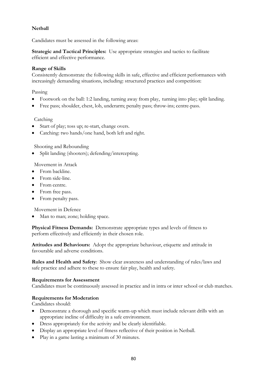# **Netball**

Candidates must be assessed in the following areas:

**Strategic and Tactical Principles:** Use appropriate strategies and tactics to facilitate efficient and effective performance.

### **Range of Skills**

Consistently demonstrate the following skills in safe, effective and efficient performances with increasingly demanding situations, including: structured practices and competition:

Passing

- Footwork on the ball: 1:2 landing, turning away from play, turning into play; split landing.
- Free pass; shoulder, chest, lob, underarm; penalty pass; throw-ins; centre-pass.

### Catching

- Start of play; toss up; re-start, change overs.
- Catching: two hands/one hand, both left and right.

Shooting and Rebounding

• Split landing (shooters); defending/intercepting.

Movement in Attack

- From backline.
- From side-line.
- From centre.
- From free pass.
- From penalty pass.

Movement in Defence

• Man to man; zone; holding space.

**Physical Fitness Demands:** Demonstrate appropriate types and levels of fitness to perform effectively and efficiently in their chosen role.

**Attitudes and Behaviours:** Adopt the appropriate behaviour, etiquette and attitude in favourable and adverse conditions.

**Rules and Health and Safety**: Show clear awareness and understanding of rules/laws and safe practice and adhere to these to ensure fair play, health and safety.

#### **Requirements for Assessment**

Candidates must be continuously assessed in practice and in intra or inter school or club matches.

#### **Requirements for Moderation**

- Demonstrate a thorough and specific warm-up which must include relevant drills with an appropriate incline of difficulty in a safe environment.
- Dress appropriately for the activity and be clearly identifiable.
- Display an appropriate level of fitness reflective of their position in Netball.
- Play in a game lasting a minimum of 30 minutes.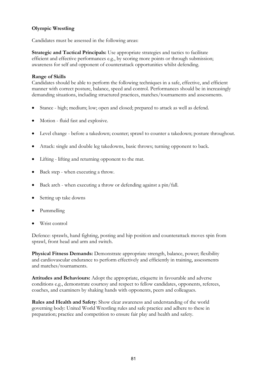## **Olympic Wrestling**

Candidates must be assessed in the following areas:

**Strategic and Tactical Principals:** Use appropriate strategies and tactics to facilitate efficient and effective performances e.g., by scoring more points or through submission; awareness for self and opponent of counterattack opportunities whilst defending.

### **Range of Skills**

Candidates should be able to perform the following techniques in a safe, effective, and efficient manner with correct posture, balance, speed and control. Performances should be in increasingly demanding situations, including structured practices, matches/tournaments and assessments.

- Stance high; medium; low; open and closed; prepared to attack as well as defend.
- Motion fluid fast and explosive.
- Level change before a takedown; counter; sprawl to counter a takedown; posture throughout.
- Attack: single and double leg takedowns, basic throws; turning opponent to back.
- Lifting lifting and returning opponent to the mat.
- Back step when executing a throw.
- Back arch when executing a throw or defending against a pin/fall.
- Setting up take downs
- Pummelling
- Wrist control

Defence: sprawls, hand fighting, posting and hip position and counterattack moves spin from sprawl, front head and arm and switch.

**Physical Fitness Demands:** Demonstrate appropriate strength, balance, power; flexibility and cardiovascular endurance to perform effectively and efficiently in training, assessments and matches/tournaments.

**Attitudes and Behaviours:** Adopt the appropriate, etiquette in favourable and adverse conditions e.g., demonstrate courtesy and respect to fellow candidates, opponents, referees, coaches, and examiners by shaking hands with opponents, peers and colleagues.

**Rules and Health and Safety**: Show clear awareness and understanding of the world governing body: United World Wrestling rules and safe practice and adhere to these in preparation; practice and competition to ensure fair play and health and safety.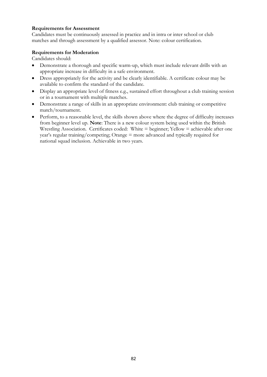### **Requirements for Assessment**

Candidates must be continuously assessed in practice and in intra or inter school or club matches and through assessment by a qualified assessor. Note: colour certification.

### **Requirements for Moderation**

- Demonstrate a thorough and specific warm-up, which must include relevant drills with an appropriate increase in difficulty in a safe environment.
- Dress appropriately for the activity and be clearly identifiable. A certificate colour may be available to confirm the standard of the candidate.
- Display an appropriate level of fitness e.g., sustained effort throughout a club training session or in a tournament with multiple matches.
- Demonstrate a range of skills in an appropriate environment: club training or competitive match/tournament.
- Perform, to a reasonable level, the skills shown above where the degree of difficulty increases from beginner level up. **Note**: There is a new colour system being used within the British Wrestling Association. Certificates coded: White = beginner; Yellow = achievable after one year's regular training/competing; Orange = more advanced and typically required for national squad inclusion. Achievable in two years.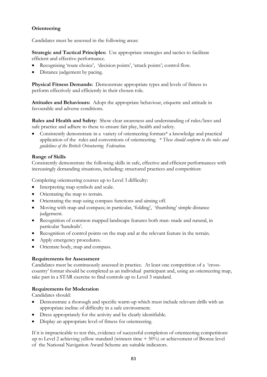# **Orienteering**

Candidates must be assessed in the following areas:

**Strategic and Tactical Principles:** Use appropriate strategies and tactics to facilitate efficient and effective performance.

- Recognising 'route choice', 'decision points', 'attack points'; control flow.
- Distance judgement by pacing.

**Physical Fitness Demands:** Demonstrate appropriate types and levels of fitness to perform effectively and efficiently in their chosen role.

**Attitudes and Behaviours:** Adopt the appropriate behaviour, etiquette and attitude in favourable and adverse conditions.

**Rules and Health and Safety**: Show clear awareness and understanding of rules/laws and safe practice and adhere to these to ensure fair play, health and safety.

• Consistently demonstrate in a variety of orienteering formats<sup>\*</sup> a knowledge and practical application of the rules and conventions of orienteering. *\* These should conform to the rules and guidelines of the British Orienteering Federation.*

### **Range of Skills**

Consistently demonstrate the following skills in safe, effective and efficient performances with increasingly demanding situations, including: structured practices and competition:

Completing orienteering courses up to Level 3 difficulty:

- Interpreting map symbols and scale.
- Orientating the map to terrain.
- Orientating the map using compass functions and aiming off.
- Moving with map and compass; in particular, 'folding', 'thumbing' simple distance judgement.
- Recognition of common mapped landscape features both man- made and natural, in particular 'handrails'.
- Recognition of control points on the map and at the relevant feature in the terrain.
- Apply emergency procedures.
- Orientate body, map and compass.

#### **Requirements for Assessment**

Candidates must be continuously assessed in practice. At least one competition of a 'crosscountry' format should be completed as an individual participant and, using an orienteering map, take part in a STAR exercise to find controls up to Level 3 standard.

#### **Requirements for Moderation**

Candidates should:

- Demonstrate a thorough and specific warm-up which must include relevant drills with an appropriate incline of difficulty in a safe environment.
- Dress appropriately for the activity and be clearly identifiable.
- Display an appropriate level of fitness for orienteering.

If it is impracticable to test this, evidence of successful completion of orienteering competitions up to Level 2 achieving yellow standard (winners time + 50%) or achievement of Bronze level of the National Navigation Award Scheme are suitable indicators.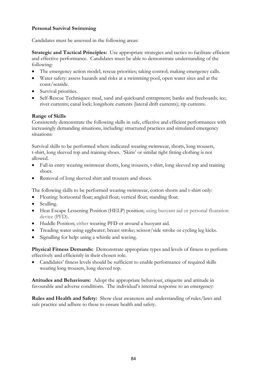## **Personal Survival Swimming**

Candidates must be assessed in the following areas:

**Strategic and Tactical Principles:** Use appropriate strategies and tactics to facilitate efficient and effective performance. Candidates must be able to demonstrate understanding of the following:

- The emergency action model; rescue priorities; taking control; making emergency calls.
- Water safety: assess hazards and risks at a swimming pool, open water sites and at the coast/seaside.
- Survival priorities.
- Self-Rescue Techniques: mud, sand and quicksand entrapment; banks and freeboards; ice; river currents; canal lock; longshore currents (lateral drift currents); rip currents.

## **Range of Skills**

Consistently demonstrate the following skills in safe, effective and efficient performances with increasingly demanding situations, including: structured practices and simulated emergency situations:

Survival skills to be performed where indicated wearing swimwear, shorts, long trousers, t-shirt, long sleeved top and training shoes. 'Skins' or similar tight fitting clothing is not allowed.

- Fall-in entry wearing swimwear shorts, long trousers, t-shirt, long sleeved top and training shoes.
- Removal of long sleeved shirt and trousers and shoes.

The following skills to be performed wearing swimwear, cotton shorts and t-shirt only:

- Floating: horizontal float; angled float; vertical float; standing float.
- Sculling.
- Heat Escape Lessening Position (HELP) position; using buoyant aid or personal floatation device (PFD).
- Huddle Position; either wearing PFD or around a buoyant aid.
- Treading water using eggbeater; breast stroke; scissor/side stroke or cycling leg kicks.
- Signalling for help: using a whistle and waving.

**Physical Fitness Demands:** Demonstrate appropriate types and levels of fitness to perform effectively and efficiently in their chosen role.

• Candidates' fitness levels should be sufficient to enable performance of required skills wearing long trousers, long sleeved top.

**Attitudes and Behaviours:** Adopt the appropriate behaviour, etiquette and attitude in favourable and adverse conditions. The individual's internal response to an emergency:

**Rules and Health and Safety:** Show clear awareness and understanding of rules/laws and safe practice and adhere to these to ensure health and safety.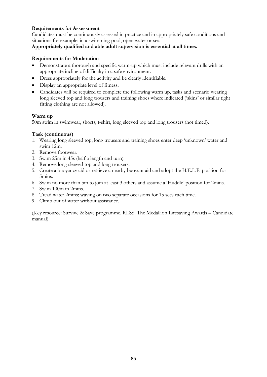## **Requirements for Assessment**

Candidates must be continuously assessed in practice and in appropriately safe conditions and situations for example: in a swimming pool, open water or sea.

#### **Appropriately qualified and able adult supervision is essential at all times.**

### **Requirements for Moderation**

- Demonstrate a thorough and specific warm-up which must include relevant drills with an appropriate incline of difficulty in a safe environment.
- Dress appropriately for the activity and be clearly identifiable.
- Display an appropriate level of fitness.
- Candidates will be required to complete the following warm up, tasks and scenario wearing long sleeved top and long trousers and training shoes where indicated ('skins' or similar tight fitting clothing are not allowed).

#### **Warm up**

50m swim in swimwear, shorts, t-shirt, long sleeved top and long trousers (not timed).

### **Task (continuous)**

- 1. Wearing long sleeved top, long trousers and training shoes enter deep 'unknown' water and swim 12m.
- 2. Remove footwear.
- 3. Swim 25m in 45s (half a length and turn).
- 4. Remove long sleeved top and long trousers.
- 5. Create a buoyancy aid or retrieve a nearby buoyant aid and adopt the H.E.L.P. position for 5mins.
- 6. Swim no more than 5m to join at least 3 others and assume a 'Huddle' position for 2mins.
- 7. Swim 100m in 2mins.
- 8. Tread water 2mins; waving on two separate occasions for 15 secs each time.
- 9. Climb out of water without assistance.

(Key resource: Survive & Save programme. RLSS. The Medallion Lifesaving Awards – Candidate manual)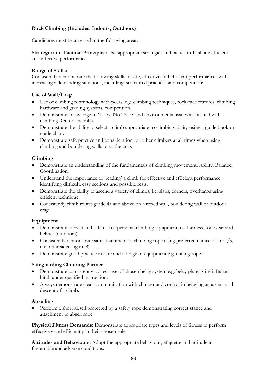## **Rock Climbing (Includes: Indoors; Outdoors)**

Candidates must be assessed in the following areas:

**Strategic and Tactical Principles:** Use appropriate strategies and tactics to facilitate efficient and effective performance.

### **Range of Skills:**

Consistently demonstrate the following skills in safe, effective and efficient performances with increasingly demanding situations, including; structured practices and competition:

## **Use of Wall/Crag**

- Use of climbing terminology with peers, e.g. climbing techniques, rock-face features, climbing hardware and grading systems, competition.
- Demonstrate knowledge of 'Leave No Trace' and environmental issues associated with climbing (Outdoors only).
- Demonstrate the ability to select a climb appropriate to climbing ability using a guide book or grade chart.
- Demonstrate safe practice and consideration for other climbers at all times when using climbing and bouldering walls or at the crag.

### **Climbing**

- Demonstrate an understanding of the fundamentals of climbing movement; Agility, Balance, Coordination.
- Understand the importance of 'reading' a climb for effective and efficient performance, identifying difficult, easy sections and possible rests.
- Demonstrate the ability to ascend a variety of climbs, i.e. slabs, corners, overhangs using efficient technique.
- Consistently climb routes grade 4a and above on a roped wall, bouldering wall or outdoor crag.

## **Equipment**

- Demonstrate correct and safe use of personal climbing equipment, i.e. harness, footwear and helmet (outdoors).
- Consistently demonstrate safe attachment to climbing rope using preferred choice of knot/s, (i.e. rethreaded figure 8).
- Demonstrate good practice in care and storage of equipment e.g. coiling rope.

## **Safeguarding Climbing Partner**

- Demonstrate consistently correct use of chosen belay system e.g. belay plate, gri-gri, Italian hitch under qualified instruction.
- Always demonstrate clear communication with climber and control in belaying an ascent and descent of a climb.

#### **Abseiling**

• Perform a short abseil protected by a safety rope demonstrating correct stance and attachment to abseil rope.

**Physical Fitness Demands:** Demonstrate appropriate types and levels of fitness to perform effectively and efficiently in their chosen role.

**Attitudes and Behaviours:** Adopt the appropriate behaviour, etiquette and attitude in favourable and adverse conditions.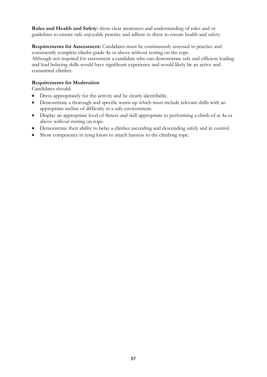**Rules and Health and Safety:** show clear awareness and understanding of rules and or guidelines to ensure safe enjoyable practice and adhere to these to ensure health and safety.

**Requirements for Assessment:** Candidates must be continuously assessed in practice and consistently complete climbs grade 4a or above without resting on the rope. Although not required for assessment a candidate who can demonstrate safe and efficient leading and lead belaying skills would have significant experience and would likely be an active and committed climber.

## **Requirements for Moderation**

- Dress appropriately for the activity and be clearly identifiable.
- Demonstrate a thorough and specific warm-up which must include relevant drills with an appropriate incline of difficulty in a safe environment.
- Display an appropriate level of fitness and skill appropriate to performing a climb of at 4a or above without resting on rope.
- Demonstrate their ability to belay a climber ascending and descending safely and in control.
- Show competence in tying knots to attach harness to the climbing rope.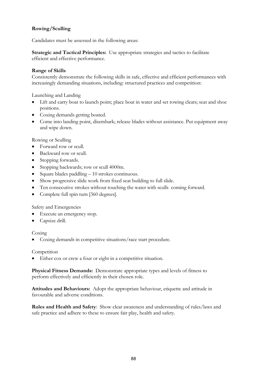# **Rowing/Sculling**

Candidates must be assessed in the following areas:

**Strategic and Tactical Principles:** Use appropriate strategies and tactics to facilitate efficient and effective performance.

#### **Range of Skills**

Consistently demonstrate the following skills in safe, effective and efficient performances with increasingly demanding situations, including: structured practices and competition:

Launching and Landing

- Lift and carry boat to launch point; place boat in water and set rowing cleats; seat and shoe positions.
- Coxing demands getting boated.
- Come into landing point, disembark; release blades without assistance. Put equipment away and wipe down.

Rowing or Sculling

- Forward row or scull.
- Backward row or scull.
- Stopping forwards.
- Stopping backwards; row or scull 4000m.
- Square blades paddling 10 strokes continuous.
- Show progressive slide work from fixed seat building to full slide.
- Ten consecutive strokes without touching the water with sculls coming forward.
- Complete full spin turn [360 degrees].

Safety and Emergencies

- Execute an emergency stop.
- Capsize drill.

Coxing

• Coxing demands in competitive situations/race start procedure.

#### **Competition**

Either cox or crew a four or eight in a competitive situation.

**Physical Fitness Demands:** Demonstrate appropriate types and levels of fitness to perform effectively and efficiently in their chosen role.

**Attitudes and Behaviours:** Adopt the appropriate behaviour, etiquette and attitude in favourable and adverse conditions.

**Rules and Health and Safety**: Show clear awareness and understanding of rules/laws and safe practice and adhere to these to ensure fair play, health and safety.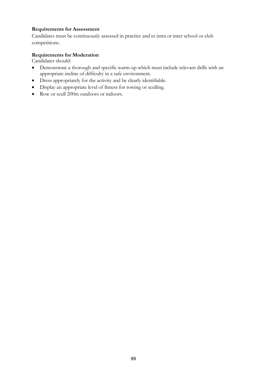## **Requirements for Assessment**

Candidates must be continuously assessed in practice and in intra or inter school or club competitions.

### **Requirements for Moderation**

- Demonstrate a thorough and specific warm-up which must include relevant drills with an appropriate incline of difficulty in a safe environment.
- Dress appropriately for the activity and be clearly identifiable.
- Display an appropriate level of fitness for rowing or sculling.
- Row or scull 200m outdoors or indoors.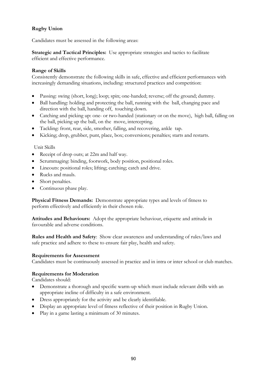# **Rugby Union**

Candidates must be assessed in the following areas:

**Strategic and Tactical Principles:** Use appropriate strategies and tactics to facilitate efficient and effective performance.

### **Range of Skills**

Consistently demonstrate the following skills in safe, effective and efficient performances with increasingly demanding situations, including: structured practices and competition:

- Passing: swing (short, long); loop; spin; one-handed; reverse; off the ground; dummy.
- Ball handling: holding and protecting the ball, running with the ball, changing pace and direction with the ball, handing off, touching down.
- Catching and picking up: one- or two-handed (stationary or on the move), high ball, falling on the ball, picking up the ball, on the move, intercepting.
- Tackling: front, rear, side, smother, falling, and recovering, ankle tap.
- Kicking; drop, grubber, punt, place, box; conversions; penalties; starts and restarts.

#### Unit Skills

- Receipt of drop outs; at 22m and half way.
- Scrummaging: binding, footwork, body position, positional roles.
- Lineouts: positional roles; lifting; catching; catch and drive.
- Rucks and mauls.
- Short penalties.
- Continuous phase play.

**Physical Fitness Demands:** Demonstrate appropriate types and levels of fitness to perform effectively and efficiently in their chosen role.

**Attitudes and Behaviours:** Adopt the appropriate behaviour, etiquette and attitude in favourable and adverse conditions.

**Rules and Health and Safety**: Show clear awareness and understanding of rules/laws and safe practice and adhere to these to ensure fair play, health and safety.

#### **Requirements for Assessment**

Candidates must be continuously assessed in practice and in intra or inter school or club matches.

#### **Requirements for Moderation**

- Demonstrate a thorough and specific warm-up which must include relevant drills with an appropriate incline of difficulty in a safe environment.
- Dress appropriately for the activity and be clearly identifiable.
- Display an appropriate level of fitness reflective of their position in Rugby Union.
- Play in a game lasting a minimum of 30 minutes.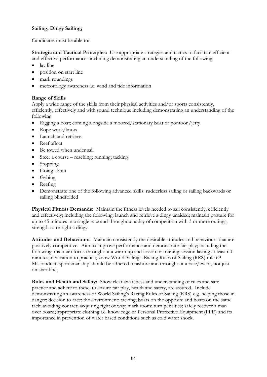# **Sailing; Dingy Sailing;**

Candidates must be able to:

**Strategic and Tactical Principles:** Use appropriate strategies and tactics to facilitate efficient and effective performances including demonstrating an understanding of the following:

- lay line
- position on start line
- mark roundings
- meteorology awareness i.e. wind and tide information

## **Range of Skills**

Apply a wide range of the skills from their physical activities and/or sports consistently, efficiently, effectively and with sound technique including demonstrating an understanding of the following:

- Rigging a boat; coming alongside a moored/stationary boat or pontoon/jetty
- Rope work/knots
- Launch and retrieve
- Reef afloat
- Be towed when under sail
- Steer a course reaching; running; tacking
- Stopping
- Going about
- Gybing
- Reefing
- Demonstrate one of the following advanced skills: rudderless sailing or sailing backwards or sailing blindfolded

**Physical Fitness Demands:** Maintain the fitness levels needed to sail consistently, efficiently and effectively; including the following: launch and retrieve a dingy unaided; maintain posture for up to 45 minutes in a single race and throughout a day of competition with 3 or more outings; strength to re-right a dingy.

**Attitudes and Behaviours:** Maintain consistently the desirable attitudes and behaviours that are positively competitive. Aim to improve performance and demonstrate fair play; including the following: maintain focus throughout a warm up and lesson or training session lasting at least 60 minutes; dedication to practice; know World Sailing's Racing Rules of Sailing (RRS) rule 69 Misconduct: sportsmanship should be adhered to ashore and throughout a race/event, not just on start line;

**Rules and Health and Safety:** Show clear awareness and understanding of rules and safe practice and adhere to these, to ensure fair play, health and safety, are assured. Include demonstrating an awareness of World Sailing's Racing Rules of Sailing (RRS) e.g. helping those in danger; decision to race; the environment; tacking; boats on the opposite and boats on the same tack; avoiding contact; acquiring right of way; mark room; turn penalties; safely recover a man over board; appropriate clothing i.e. knowledge of Personal Protective Equipment (PPE) and its importance in prevention of water based conditions such as cold water shock.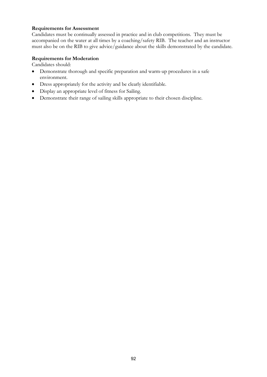### **Requirements for Assessment**

Candidates must be continually assessed in practice and in club competitions. They must be accompanied on the water at all times by a coaching/safety RIB. The teacher and an instructor must also be on the RIB to give advice/guidance about the skills demonstrated by the candidate.

### **Requirements for Moderation**

- Demonstrate thorough and specific preparation and warm-up procedures in a safe environment.
- Dress appropriately for the activity and be clearly identifiable.
- Display an appropriate level of fitness for Sailing.
- Demonstrate their range of sailing skills appropriate to their chosen discipline.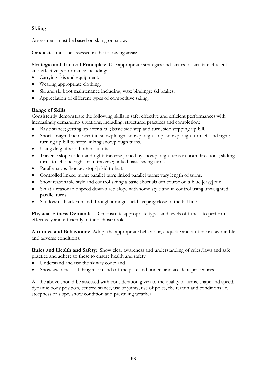# **Skiing**

Assessment must be based on skiing on snow.

Candidates must be assessed in the following areas:

**Strategic and Tactical Principles**: Use appropriate strategies and tactics to facilitate efficient and effective performance including:

- Carrying skis and equipment.
- Wearing appropriate clothing.
- Ski and ski boot maintenance including; wax; bindings; ski brakes.
- Appreciation of different types of competitive skiing.

# **Range of Skills**

Consistently demonstrate the following skills in safe, effective and efficient performances with increasingly demanding situations, including; structured practices and completion;

- Basic stance; getting up after a fall; basic side step and turn; side stepping up hill.
- Short straight line descent in snowplough; snowplough stop; snowplough turn left and right; turning up hill to stop; linking snowplough turns.
- Using drag lifts and other ski lifts.
- Traverse slope to left and right; traverse joined by snowplough turns in both directions; sliding turns to left and right from traverse; linked basic swing turns.
- Parallel stops [hockey stops] skid to halt.
- Controlled linked turns; parallel turn; linked parallel turns; vary length of turns.
- Show reasonable style and control skiing a basic short slalom course on a blue [easy] run.
- Ski at a reasonable speed down a red slope with some style and in control using unweighted parallel turns.
- Ski down a black run and through a mogul field keeping close to the fall line.

**Physical Fitness Demands**: Demonstrate appropriate types and levels of fitness to perform effectively and efficiently in their chosen role.

**Attitudes and Behaviours**: Adopt the appropriate behaviour, etiquette and attitude in favourable and adverse conditions.

**Rules and Health and Safety**: Show clear awareness and understanding of rules/laws and safe practice and adhere to these to ensure health and safety.

- Understand and use the skiway code; and
- Show awareness of dangers on and off the piste and understand accident procedures.

All the above should be assessed with consideration given to the quality of turns, shape and speed, dynamic body position, centred stance, use of joints, use of poles, the terrain and conditions i.e. steepness of slope, snow condition and prevailing weather.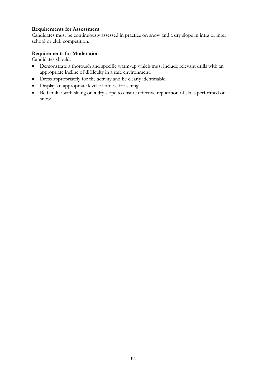## **Requirements for Assessment**

Candidates must be continuously assessed in practice on snow and a dry slope in intra or inter school or club competition.

### **Requirements for Moderation**

- Demonstrate a thorough and specific warm-up which must include relevant drills with an appropriate incline of difficulty in a safe environment.
- Dress appropriately for the activity and be clearly identifiable.
- Display an appropriate level of fitness for skiing.
- Be familiar with skiing on a dry slope to ensure effective replication of skills performed on snow.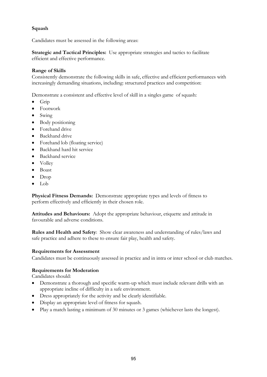## **Squash**

Candidates must be assessed in the following areas:

**Strategic and Tactical Principles:** Use appropriate strategies and tactics to facilitate efficient and effective performance.

### **Range of Skills**

Consistently demonstrate the following skills in safe, effective and efficient performances with increasingly demanding situations, including: structured practices and competition:

Demonstrate a consistent and effective level of skill in a singles game of squash:

- Grip
- Footwork
- Swing
- Body positioning
- Forehand drive
- Backhand drive
- Forehand lob (floating service)
- Backhand hard hit service
- Backhand service
- Volley
- Boast
- Drop
- Lob

**Physical Fitness Demands:** Demonstrate appropriate types and levels of fitness to perform effectively and efficiently in their chosen role.

**Attitudes and Behaviours:** Adopt the appropriate behaviour, etiquette and attitude in favourable and adverse conditions.

**Rules and Health and Safety**: Show clear awareness and understanding of rules/laws and safe practice and adhere to these to ensure fair play, health and safety.

#### **Requirements for Assessment**

Candidates must be continuously assessed in practice and in intra or inter school or club matches.

#### **Requirements for Moderation**

- Demonstrate a thorough and specific warm-up which must include relevant drills with an appropriate incline of difficulty in a safe environment.
- Dress appropriately for the activity and be clearly identifiable.
- Display an appropriate level of fitness for squash.
- Play a match lasting a minimum of 30 minutes or 3 games (whichever lasts the longest).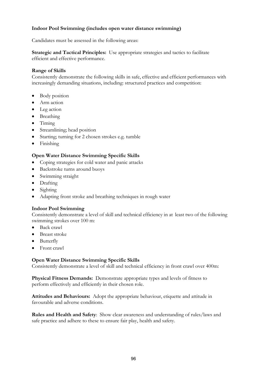## **Indoor Pool Swimming (includes open water distance swimming)**

Candidates must be assessed in the following areas:

**Strategic and Tactical Principles:** Use appropriate strategies and tactics to facilitate efficient and effective performance.

#### **Range of Skills**

Consistently demonstrate the following skills in safe, effective and efficient performances with increasingly demanding situations, including: structured practices and competition:

- Body position
- Arm action
- Leg action
- Breathing
- Timing
- Streamlining; head position
- Starting; turning for 2 chosen strokes e.g. tumble
- Finishing

#### **Open Water Distance Swimming Specific Skills**

- Coping strategies for cold water and panic attacks
- Backstroke turns around buoys
- Swimming straight
- Drafting
- Sighting
- Adapting front stroke and breathing techniques in rough water

#### **Indoor Pool Swimming**

Consistently demonstrate a level of skill and technical efficiency in at least two of the following swimming strokes over 100 m:

- Back crawl
- Breast stroke
- **Butterfly**
- Front crawl

#### **Open Water Distance Swimming Specific Skills**

Consistently demonstrate a level of skill and technical efficiency in front crawl over 400m:

**Physical Fitness Demands:** Demonstrate appropriate types and levels of fitness to perform effectively and efficiently in their chosen role.

**Attitudes and Behaviours:** Adopt the appropriate behaviour, etiquette and attitude in favourable and adverse conditions.

**Rules and Health and Safety**: Show clear awareness and understanding of rules/laws and safe practice and adhere to these to ensure fair play, health and safety.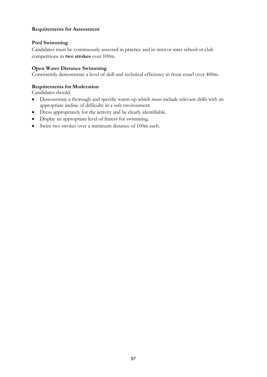## **Requirements for Assessment**

### **Pool Swimming**

Candidates must be continuously assessed in practice and in intra or inter school or club competitions in **two strokes** over 100m.

### **Open Water Distance Swimming**

Consistently demonstrate a level of skill and technical efficiency in front crawl over 400m.

### **Requirements for Moderation**

- Demonstrate a thorough and specific warm-up which must include relevant drills with an appropriate incline of difficulty in a safe environment.
- Dress appropriately for the activity and be clearly identifiable.
- Display an appropriate level of fitness for swimming.
- Swim two strokes over a minimum distance of 100m each.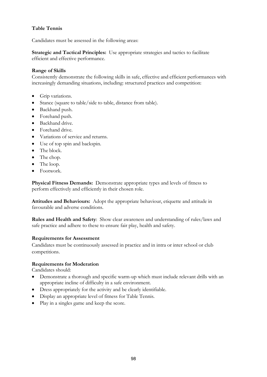# **Table Tennis**

Candidates must be assessed in the following areas:

**Strategic and Tactical Principles:** Use appropriate strategies and tactics to facilitate efficient and effective performance.

## **Range of Skills**

Consistently demonstrate the following skills in safe, effective and efficient performances with increasingly demanding situations, including: structured practices and competition:

- Grip variations.
- Stance (square to table/side to table, distance from table).
- Backhand push.
- Forehand push.
- Backhand drive.
- Forehand drive.
- Variations of service and returns.
- Use of top spin and backspin.
- The block.
- The chop.
- The loop.
- Footwork.

**Physical Fitness Demands:** Demonstrate appropriate types and levels of fitness to perform effectively and efficiently in their chosen role.

**Attitudes and Behaviours:** Adopt the appropriate behaviour, etiquette and attitude in favourable and adverse conditions.

**Rules and Health and Safety**: Show clear awareness and understanding of rules/laws and safe practice and adhere to these to ensure fair play, health and safety.

#### **Requirements for Assessment**

Candidates must be continuously assessed in practice and in intra or inter school or club competitions.

#### **Requirements for Moderation**

- Demonstrate a thorough and specific warm-up which must include relevant drills with an appropriate incline of difficulty in a safe environment.
- Dress appropriately for the activity and be clearly identifiable.
- Display an appropriate level of fitness for Table Tennis.
- Play in a singles game and keep the score.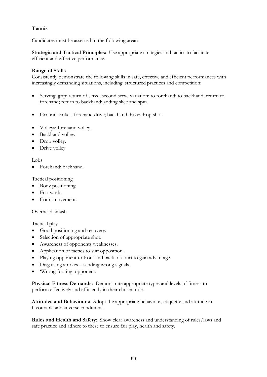# **Tennis**

Candidates must be assessed in the following areas:

**Strategic and Tactical Principles:** Use appropriate strategies and tactics to facilitate efficient and effective performance.

## **Range of Skills**

Consistently demonstrate the following skills in safe, effective and efficient performances with increasingly demanding situations, including: structured practices and competition:

- Serving: grip; return of serve; second serve variation: to forehand; to backhand; return to forehand; return to backhand; adding slice and spin.
- Groundstrokes: forehand drive; backhand drive; drop shot.
- Volleys: forehand volley.
- Backhand volley.
- Drop volley.
- Drive volley.

#### Lobs

• Forehand; backhand.

Tactical positioning

- Body positioning.
- Footwork.
- Court movement.

#### Overhead smash

Tactical play

- Good positioning and recovery.
- Selection of appropriate shot.
- Awareness of opponents weaknesses.
- Application of tactics to suit opposition.
- Playing opponent to front and back of court to gain advantage.
- Disguising strokes sending wrong signals.
- 'Wrong-footing' opponent.

**Physical Fitness Demands:** Demonstrate appropriate types and levels of fitness to perform effectively and efficiently in their chosen role.

**Attitudes and Behaviours:** Adopt the appropriate behaviour, etiquette and attitude in favourable and adverse conditions.

**Rules and Health and Safety**: Show clear awareness and understanding of rules/laws and safe practice and adhere to these to ensure fair play, health and safety.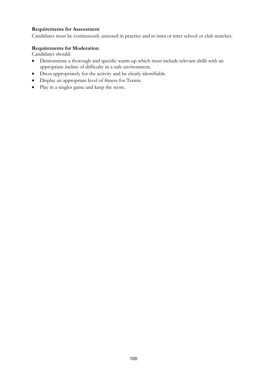## **Requirements for Assessment**

Candidates must be continuously assessed in practice and in intra or inter school or club matches.

# **Requirements for Moderation**

- Demonstrate a thorough and specific warm-up which must include relevant drills with an appropriate incline of difficulty in a safe environment.
- Dress appropriately for the activity and be clearly identifiable.
- Display an appropriate level of fitness for Tennis.
- Play in a singles game and keep the score.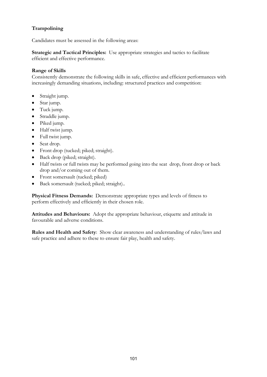# **Trampolining**

Candidates must be assessed in the following areas:

**Strategic and Tactical Principles:** Use appropriate strategies and tactics to facilitate efficient and effective performance.

## **Range of Skills**

Consistently demonstrate the following skills in safe, effective and efficient performances with increasingly demanding situations, including: structured practices and competition:

- Straight jump.
- Star jump.
- Tuck jump.
- Straddle jump.
- Piked jump.
- Half twist jump.
- Full twist jump.
- Seat drop.
- Front drop (tucked; piked; straight).
- Back drop (piked; straight).
- Half twists or full twists may be performed going into the seat drop, front drop or back drop and/or coming out of them.
- Front somersault (tucked; piked)
- Back somersault (tucked; piked; straight)..

**Physical Fitness Demands:** Demonstrate appropriate types and levels of fitness to perform effectively and efficiently in their chosen role.

**Attitudes and Behaviours:** Adopt the appropriate behaviour, etiquette and attitude in favourable and adverse conditions.

**Rules and Health and Safety**: Show clear awareness and understanding of rules/laws and safe practice and adhere to these to ensure fair play, health and safety.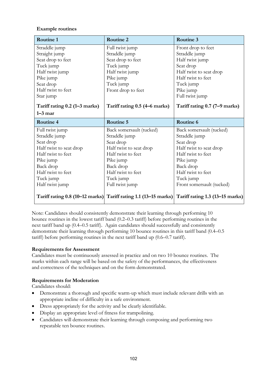### **Example routines**

| Routine 1                     | Routine 2                     | Routine 3                     |
|-------------------------------|-------------------------------|-------------------------------|
| Straddle jump                 | Full twist jump               | Front drop to feet            |
| Straight jump                 | Straddle jump                 | Straddle jump                 |
| Seat drop to feet             | Seat drop to feet             | Half twist jump               |
| Tuck jump                     | Tuck jump                     | Seat drop                     |
| Half twist jump               | Half twist jump               | Half twist to seat drop       |
| Pike jump                     | Pike jump                     | Half twist to feet            |
| Seat drop                     | Tuck jump                     | Tuck jump                     |
| Half twist to feet            | Front drop to feet            | Pike jump                     |
| Star jump                     |                               | Full twist jump               |
| Tariff rating 0.2 (1–3 marks) | Tariff rating 0.5 (4–6 marks) | Tariff rating 0.7 (7-9 marks) |
| $1 - 3$ mar                   |                               |                               |
|                               |                               |                               |
| Routine 4                     | Routine 5                     | Routine 6                     |
| Full twist jump               | Back somersault (tucked)      | Back somersault (tucked)      |
| Straddle jump                 | Straddle jump                 | Straddle jump                 |
| Seat drop                     | Seat drop                     | Seat drop                     |
| Half twist to seat drop       | Half twist to seat drop       | Half twist to seat drop       |
| Half twist to feet            | Half twist to feet            | Half twist to feet            |
| Pike jump                     | Pike jump                     | Pike jump                     |
| Back drop                     | Back drop                     | Back drop                     |
| Half twist to feet            | Half twist to feet            | Half twist to feet            |
| Tuck jump                     | Tuck jump                     | Tuck jump                     |
| Half twist jump               | Full twist jump               | Front somersault (tucked)     |

Note: Candidates should consistently demonstrate their learning through performing 10 bounce routines in the lowest tariff band (0.2–0.3 tariff) before performing routines in the next tariff band up (0.4–0.5 tariff). Again candidates should successfully and consistently demonstrate their learning through performing 10 bounce routines in this tariff band (0.4–0.5 tariff) before performing routines in the next tariff band up (0.6–0.7 tariff).

## **Requirements for Assessment**

Candidates must be continuously assessed in practice and on two 10 bounce routines. The marks within each range will be based on the safety of the performances, the effectiveness and correctness of the techniques and on the form demonstrated.

## **Requirements for Moderation**

- Demonstrate a thorough and specific warm-up which must include relevant drills with an appropriate incline of difficulty in a safe environment.
- Dress appropriately for the activity and be clearly identifiable.
- Display an appropriate level of fitness for trampolining.
- Candidates will demonstrate their learning through composing and performing two repeatable ten bounce routines.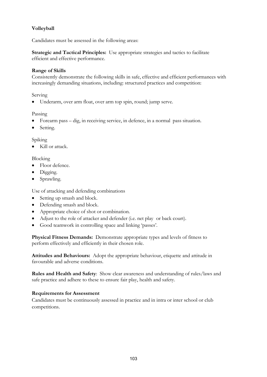# **Volleyball**

Candidates must be assessed in the following areas:

**Strategic and Tactical Principles:** Use appropriate strategies and tactics to facilitate efficient and effective performance.

## **Range of Skills**

Consistently demonstrate the following skills in safe, effective and efficient performances with increasingly demanding situations, including: structured practices and competition:

### Serving

• Underarm, over arm float, over arm top spin, round; jump serve.

### Passing

- Forearm pass dig, in receiving service, in defence, in a normal pass situation.
- Setting.

Spiking

• Kill or attack.

Blocking

- Floor defence.
- Digging.
- Sprawling.

Use of attacking and defending combinations

- Setting up smash and block.
- Defending smash and block.
- Appropriate choice of shot or combination.
- Adjust to the role of attacker and defender (i.e. net play or back court).
- Good teamwork in controlling space and linking 'passes'.

**Physical Fitness Demands:** Demonstrate appropriate types and levels of fitness to perform effectively and efficiently in their chosen role.

**Attitudes and Behaviours:** Adopt the appropriate behaviour, etiquette and attitude in favourable and adverse conditions.

**Rules and Health and Safety**: Show clear awareness and understanding of rules/laws and safe practice and adhere to these to ensure fair play, health and safety.

## **Requirements for Assessment**

Candidates must be continuously assessed in practice and in intra or inter school or club competitions.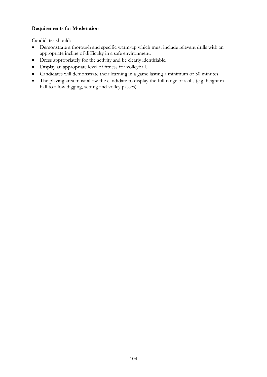# **Requirements for Moderation**

- Demonstrate a thorough and specific warm-up which must include relevant drills with an appropriate incline of difficulty in a safe environment.
- Dress appropriately for the activity and be clearly identifiable.
- Display an appropriate level of fitness for volleyball.
- Candidates will demonstrate their learning in a game lasting a minimum of 30 minutes.
- The playing area must allow the candidate to display the full range of skills (e.g. height in hall to allow digging, setting and volley passes).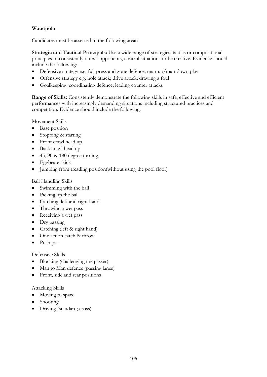# **Waterpolo**

Candidates must be assessed in the following areas:

**Strategic and Tactical Principals:** Use a wide range of strategies, tactics or compositional principles to consistently outwit opponents, control situations or be creative. Evidence should include the following:

- Defensive strategy e.g. full press and zone defence; man-up/man-down play
- Offensive strategy e.g. hole attack; drive attack; drawing a foul
- Goalkeeping: coordinating defence; leading counter attacks

**Range of Skills:** Consistently demonstrate the following skills in safe, effective and efficient performances with increasingly demanding situations including structured practices and competition. Evidence should include the following:

Movement Skills

- Base position
- Stopping & starting
- Front crawl head up
- Back crawl head up
- $\bullet$  45, 90 & 180 degree turning
- Eggbeater kick
- Jumping from treading position(without using the pool floor)

#### Ball Handling Skills

- Swimming with the ball
- Picking up the ball
- Catching: left and right hand
- Throwing a wet pass
- Receiving a wet pass
- Dry passing
- Catching (left & right hand)
- One action catch & throw
- Push pass

#### Defensive Skills

- Blocking (challenging the passer)
- Man to Man defence (passing lanes)
- Front, side and rear positions

#### Attacking Skills

- Moving to space
- Shooting
- Driving (standard; cross)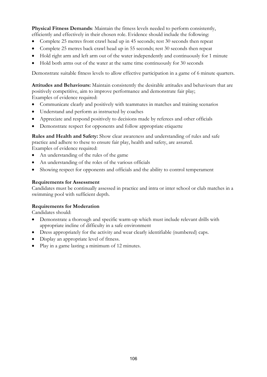**Physical Fitness Demands**: Maintain the fitness levels needed to perform consistently, efficiently and effectively in their chosen role. Evidence should include the following:

- Complete 25 metres front crawl head up in 45 seconds; rest 30 seconds then repeat
- Complete 25 metres back crawl head up in 55 seconds; rest 30 seconds then repeat
- Hold right arm and left arm out of the water independently and continuously for 1 minute
- Hold both arms out of the water at the same time continuously for 30 seconds

Demonstrate suitable fitness levels to allow effective participation in a game of 6 minute quarters.

**Attitudes and Behaviours:** Maintain consistently the desirable attitudes and behaviours that are positively competitive, aim to improve performance and demonstrate fair play; Examples of evidence required:

- Communicate clearly and positively with teammates in matches and training scenarios
- Understand and perform as instructed by coaches
- Appreciate and respond positively to decisions made by referees and other officials
- Demonstrate respect for opponents and follow appropriate etiquette

**Rules and Health and Safety:** Show clear awareness and understanding of rules and safe practice and adhere to these to ensure fair play, health and safety, are assured. Examples of evidence required:

- An understanding of the rules of the game
- An understanding of the roles of the various officials
- Showing respect for opponents and officials and the ability to control temperament

#### **Requirements for Assessment**

Candidates must be continually assessed in practice and intra or inter school or club matches in a swimming pool with sufficient depth.

#### **Requirements for Moderation**

- Demonstrate a thorough and specific warm-up which must include relevant drills with appropriate incline of difficulty in a safe environment
- Dress appropriately for the activity and wear clearly identifiable (numbered) caps.
- Display an appropriate level of fitness.
- Play in a game lasting a minimum of 12 minutes.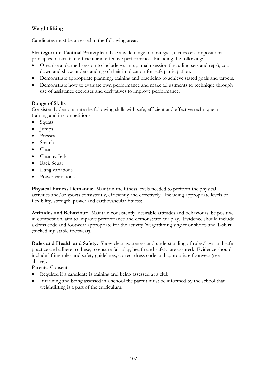# **Weight lifting**

Candidates must be assessed in the following areas:

**Strategic and Tactical Principles:** Use a wide range of strategies, tactics or compositional principles to facilitate efficient and effective performance. Including the following:

- Organise a planned session to include warm-up; main session (including sets and reps); cooldown and show understanding of their implication for safe participation.
- Demonstrate appropriate planning, training and practicing to achieve stated goals and targets.
- Demonstrate how to evaluate own performance and make adjustments to technique through use of assistance exercises and derivatives to improve performance.

#### **Range of Skills**

Consistently demonstrate the following skills with safe, efficient and effective technique in training and in competitions:

- Squats
- Jumps
- Presses
- Snatch
- Clean
- Clean & Jerk
- Back Squat
- Hang variations
- Power variations

**Physical Fitness Demands:** Maintain the fitness levels needed to perform the physical activities and/or sports consistently, efficiently and effectively. Including appropriate levels of flexibility, strength; power and cardiovascular fitness;

**Attitudes and Behaviour:** Maintain consistently, desirable attitudes and behaviours; be positive in competition, aim to improve performance and demonstrate fair play. Evidence should include a dress code and footwear appropriate for the activity (weightlifting singlet or shorts and T-shirt (tucked in); stable footwear).

**Rules and Health and Safety:** Show clear awareness and understanding of rules/laws and safe practice and adhere to these, to ensure fair play, health and safety, are assured. Evidence should include lifting rules and safety guidelines; correct dress code and appropriate footwear (see above).

Parental Consent:

- Required if a candidate is training and being assessed at a club.
- If training and being assessed in a school the parent must be informed by the school that weightlifting is a part of the curriculum.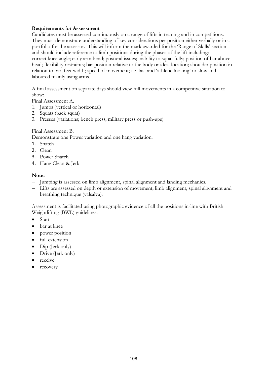### **Requirements for Assessment**

Candidates must be assessed continuously on a range of lifts in training and in competitions. They must demonstrate understanding of key considerations per position either verbally or in a portfolio for the assessor. This will inform the mark awarded for the 'Range of Skills' section and should include reference to limb positions during the phases of the lift including: correct knee angle; early arm bend; postural issues; inability to squat fully; position of bar above head; flexibility restraints; bar position relative to the body or ideal location; shoulder position in relation to bar; feet width; speed of movement; i.e. fast and 'athletic looking' or slow and laboured mainly using arms.

A final assessment on separate days should view full movements in a competitive situation to show:

Final Assessment A.

- 1. Jumps (vertical or horizontal)
- 2. Squats (back squat)
- 3. Presses (variations; bench press, military press or push-ups)

#### Final Assessment B.

Demonstrate one Power variation and one hang variation:

- 1. Snatch
- 2. Clean
- 3. Power Snatch
- 4. Hang Clean & Jerk

#### **Note:**

- Jumping is assessed on limb alignment, spinal alignment and landing mechanics.
- Lifts are assessed on depth or extension of movement; limb alignment, spinal alignment and breathing technique (valsalva).

Assessment is facilitated using photographic evidence of all the positions in-line with British Weightlifting (BWL) guidelines:

- Start
- bar at knee
- power position
- full extension
- Dip (Jerk only)
- Drive (Jerk only)
- receive
- recovery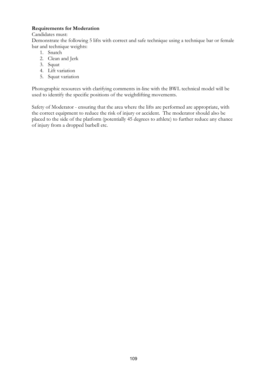## **Requirements for Moderation**

#### Candidates must:

Demonstrate the following 5 lifts with correct and safe technique using a technique bar or female bar and technique weights:

- 1. Snatch
- 2. Clean and Jerk
- 3. Squat
- 4. Lift variation
- 5. Squat variation

Photographic resources with clarifying comments in-line with the BWL technical model will be used to identify the specific positions of the weightlifting movements.

Safety of Moderator - ensuring that the area where the lifts are performed are appropriate, with the correct equipment to reduce the risk of injury or accident. The moderator should also be placed to the side of the platform (potentially 45 degrees to athlete) to further reduce any chance of injury from a dropped barbell etc.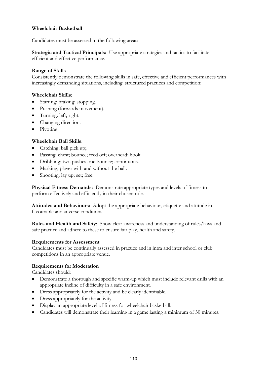#### **Wheelchair Basketball**

Candidates must be assessed in the following areas:

**Strategic and Tactical Principals:** Use appropriate strategies and tactics to facilitate efficient and effective performance.

#### **Range of Skills**

Consistently demonstrate the following skills in safe, effective and efficient performances with increasingly demanding situations, including: structured practices and competition:

#### **Wheelchair Skills**:

- Starting; braking; stopping.
- Pushing (forwards movement).
- Turning: left; right.
- Changing direction.
- Pivoting.

#### **Wheelchair Ball Skills**:

- Catching; ball pick up;.
- Passing: chest; bounce; feed off; overhead; hook.
- Dribbling; two pushes one bounce; continuous.
- Marking; player with and without the ball.
- Shooting: lay up; set; free.

**Physical Fitness Demands:** Demonstrate appropriate types and levels of fitness to perform effectively and efficiently in their chosen role.

**Attitudes and Behaviours:** Adopt the appropriate behaviour, etiquette and attitude in favourable and adverse conditions.

**Rules and Health and Safety**: Show clear awareness and understanding of rules/laws and safe practice and adhere to these to ensure fair play, health and safety.

#### **Requirements for Assessment**

Candidates must be continually assessed in practice and in intra and inter school or club competitions in an appropriate venue.

#### **Requirements for Moderation**

Candidates should:

- Demonstrate a thorough and specific warm-up which must include relevant drills with an appropriate incline of difficulty in a safe environment.
- Dress appropriately for the activity and be clearly identifiable.
- Dress appropriately for the activity.
- Display an appropriate level of fitness for wheelchair basketball.
- Candidates will demonstrate their learning in a game lasting a minimum of 30 minutes.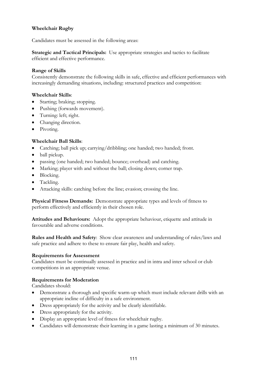## **Wheelchair Rugby**

Candidates must be assessed in the following areas:

**Strategic and Tactical Principals:** Use appropriate strategies and tactics to facilitate efficient and effective performance.

#### **Range of Skills**

Consistently demonstrate the following skills in safe, effective and efficient performances with increasingly demanding situations, including: structured practices and competition:

#### **Wheelchair Skills**:

- Starting; braking; stopping.
- Pushing (forwards movement).
- Turning: left; right.
- Changing direction.
- Pivoting.

### **Wheelchair Ball Skills**:

- Catching; ball pick up; carrying/dribbling; one handed; two handed; front.
- ball pickup.
- passing (one handed; two handed; bounce; overhead) and catching.
- Marking; player with and without the ball; closing down; corner trap.
- Blocking.
- Tackling.
- Attacking skills: catching before the line; evasion; crossing the line.

**Physical Fitness Demands:** Demonstrate appropriate types and levels of fitness to perform effectively and efficiently in their chosen role.

**Attitudes and Behaviours:** Adopt the appropriate behaviour, etiquette and attitude in favourable and adverse conditions.

**Rules and Health and Safety**: Show clear awareness and understanding of rules/laws and safe practice and adhere to these to ensure fair play, health and safety.

### **Requirements for Assessment**

Candidates must be continually assessed in practice and in intra and inter school or club competitions in an appropriate venue.

### **Requirements for Moderation**

Candidates should:

- Demonstrate a thorough and specific warm-up which must include relevant drills with an appropriate incline of difficulty in a safe environment.
- Dress appropriately for the activity and be clearly identifiable.
- Dress appropriately for the activity.
- Display an appropriate level of fitness for wheelchair rugby.
- Candidates will demonstrate their learning in a game lasting a minimum of 30 minutes.